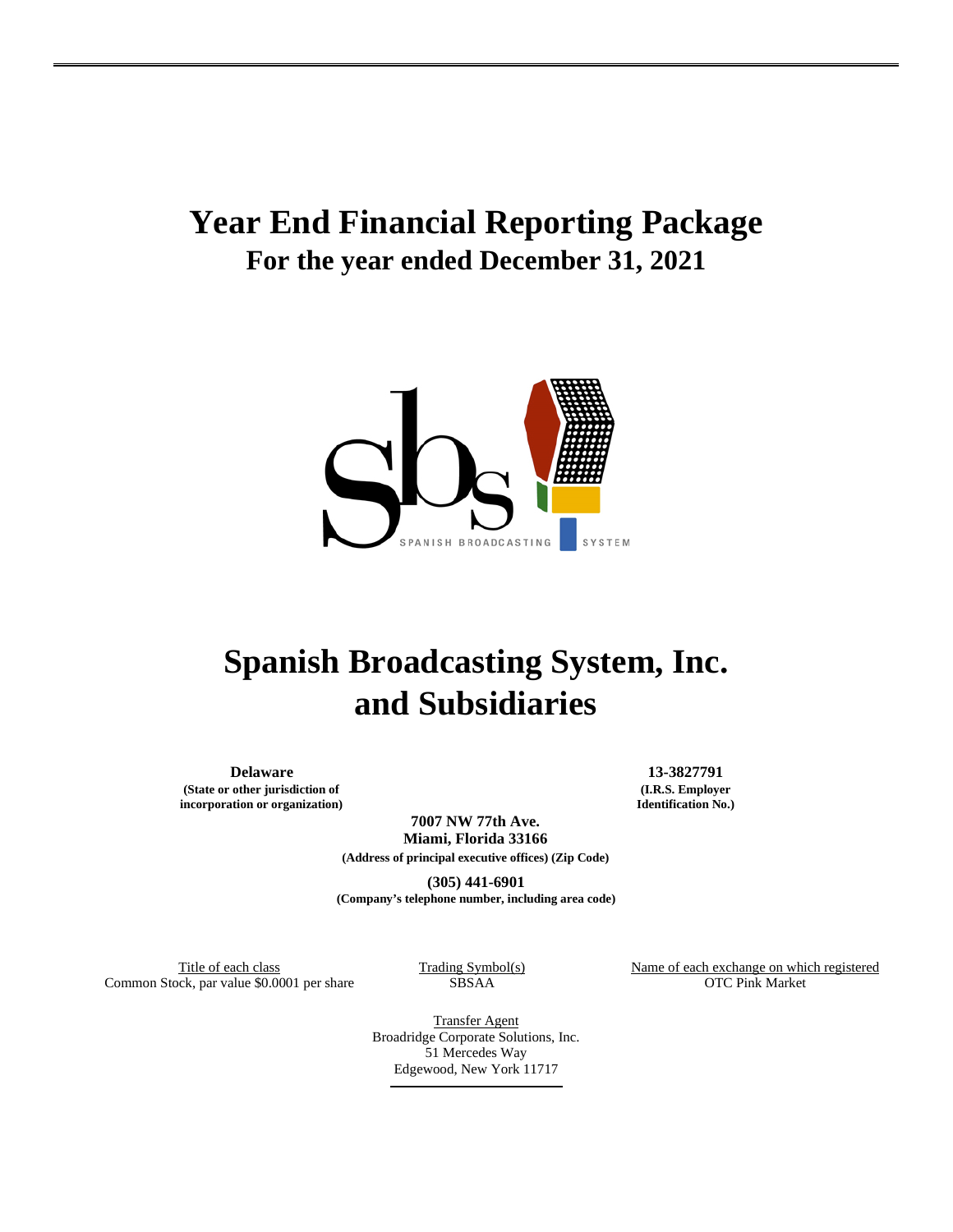# **Year End Financial Reporting Package For the year ended December 31, 2021**



# **Spanish Broadcasting System, Inc. and Subsidiaries**

**Delaware 13-3827791 (State or other jurisdiction of incorporation or organization)**

**(I.R.S. Employer Identification No.)**

**7007 NW 77th Ave. Miami, Florida 33166 (Address of principal executive offices) (Zip Code)**

**(305) 441-6901 (Company's telephone number, including area code)**

Common Stock, par value \$0.0001 per share SBSAA

Trading Symbol(s) Name of each exchange on which registered<br>
SBSAA OTC Pink Market<br>
OTC Pink Market

Transfer Agent Broadridge Corporate Solutions, Inc. 51 Mercedes Way Edgewood, New York 11717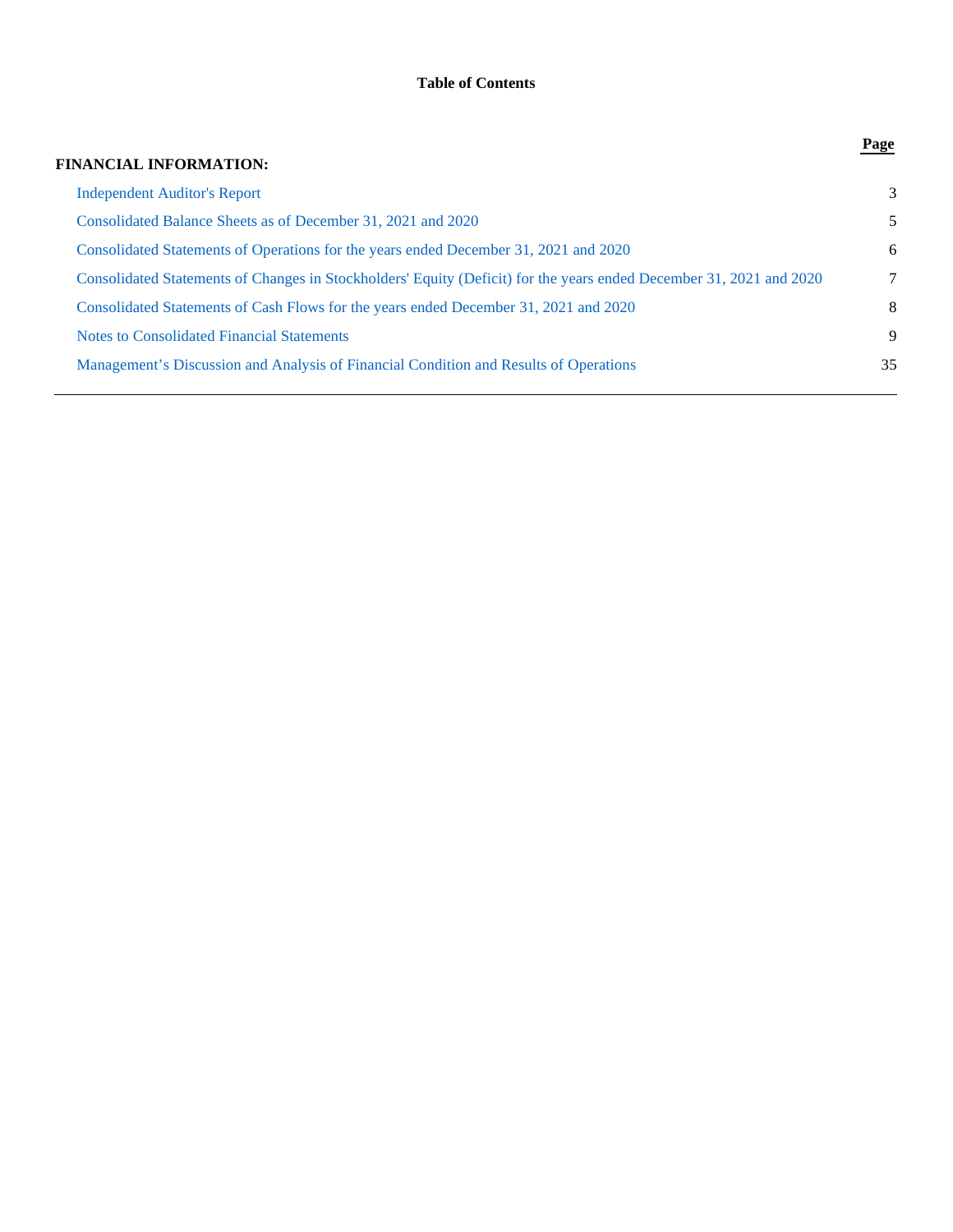# **Table of Contents**

|                                                                                                                     | <b>Page</b> |
|---------------------------------------------------------------------------------------------------------------------|-------------|
| <b>FINANCIAL INFORMATION:</b>                                                                                       |             |
| <b>Independent Auditor's Report</b>                                                                                 | 3           |
| Consolidated Balance Sheets as of December 31, 2021 and 2020                                                        | 5           |
| Consolidated Statements of Operations for the years ended December 31, 2021 and 2020                                | 6           |
| Consolidated Statements of Changes in Stockholders' Equity (Deficit) for the years ended December 31, 2021 and 2020 | 7           |
| Consolidated Statements of Cash Flows for the years ended December 31, 2021 and 2020                                | 8           |
| <b>Notes to Consolidated Financial Statements</b>                                                                   | 9           |
| Management's Discussion and Analysis of Financial Condition and Results of Operations                               | 35          |
|                                                                                                                     |             |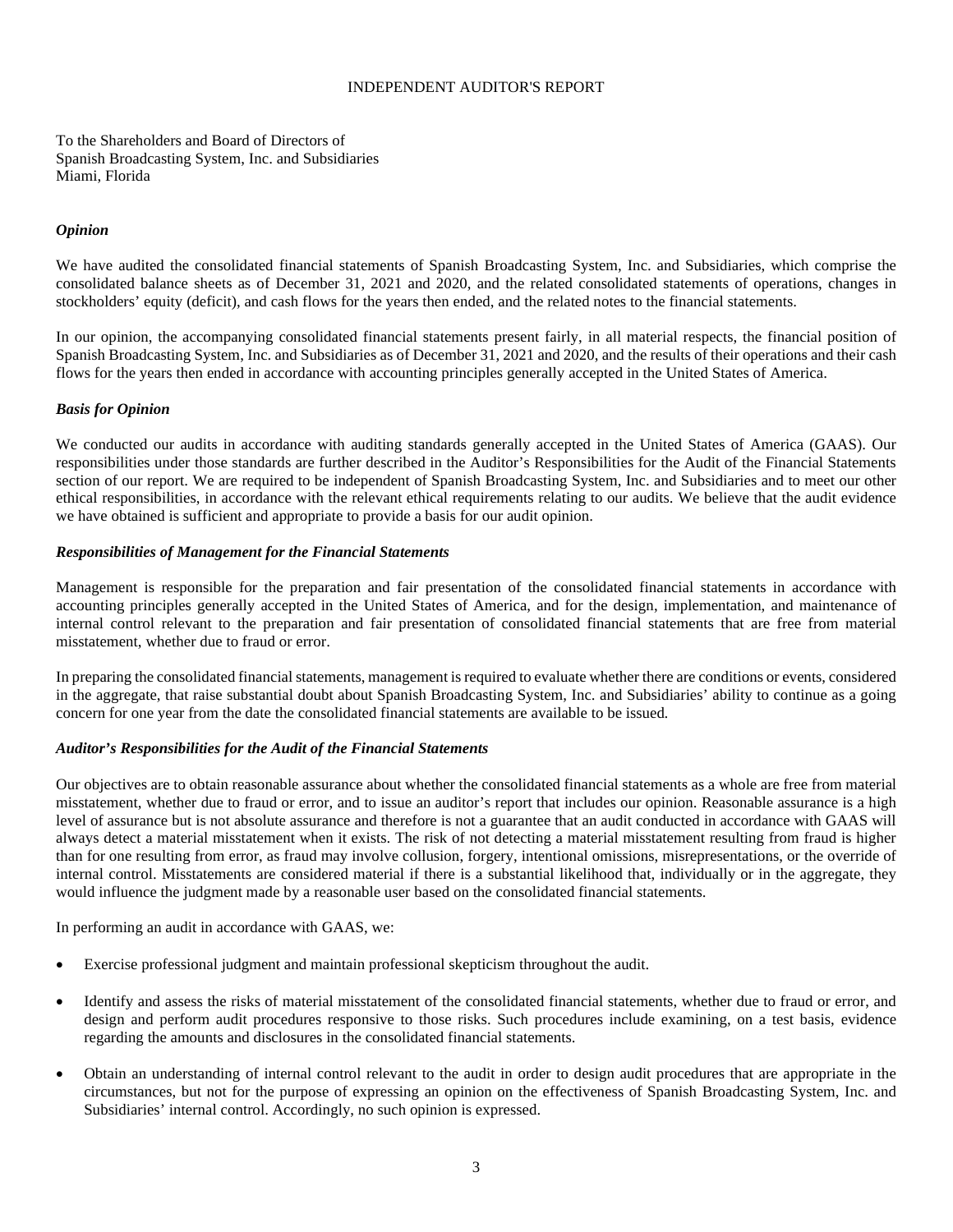# INDEPENDENT AUDITOR'S REPORT

To the Shareholders and Board of Directors of Spanish Broadcasting System, Inc. and Subsidiaries Miami, Florida

# *Opinion*

We have audited the consolidated financial statements of Spanish Broadcasting System, Inc. and Subsidiaries, which comprise the consolidated balance sheets as of December 31, 2021 and 2020, and the related consolidated statements of operations, changes in stockholders' equity (deficit), and cash flows for the years then ended, and the related notes to the financial statements.

In our opinion, the accompanying consolidated financial statements present fairly, in all material respects, the financial position of Spanish Broadcasting System, Inc. and Subsidiaries as of December 31, 2021 and 2020, and the results of their operations and their cash flows for the years then ended in accordance with accounting principles generally accepted in the United States of America.

# *Basis for Opinion*

We conducted our audits in accordance with auditing standards generally accepted in the United States of America (GAAS). Our responsibilities under those standards are further described in the Auditor's Responsibilities for the Audit of the Financial Statements section of our report. We are required to be independent of Spanish Broadcasting System, Inc. and Subsidiaries and to meet our other ethical responsibilities, in accordance with the relevant ethical requirements relating to our audits. We believe that the audit evidence we have obtained is sufficient and appropriate to provide a basis for our audit opinion.

# *Responsibilities of Management for the Financial Statements*

Management is responsible for the preparation and fair presentation of the consolidated financial statements in accordance with accounting principles generally accepted in the United States of America, and for the design, implementation, and maintenance of internal control relevant to the preparation and fair presentation of consolidated financial statements that are free from material misstatement, whether due to fraud or error.

In preparing the consolidated financial statements, management is required to evaluate whether there are conditions or events, considered in the aggregate, that raise substantial doubt about Spanish Broadcasting System, Inc. and Subsidiaries' ability to continue as a going concern for one year from the date the consolidated financial statements are available to be issued*.*

# *Auditor's Responsibilities for the Audit of the Financial Statements*

Our objectives are to obtain reasonable assurance about whether the consolidated financial statements as a whole are free from material misstatement, whether due to fraud or error, and to issue an auditor's report that includes our opinion. Reasonable assurance is a high level of assurance but is not absolute assurance and therefore is not a guarantee that an audit conducted in accordance with GAAS will always detect a material misstatement when it exists. The risk of not detecting a material misstatement resulting from fraud is higher than for one resulting from error, as fraud may involve collusion, forgery, intentional omissions, misrepresentations, or the override of internal control. Misstatements are considered material if there is a substantial likelihood that, individually or in the aggregate, they would influence the judgment made by a reasonable user based on the consolidated financial statements.

In performing an audit in accordance with GAAS, we:

- Exercise professional judgment and maintain professional skepticism throughout the audit.
- Identify and assess the risks of material misstatement of the consolidated financial statements, whether due to fraud or error, and design and perform audit procedures responsive to those risks. Such procedures include examining, on a test basis, evidence regarding the amounts and disclosures in the consolidated financial statements.
- Obtain an understanding of internal control relevant to the audit in order to design audit procedures that are appropriate in the circumstances, but not for the purpose of expressing an opinion on the effectiveness of Spanish Broadcasting System, Inc. and Subsidiaries' internal control. Accordingly, no such opinion is expressed.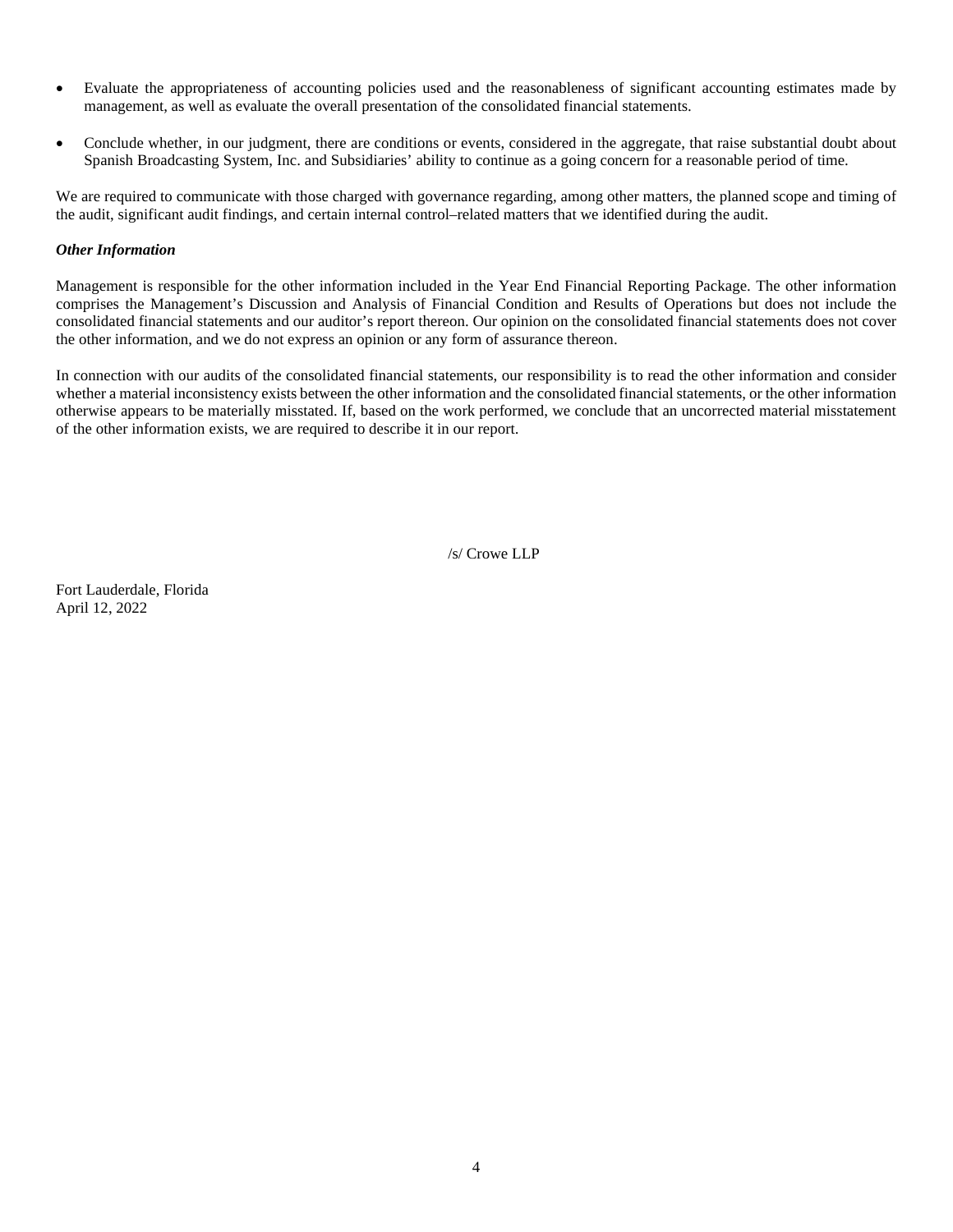- Evaluate the appropriateness of accounting policies used and the reasonableness of significant accounting estimates made by management, as well as evaluate the overall presentation of the consolidated financial statements.
- Conclude whether, in our judgment, there are conditions or events, considered in the aggregate, that raise substantial doubt about Spanish Broadcasting System, Inc. and Subsidiaries' ability to continue as a going concern for a reasonable period of time.

We are required to communicate with those charged with governance regarding, among other matters, the planned scope and timing of the audit, significant audit findings, and certain internal control–related matters that we identified during the audit.

# *Other Information*

Management is responsible for the other information included in the Year End Financial Reporting Package. The other information comprises the Management's Discussion and Analysis of Financial Condition and Results of Operations but does not include the consolidated financial statements and our auditor's report thereon. Our opinion on the consolidated financial statements does not cover the other information, and we do not express an opinion or any form of assurance thereon.

In connection with our audits of the consolidated financial statements, our responsibility is to read the other information and consider whether a material inconsistency exists between the other information and the consolidated financial statements, or the other information otherwise appears to be materially misstated. If, based on the work performed, we conclude that an uncorrected material misstatement of the other information exists, we are required to describe it in our report.

/s/ Crowe LLP

Fort Lauderdale, Florida April 12, 2022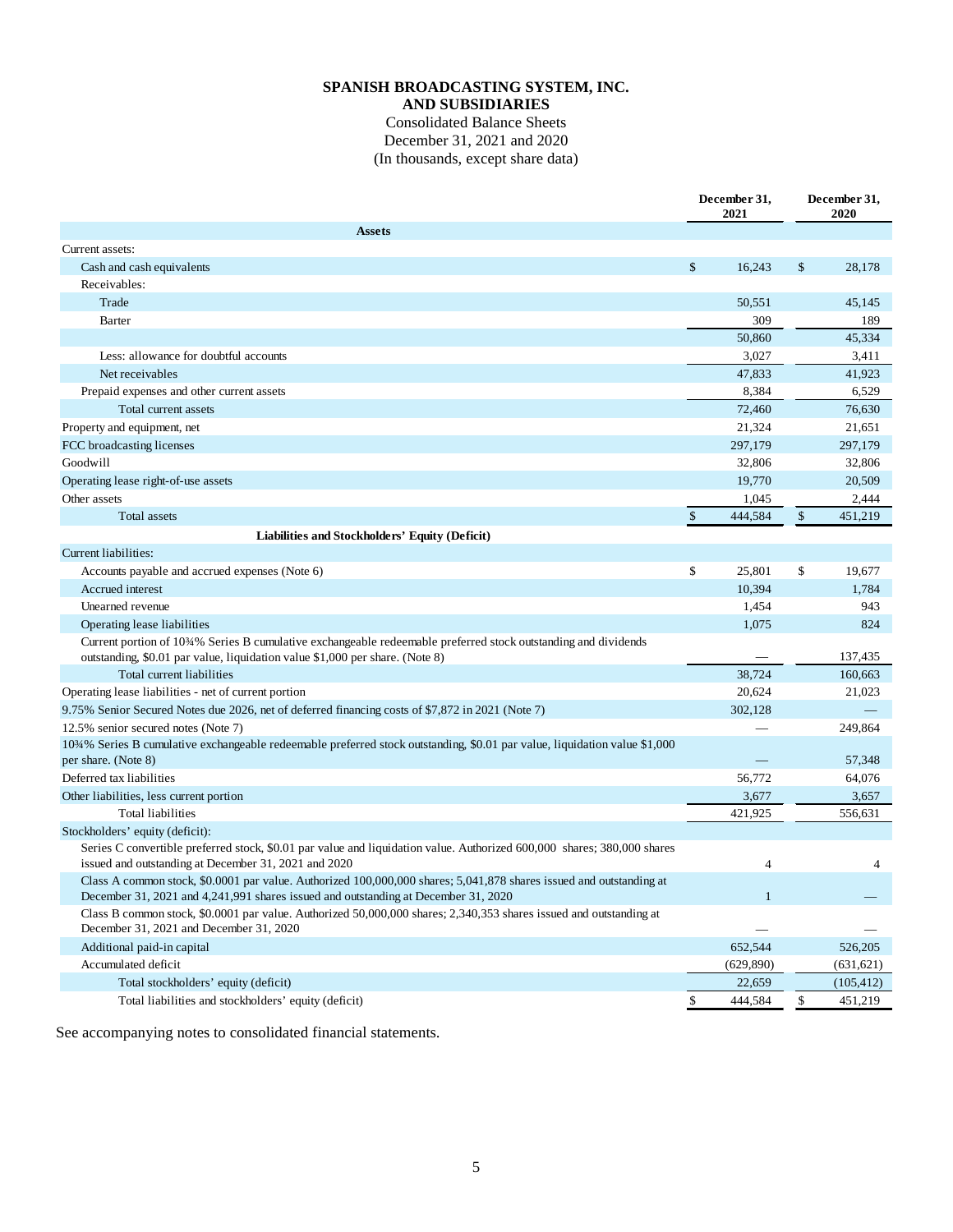# **SPANISH BROADCASTING SYSTEM, INC. AND SUBSIDIARIES**

# Consolidated Balance Sheets December 31, 2021 and 2020 (In thousands, except share data)

<span id="page-4-0"></span>

|                                                                                                                                                                                                           |              | December 31,<br>2021 |    | December 31,<br>2020 |
|-----------------------------------------------------------------------------------------------------------------------------------------------------------------------------------------------------------|--------------|----------------------|----|----------------------|
| <b>Assets</b>                                                                                                                                                                                             |              |                      |    |                      |
| Current assets:                                                                                                                                                                                           |              |                      |    |                      |
| Cash and cash equivalents                                                                                                                                                                                 | \$           | 16,243               | \$ | 28,178               |
| Receivables:                                                                                                                                                                                              |              |                      |    |                      |
| Trade                                                                                                                                                                                                     |              | 50,551               |    | 45,145               |
| Barter                                                                                                                                                                                                    |              | 309                  |    | 189                  |
|                                                                                                                                                                                                           |              | 50,860               |    | 45,334               |
| Less: allowance for doubtful accounts                                                                                                                                                                     |              | 3,027                |    | 3,411                |
| Net receivables                                                                                                                                                                                           |              | 47,833               |    | 41,923               |
| Prepaid expenses and other current assets                                                                                                                                                                 |              | 8,384                |    | 6,529                |
| Total current assets                                                                                                                                                                                      |              | 72,460               |    | 76.630               |
| Property and equipment, net                                                                                                                                                                               |              | 21,324               |    | 21,651               |
| FCC broadcasting licenses                                                                                                                                                                                 |              | 297,179              |    | 297,179              |
| Goodwill                                                                                                                                                                                                  |              |                      |    |                      |
|                                                                                                                                                                                                           |              | 32,806<br>19,770     |    | 32,806<br>20,509     |
| Operating lease right-of-use assets                                                                                                                                                                       |              |                      |    |                      |
| Other assets                                                                                                                                                                                              |              | 1,045                |    | 2,444                |
| <b>Total assets</b>                                                                                                                                                                                       | $\mathbb{S}$ | 444,584              | \$ | 451,219              |
| Liabilities and Stockholders' Equity (Deficit)                                                                                                                                                            |              |                      |    |                      |
| Current liabilities:                                                                                                                                                                                      |              |                      |    |                      |
| Accounts payable and accrued expenses (Note 6)                                                                                                                                                            | \$           | 25,801               | \$ | 19,677               |
| Accrued interest                                                                                                                                                                                          |              | 10,394               |    | 1,784                |
| Unearned revenue                                                                                                                                                                                          |              | 1,454                |    | 943                  |
| Operating lease liabilities                                                                                                                                                                               |              | 1,075                |    | 824                  |
| Current portion of 1034% Series B cumulative exchangeable redeemable preferred stock outstanding and dividends                                                                                            |              |                      |    |                      |
| outstanding, \$0.01 par value, liquidation value \$1,000 per share. (Note 8)                                                                                                                              |              |                      |    | 137,435              |
| Total current liabilities                                                                                                                                                                                 |              | 38,724               |    | 160,663              |
| Operating lease liabilities - net of current portion                                                                                                                                                      |              | 20,624               |    | 21,023               |
| 9.75% Senior Secured Notes due 2026, net of deferred financing costs of \$7,872 in 2021 (Note 7)                                                                                                          |              | 302,128              |    |                      |
| 12.5% senior secured notes (Note 7)                                                                                                                                                                       |              |                      |    | 249,864              |
| 1034% Series B cumulative exchangeable redeemable preferred stock outstanding, \$0.01 par value, liquidation value \$1,000                                                                                |              |                      |    |                      |
| per share. (Note 8)                                                                                                                                                                                       |              |                      |    | 57,348               |
| Deferred tax liabilities                                                                                                                                                                                  |              | 56,772               |    | 64,076               |
| Other liabilities, less current portion                                                                                                                                                                   |              | 3,677                |    | 3,657                |
| <b>Total liabilities</b>                                                                                                                                                                                  |              | 421,925              |    | 556,631              |
| Stockholders' equity (deficit):                                                                                                                                                                           |              |                      |    |                      |
| Series C convertible preferred stock, \$0.01 par value and liquidation value. Authorized 600,000 shares; 380,000 shares<br>issued and outstanding at December 31, 2021 and 2020                           |              | 4                    |    | 4                    |
| Class A common stock, \$0.0001 par value. Authorized 100,000,000 shares; 5,041,878 shares issued and outstanding at<br>December 31, 2021 and 4,241,991 shares issued and outstanding at December 31, 2020 |              | $\mathbf{1}$         |    |                      |
| Class B common stock, \$0.0001 par value. Authorized 50,000,000 shares; 2,340,353 shares issued and outstanding at<br>December 31, 2021 and December 31, 2020                                             |              |                      |    |                      |
|                                                                                                                                                                                                           |              |                      |    |                      |
| Additional paid-in capital                                                                                                                                                                                |              | 652,544              |    | 526,205              |
| Accumulated deficit                                                                                                                                                                                       |              | (629, 890)           |    | (631, 621)           |
| Total stockholders' equity (deficit)                                                                                                                                                                      |              | 22,659               |    | (105, 412)           |
| Total liabilities and stockholders' equity (deficit)                                                                                                                                                      | \$           | 444,584              | \$ | 451,219              |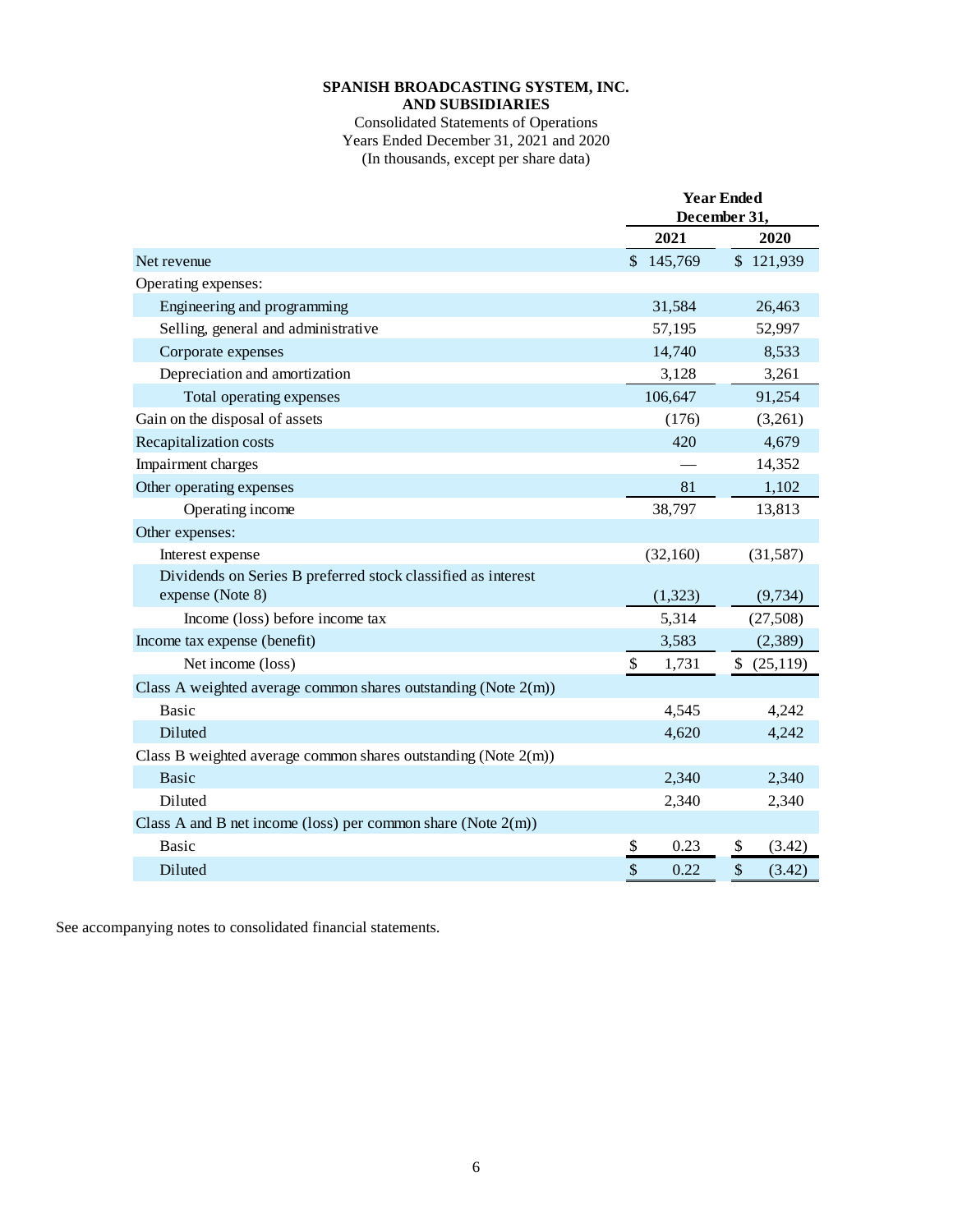# **SPANISH BROADCASTING SYSTEM, INC. AND SUBSIDIARIES**

Consolidated Statements of Operations Years Ended December 31, 2021 and 2020 (In thousands, except per share data)

<span id="page-5-0"></span>

|                                                                   | <b>Year Ended</b><br>December 31, |           |    |           |
|-------------------------------------------------------------------|-----------------------------------|-----------|----|-----------|
|                                                                   |                                   | 2021      |    | 2020      |
| Net revenue                                                       |                                   | \$145,769 |    | \$121,939 |
| Operating expenses:                                               |                                   |           |    |           |
| Engineering and programming                                       |                                   | 31,584    |    | 26,463    |
| Selling, general and administrative                               |                                   | 57,195    |    | 52,997    |
| Corporate expenses                                                |                                   | 14,740    |    | 8,533     |
| Depreciation and amortization                                     |                                   | 3,128     |    | 3,261     |
| Total operating expenses                                          |                                   | 106,647   |    | 91,254    |
| Gain on the disposal of assets                                    |                                   | (176)     |    | (3,261)   |
| Recapitalization costs                                            |                                   | 420       |    | 4,679     |
| Impairment charges                                                |                                   |           |    | 14,352    |
| Other operating expenses                                          |                                   | 81        |    | 1,102     |
| Operating income                                                  |                                   | 38,797    |    | 13,813    |
| Other expenses:                                                   |                                   |           |    |           |
| Interest expense                                                  |                                   | (32,160)  |    | (31,587)  |
| Dividends on Series B preferred stock classified as interest      |                                   |           |    |           |
| expense (Note 8)                                                  |                                   | (1,323)   |    | (9, 734)  |
| Income (loss) before income tax                                   |                                   | 5,314     |    | (27,508)  |
| Income tax expense (benefit)                                      |                                   | 3,583     |    | (2,389)   |
| Net income (loss)                                                 | \$                                | 1,731     | \$ | (25, 119) |
| Class A weighted average common shares outstanding (Note $2(m)$ ) |                                   |           |    |           |
| <b>Basic</b>                                                      |                                   | 4,545     |    | 4,242     |
| <b>Diluted</b>                                                    |                                   | 4,620     |    | 4,242     |
| Class B weighted average common shares outstanding (Note $2(m)$ ) |                                   |           |    |           |
| <b>Basic</b>                                                      |                                   | 2,340     |    | 2,340     |
| Diluted                                                           |                                   | 2,340     |    | 2,340     |
| Class A and B net income (loss) per common share (Note $2(m)$ )   |                                   |           |    |           |
| <b>Basic</b>                                                      | \$                                | 0.23      | \$ | (3.42)    |
| Diluted                                                           | \$                                | 0.22      | \$ | (3.42)    |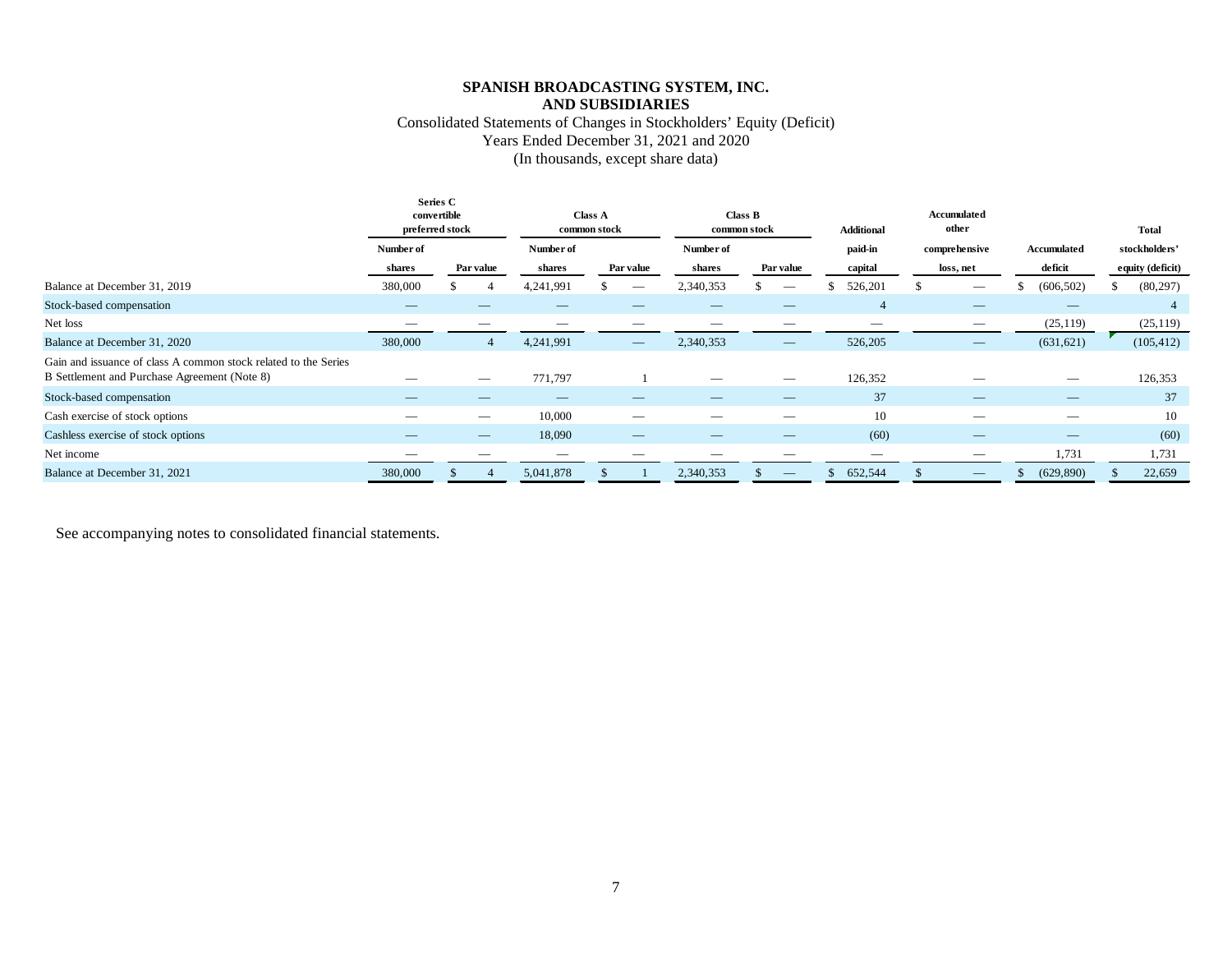# **SPANISH BROADCASTING SYSTEM, INC. AND SUBSIDIARIES** Consolidated Statements of Changes in Stockholders' Equity (Deficit) Years Ended December 31, 2021 and 2020 (In thousands, except share data)

<span id="page-6-0"></span>

|                                                                                                                 |                   | Series C<br>convertible<br>preferred stock |                          | <b>Class A</b><br>common stock  |                          | Class B<br>common stock  |                | Accumulated<br>other<br><b>Additional</b> |             | Total            |
|-----------------------------------------------------------------------------------------------------------------|-------------------|--------------------------------------------|--------------------------|---------------------------------|--------------------------|--------------------------|----------------|-------------------------------------------|-------------|------------------|
|                                                                                                                 | Number of         |                                            | Number of                |                                 | Number of                |                          | paid-in        | comprehensive                             | Accumulated | stockholders'    |
|                                                                                                                 | shares            | Par value                                  | shares                   | Par value                       | shares                   | Par value                | capital        | loss, net                                 | deficit     | equity (deficit) |
| Balance at December 31, 2019                                                                                    | 380,000           | 4                                          | 4,241,991                | $\overline{\phantom{a}}$        | 2,340,353                | $\overline{\phantom{m}}$ | 526,201        |                                           | (606, 502)  | (80, 297)        |
| Stock-based compensation                                                                                        |                   |                                            |                          |                                 |                          | __                       | $\overline{4}$ |                                           | $-$         |                  |
| Net loss                                                                                                        |                   |                                            |                          |                                 |                          |                          |                |                                           | (25, 119)   | (25, 119)        |
| Balance at December 31, 2020                                                                                    | 380,000           | $\overline{4}$                             | 4,241,991                | $\hspace{0.1mm}-\hspace{0.1mm}$ | 2,340,353                | $\qquad \qquad$          | 526,205        |                                           | (631, 621)  | (105, 412)       |
| Gain and issuance of class A common stock related to the Series<br>B Settlement and Purchase Agreement (Note 8) |                   |                                            | 771,797                  |                                 |                          | $\qquad \qquad$          | 126,352        |                                           |             | 126,353          |
| Stock-based compensation                                                                                        | $\qquad \qquad -$ | $\overline{\phantom{a}}$                   | $\overline{\phantom{a}}$ |                                 | $\overline{\phantom{a}}$ |                          | 37             | $\frac{1}{2}$                             |             | 37               |
| Cash exercise of stock options                                                                                  |                   |                                            | 10,000                   |                                 |                          |                          | 10             |                                           |             | 10               |
| Cashless exercise of stock options                                                                              |                   | $\qquad \qquad \longleftarrow$             | 18,090                   | $\qquad \qquad \longleftarrow$  |                          |                          | (60)           | $\frac{1}{2}$                             | $-$         | (60)             |
| Net income                                                                                                      |                   |                                            |                          |                                 |                          |                          |                | $-$                                       | 1,731       | 1,731            |
| Balance at December 31, 2021                                                                                    | 380,000           |                                            | 5,041,878                |                                 | 2,340,353                |                          | 652,544        |                                           | (629, 890)  | 22,659           |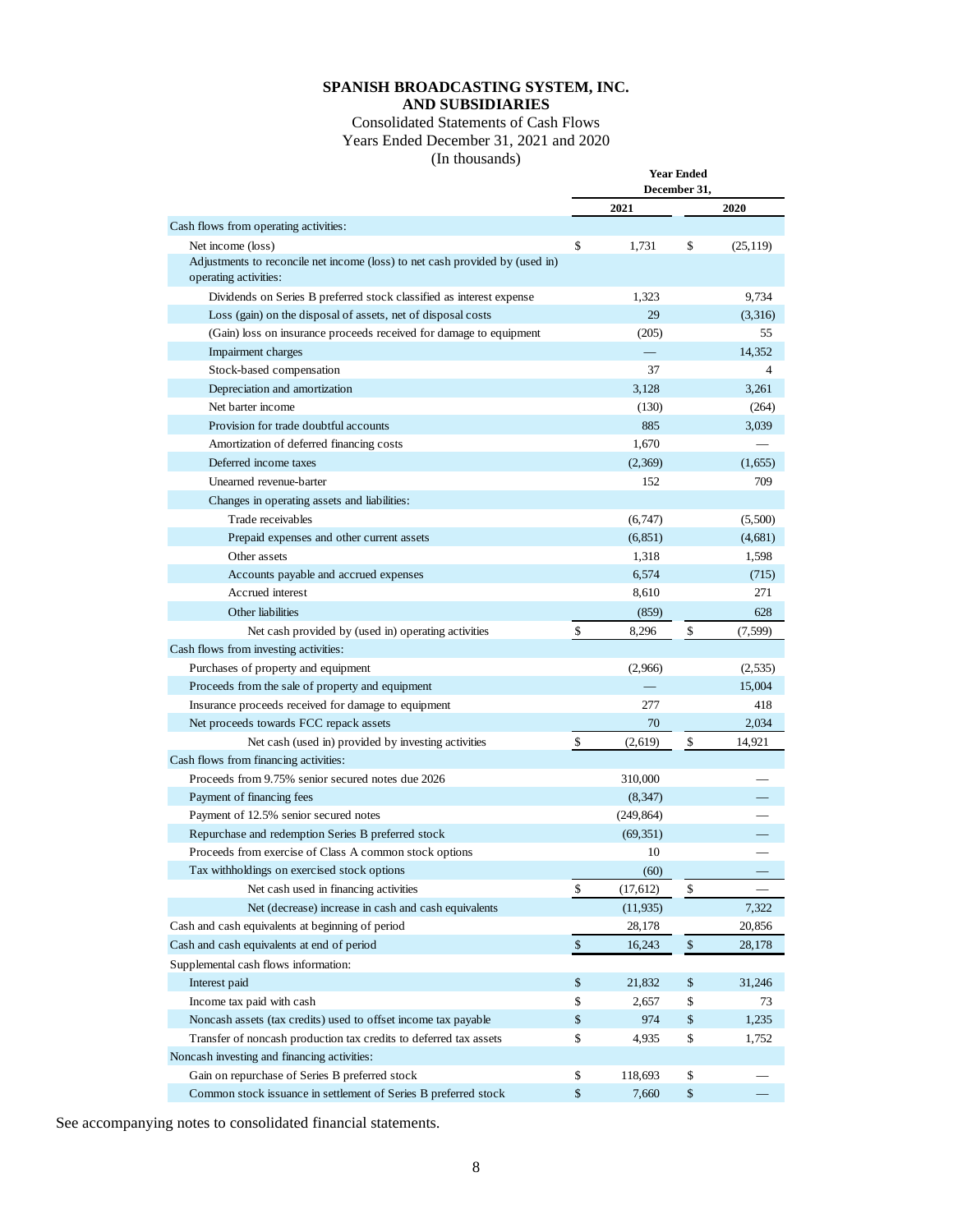# **SPANISH BROADCASTING SYSTEM, INC. AND SUBSIDIARIES**

# Consolidated Statements of Cash Flows Years Ended December 31, 2021 and 2020 (In thousands)

<span id="page-7-0"></span>

|                                                                                                       | <b>Year Ended</b><br>December 31, |            |              |           |
|-------------------------------------------------------------------------------------------------------|-----------------------------------|------------|--------------|-----------|
|                                                                                                       |                                   | 2021       |              | 2020      |
| Cash flows from operating activities:                                                                 |                                   |            |              |           |
| Net income (loss)                                                                                     | \$                                | 1,731      | \$           | (25, 119) |
| Adjustments to reconcile net income (loss) to net cash provided by (used in)<br>operating activities: |                                   |            |              |           |
| Dividends on Series B preferred stock classified as interest expense                                  |                                   | 1,323      |              | 9,734     |
| Loss (gain) on the disposal of assets, net of disposal costs                                          |                                   | 29         |              | (3,316)   |
| (Gain) loss on insurance proceeds received for damage to equipment                                    |                                   | (205)      |              | 55        |
| Impairment charges                                                                                    |                                   |            |              | 14,352    |
| Stock-based compensation                                                                              |                                   | 37         |              | 4         |
| Depreciation and amortization                                                                         |                                   | 3,128      |              | 3.261     |
| Net barter income                                                                                     |                                   | (130)      |              | (264)     |
| Provision for trade doubtful accounts                                                                 |                                   | 885        |              | 3,039     |
| Amortization of deferred financing costs                                                              |                                   | 1,670      |              |           |
| Deferred income taxes                                                                                 |                                   | (2,369)    |              | (1,655)   |
| Unearned revenue-barter                                                                               |                                   | 152        |              | 709       |
| Changes in operating assets and liabilities:                                                          |                                   |            |              |           |
| Trade receivables                                                                                     |                                   | (6,747)    |              | (5,500)   |
| Prepaid expenses and other current assets                                                             |                                   | (6, 851)   |              | (4,681)   |
| Other assets                                                                                          |                                   | 1,318      |              | 1,598     |
| Accounts payable and accrued expenses                                                                 |                                   | 6,574      |              | (715)     |
| Accrued interest                                                                                      |                                   | 8,610      |              | 271       |
| Other liabilities                                                                                     |                                   | (859)      |              | 628       |
| Net cash provided by (used in) operating activities                                                   | \$                                | 8,296      | \$           | (7, 599)  |
| Cash flows from investing activities:                                                                 |                                   |            |              |           |
| Purchases of property and equipment                                                                   |                                   | (2,966)    |              | (2, 535)  |
| Proceeds from the sale of property and equipment                                                      |                                   |            |              | 15,004    |
| Insurance proceeds received for damage to equipment                                                   |                                   | 277        |              | 418       |
| Net proceeds towards FCC repack assets                                                                |                                   | 70         |              | 2,034     |
| Net cash (used in) provided by investing activities                                                   | \$                                | (2,619)    | \$           | 14,921    |
| Cash flows from financing activities:                                                                 |                                   |            |              |           |
| Proceeds from 9.75% senior secured notes due 2026                                                     |                                   | 310,000    |              |           |
| Payment of financing fees                                                                             |                                   | (8, 347)   |              |           |
| Payment of 12.5% senior secured notes                                                                 |                                   | (249, 864) |              |           |
| Repurchase and redemption Series B preferred stock                                                    |                                   | (69, 351)  |              |           |
| Proceeds from exercise of Class A common stock options                                                |                                   | 10         |              |           |
| Tax withholdings on exercised stock options                                                           |                                   | (60)       |              |           |
| Net cash used in financing activities                                                                 | \$                                | (17, 612)  | \$           |           |
| Net (decrease) increase in cash and cash equivalents                                                  |                                   | (11, 935)  |              | 7,322     |
| Cash and cash equivalents at beginning of period                                                      |                                   | 28,178     |              | 20,856    |
| Cash and cash equivalents at end of period                                                            | $\mathbb{S}$                      | 16,243     | $\mathbb{S}$ | 28,178    |
| Supplemental cash flows information:                                                                  |                                   |            |              |           |
| Interest paid                                                                                         | \$                                | 21,832     | $\$$         | 31,246    |
| Income tax paid with cash                                                                             | \$                                | 2,657      | \$           | 73        |
| Noncash assets (tax credits) used to offset income tax payable                                        | \$                                | 974        | $\mathbb{S}$ | 1,235     |
| Transfer of noncash production tax credits to deferred tax assets                                     | \$                                | 4,935      | \$           | 1,752     |
| Noncash investing and financing activities:                                                           |                                   |            |              |           |
| Gain on repurchase of Series B preferred stock                                                        | \$                                | 118,693    | \$           |           |
| Common stock issuance in settlement of Series B preferred stock                                       | \$                                | 7,660      | $\sqrt{\ }$  |           |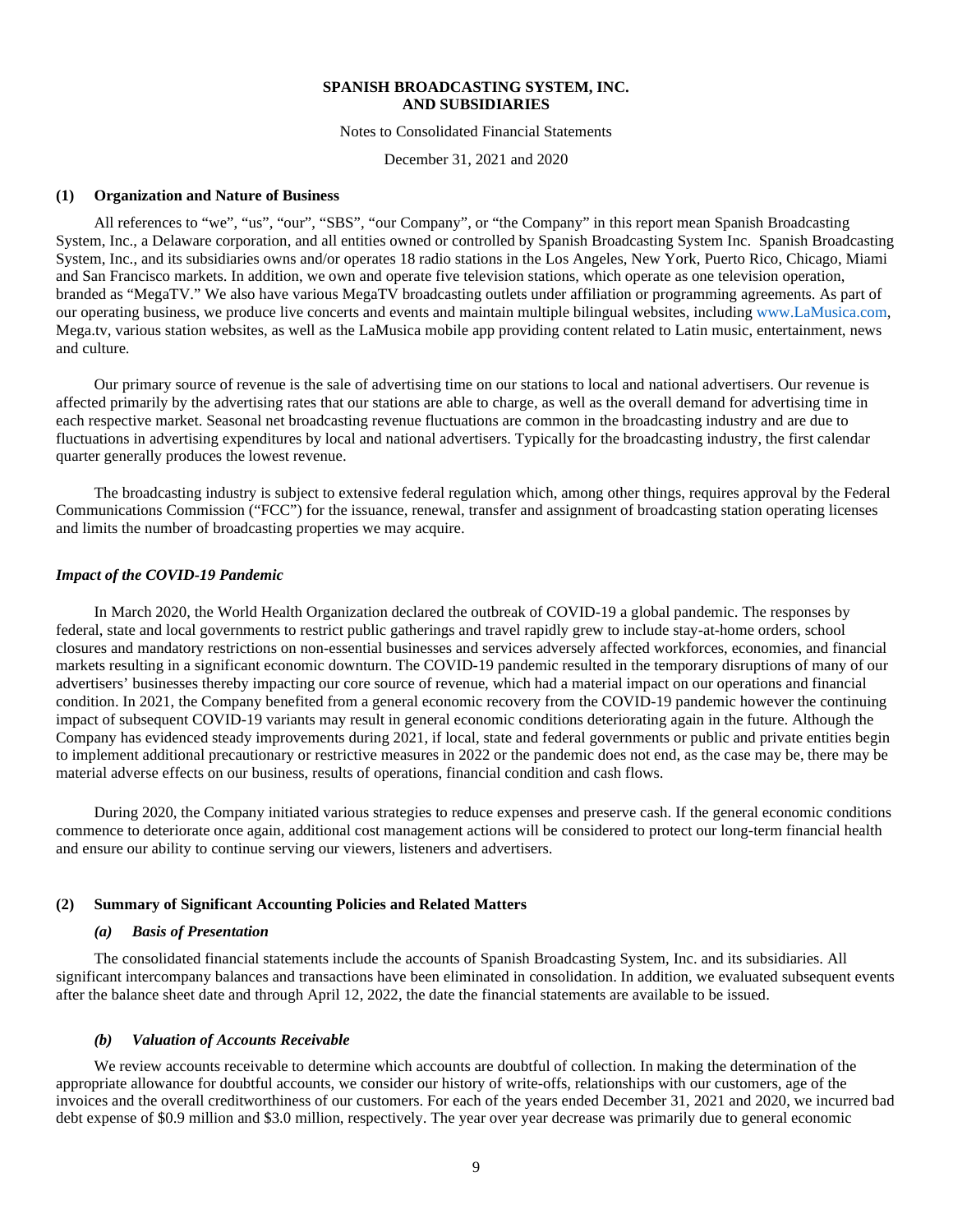## **SPANISH BROADCASTING SYSTEM, INC. AND SUBSIDIARIES**

Notes to Consolidated Financial Statements

December 31, 2021 and 2020

#### <span id="page-8-0"></span>**(1) Organization and Nature of Business**

All references to "we", "us", "our", "SBS", "our Company", or "the Company" in this report mean Spanish Broadcasting System, Inc., a Delaware corporation, and all entities owned or controlled by Spanish Broadcasting System Inc. Spanish Broadcasting System, Inc., and its subsidiaries owns and/or operates 18 radio stations in the Los Angeles, New York, Puerto Rico, Chicago, Miami and San Francisco markets. In addition, we own and operate five television stations, which operate as one television operation, branded as "MegaTV." We also have various MegaTV broadcasting outlets under affiliation or programming agreements. As part of our operating business, we produce live concerts and events and maintain multiple bilingual websites, including www.LaMusica.com, Mega.tv, various station websites, as well as the LaMusica mobile app providing content related to Latin music, entertainment, news and culture.

Our primary source of revenue is the sale of advertising time on our stations to local and national advertisers. Our revenue is affected primarily by the advertising rates that our stations are able to charge, as well as the overall demand for advertising time in each respective market. Seasonal net broadcasting revenue fluctuations are common in the broadcasting industry and are due to fluctuations in advertising expenditures by local and national advertisers. Typically for the broadcasting industry, the first calendar quarter generally produces the lowest revenue.

The broadcasting industry is subject to extensive federal regulation which, among other things, requires approval by the Federal Communications Commission ("FCC") for the issuance, renewal, transfer and assignment of broadcasting station operating licenses and limits the number of broadcasting properties we may acquire.

#### *Impact of the COVID-19 Pandemic*

In March 2020, the World Health Organization declared the outbreak of COVID-19 a global pandemic. The responses by federal, state and local governments to restrict public gatherings and travel rapidly grew to include stay-at-home orders, school closures and mandatory restrictions on non-essential businesses and services adversely affected workforces, economies, and financial markets resulting in a significant economic downturn. The COVID-19 pandemic resulted in the temporary disruptions of many of our advertisers' businesses thereby impacting our core source of revenue, which had a material impact on our operations and financial condition. In 2021, the Company benefited from a general economic recovery from the COVID-19 pandemic however the continuing impact of subsequent COVID-19 variants may result in general economic conditions deteriorating again in the future. Although the Company has evidenced steady improvements during 2021, if local, state and federal governments or public and private entities begin to implement additional precautionary or restrictive measures in 2022 or the pandemic does not end, as the case may be, there may be material adverse effects on our business, results of operations, financial condition and cash flows.

During 2020, the Company initiated various strategies to reduce expenses and preserve cash. If the general economic conditions commence to deteriorate once again, additional cost management actions will be considered to protect our long-term financial health and ensure our ability to continue serving our viewers, listeners and advertisers.

#### **(2) Summary of Significant Accounting Policies and Related Matters**

#### *(a) Basis of Presentation*

The consolidated financial statements include the accounts of Spanish Broadcasting System, Inc. and its subsidiaries. All significant intercompany balances and transactions have been eliminated in consolidation. In addition, we evaluated subsequent events after the balance sheet date and through April 12, 2022, the date the financial statements are available to be issued.

#### *(b) Valuation of Accounts Receivable*

We review accounts receivable to determine which accounts are doubtful of collection. In making the determination of the appropriate allowance for doubtful accounts, we consider our history of write-offs, relationships with our customers, age of the invoices and the overall creditworthiness of our customers. For each of the years ended December 31, 2021 and 2020, we incurred bad debt expense of \$0.9 million and \$3.0 million, respectively. The year over year decrease was primarily due to general economic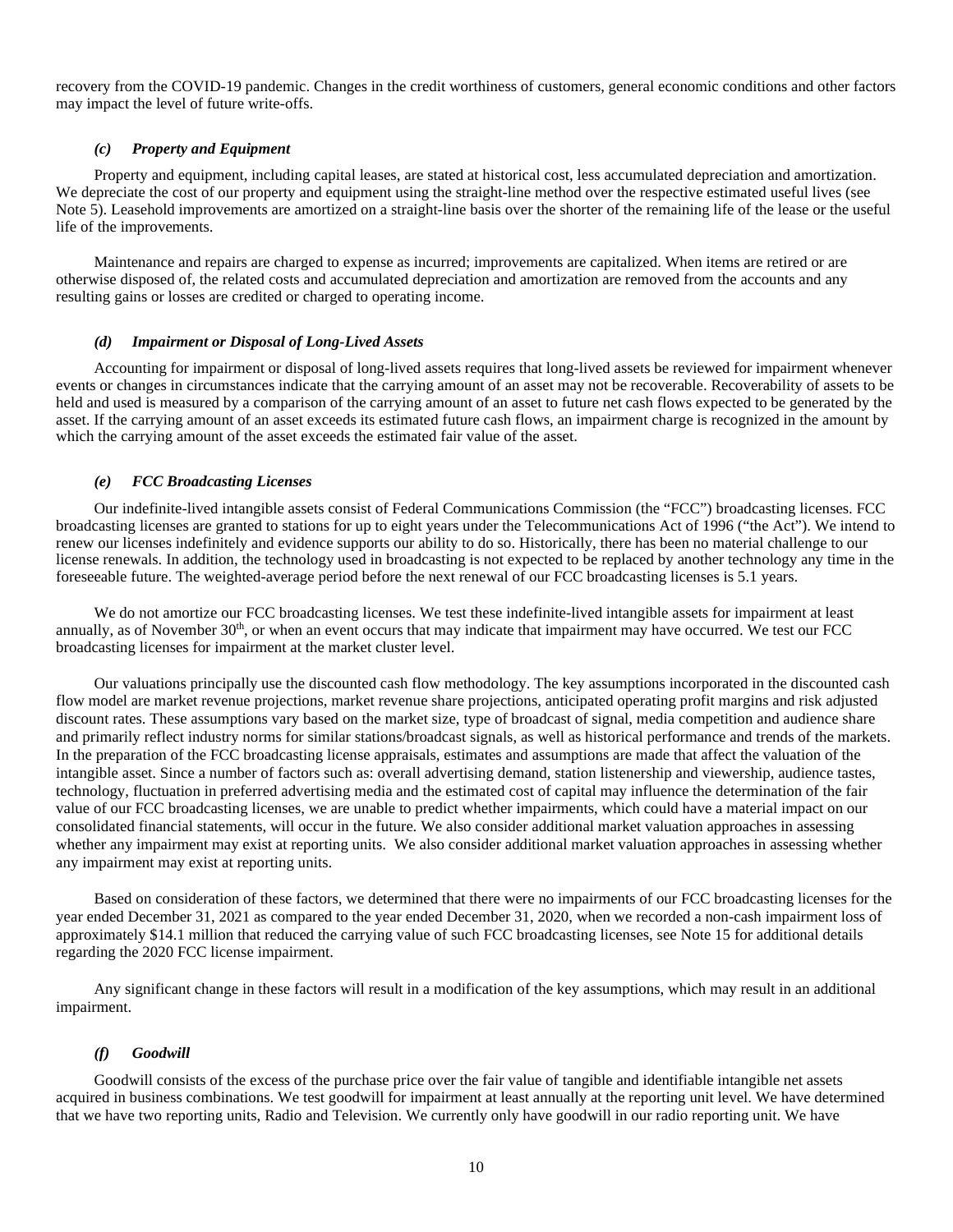recovery from the COVID-19 pandemic. Changes in the credit worthiness of customers, general economic conditions and other factors may impact the level of future write-offs.

## *(c) Property and Equipment*

Property and equipment, including capital leases, are stated at historical cost, less accumulated depreciation and amortization. We depreciate the cost of our property and equipment using the straight-line method over the respective estimated useful lives (see Note 5). Leasehold improvements are amortized on a straight-line basis over the shorter of the remaining life of the lease or the useful life of the improvements.

Maintenance and repairs are charged to expense as incurred; improvements are capitalized. When items are retired or are otherwise disposed of, the related costs and accumulated depreciation and amortization are removed from the accounts and any resulting gains or losses are credited or charged to operating income.

# *(d) Impairment or Disposal of Long-Lived Assets*

Accounting for impairment or disposal of long-lived assets requires that long-lived assets be reviewed for impairment whenever events or changes in circumstances indicate that the carrying amount of an asset may not be recoverable. Recoverability of assets to be held and used is measured by a comparison of the carrying amount of an asset to future net cash flows expected to be generated by the asset. If the carrying amount of an asset exceeds its estimated future cash flows, an impairment charge is recognized in the amount by which the carrying amount of the asset exceeds the estimated fair value of the asset.

#### *(e) FCC Broadcasting Licenses*

Our indefinite-lived intangible assets consist of Federal Communications Commission (the "FCC") broadcasting licenses. FCC broadcasting licenses are granted to stations for up to eight years under the Telecommunications Act of 1996 ("the Act"). We intend to renew our licenses indefinitely and evidence supports our ability to do so. Historically, there has been no material challenge to our license renewals. In addition, the technology used in broadcasting is not expected to be replaced by another technology any time in the foreseeable future. The weighted-average period before the next renewal of our FCC broadcasting licenses is 5.1 years.

We do not amortize our FCC broadcasting licenses. We test these indefinite-lived intangible assets for impairment at least annually, as of November  $30<sup>th</sup>$ , or when an event occurs that may indicate that impairment may have occurred. We test our FCC broadcasting licenses for impairment at the market cluster level.

Our valuations principally use the discounted cash flow methodology. The key assumptions incorporated in the discounted cash flow model are market revenue projections, market revenue share projections, anticipated operating profit margins and risk adjusted discount rates. These assumptions vary based on the market size, type of broadcast of signal, media competition and audience share and primarily reflect industry norms for similar stations/broadcast signals, as well as historical performance and trends of the markets. In the preparation of the FCC broadcasting license appraisals, estimates and assumptions are made that affect the valuation of the intangible asset. Since a number of factors such as: overall advertising demand, station listenership and viewership, audience tastes, technology, fluctuation in preferred advertising media and the estimated cost of capital may influence the determination of the fair value of our FCC broadcasting licenses, we are unable to predict whether impairments, which could have a material impact on our consolidated financial statements, will occur in the future. We also consider additional market valuation approaches in assessing whether any impairment may exist at reporting units. We also consider additional market valuation approaches in assessing whether any impairment may exist at reporting units.

Based on consideration of these factors, we determined that there were no impairments of our FCC broadcasting licenses for the year ended December 31, 2021 as compared to the year ended December 31, 2020, when we recorded a non-cash impairment loss of approximately \$14.1 million that reduced the carrying value of such FCC broadcasting licenses, see Note 15 for additional details regarding the 2020 FCC license impairment.

Any significant change in these factors will result in a modification of the key assumptions, which may result in an additional impairment.

# *(f) Goodwill*

Goodwill consists of the excess of the purchase price over the fair value of tangible and identifiable intangible net assets acquired in business combinations. We test goodwill for impairment at least annually at the reporting unit level. We have determined that we have two reporting units, Radio and Television. We currently only have goodwill in our radio reporting unit. We have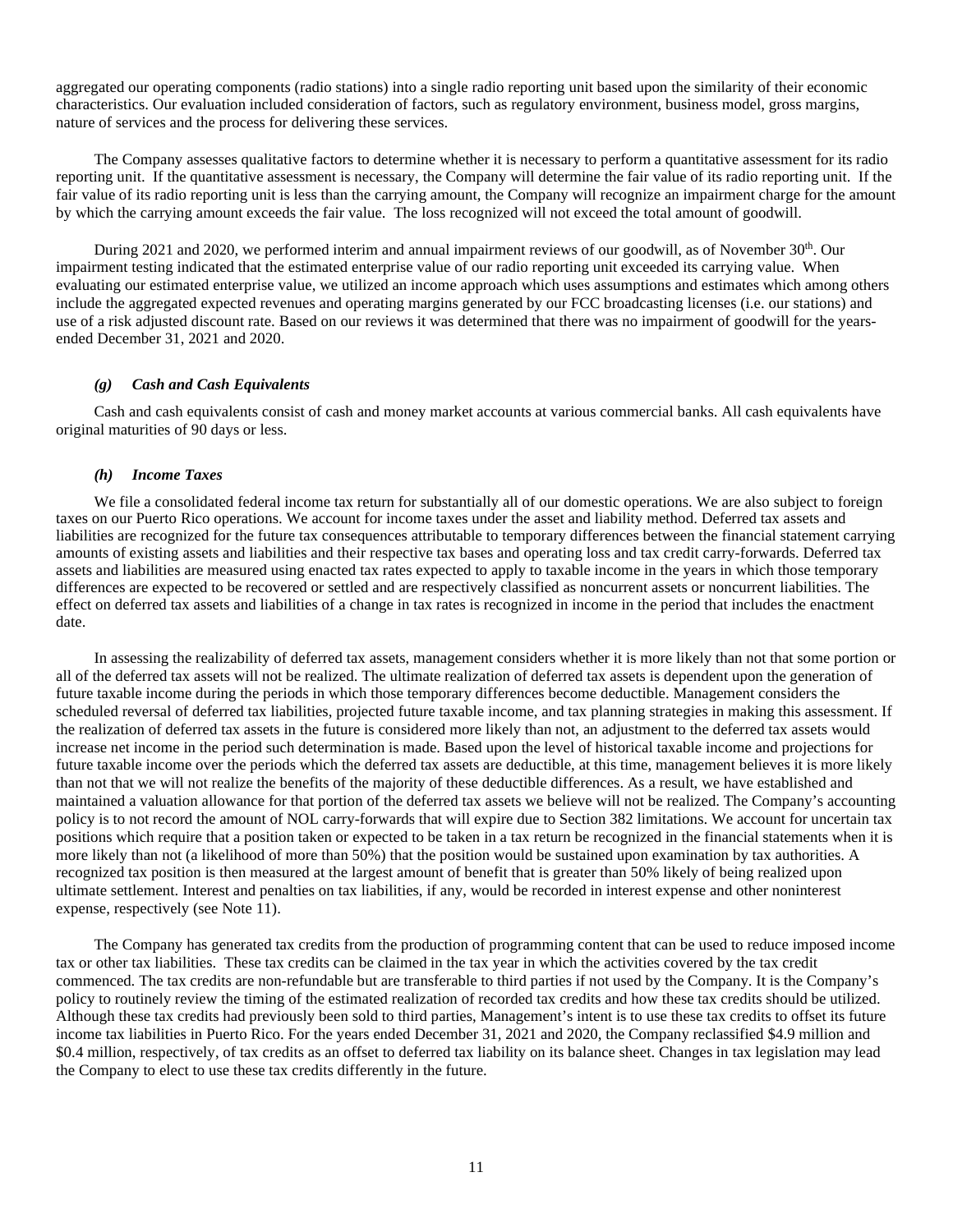aggregated our operating components (radio stations) into a single radio reporting unit based upon the similarity of their economic characteristics. Our evaluation included consideration of factors, such as regulatory environment, business model, gross margins, nature of services and the process for delivering these services.

The Company assesses qualitative factors to determine whether it is necessary to perform a quantitative assessment for its radio reporting unit. If the quantitative assessment is necessary, the Company will determine the fair value of its radio reporting unit. If the fair value of its radio reporting unit is less than the carrying amount, the Company will recognize an impairment charge for the amount by which the carrying amount exceeds the fair value. The loss recognized will not exceed the total amount of goodwill.

During 2021 and 2020, we performed interim and annual impairment reviews of our goodwill, as of November 30<sup>th</sup>. Our impairment testing indicated that the estimated enterprise value of our radio reporting unit exceeded its carrying value. When evaluating our estimated enterprise value, we utilized an income approach which uses assumptions and estimates which among others include the aggregated expected revenues and operating margins generated by our FCC broadcasting licenses (i.e. our stations) and use of a risk adjusted discount rate. Based on our reviews it was determined that there was no impairment of goodwill for the yearsended December 31, 2021 and 2020.

# *(g) Cash and Cash Equivalents*

Cash and cash equivalents consist of cash and money market accounts at various commercial banks. All cash equivalents have original maturities of 90 days or less.

#### *(h) Income Taxes*

We file a consolidated federal income tax return for substantially all of our domestic operations. We are also subject to foreign taxes on our Puerto Rico operations. We account for income taxes under the asset and liability method. Deferred tax assets and liabilities are recognized for the future tax consequences attributable to temporary differences between the financial statement carrying amounts of existing assets and liabilities and their respective tax bases and operating loss and tax credit carry-forwards. Deferred tax assets and liabilities are measured using enacted tax rates expected to apply to taxable income in the years in which those temporary differences are expected to be recovered or settled and are respectively classified as noncurrent assets or noncurrent liabilities. The effect on deferred tax assets and liabilities of a change in tax rates is recognized in income in the period that includes the enactment date.

In assessing the realizability of deferred tax assets, management considers whether it is more likely than not that some portion or all of the deferred tax assets will not be realized. The ultimate realization of deferred tax assets is dependent upon the generation of future taxable income during the periods in which those temporary differences become deductible. Management considers the scheduled reversal of deferred tax liabilities, projected future taxable income, and tax planning strategies in making this assessment. If the realization of deferred tax assets in the future is considered more likely than not, an adjustment to the deferred tax assets would increase net income in the period such determination is made. Based upon the level of historical taxable income and projections for future taxable income over the periods which the deferred tax assets are deductible, at this time, management believes it is more likely than not that we will not realize the benefits of the majority of these deductible differences. As a result, we have established and maintained a valuation allowance for that portion of the deferred tax assets we believe will not be realized. The Company's accounting policy is to not record the amount of NOL carry-forwards that will expire due to Section 382 limitations. We account for uncertain tax positions which require that a position taken or expected to be taken in a tax return be recognized in the financial statements when it is more likely than not (a likelihood of more than 50%) that the position would be sustained upon examination by tax authorities. A recognized tax position is then measured at the largest amount of benefit that is greater than 50% likely of being realized upon ultimate settlement. Interest and penalties on tax liabilities, if any, would be recorded in interest expense and other noninterest expense, respectively (see Note 11).

The Company has generated tax credits from the production of programming content that can be used to reduce imposed income tax or other tax liabilities. These tax credits can be claimed in the tax year in which the activities covered by the tax credit commenced. The tax credits are non-refundable but are transferable to third parties if not used by the Company. It is the Company's policy to routinely review the timing of the estimated realization of recorded tax credits and how these tax credits should be utilized. Although these tax credits had previously been sold to third parties, Management's intent is to use these tax credits to offset its future income tax liabilities in Puerto Rico. For the years ended December 31, 2021 and 2020, the Company reclassified \$4.9 million and \$0.4 million, respectively, of tax credits as an offset to deferred tax liability on its balance sheet. Changes in tax legislation may lead the Company to elect to use these tax credits differently in the future.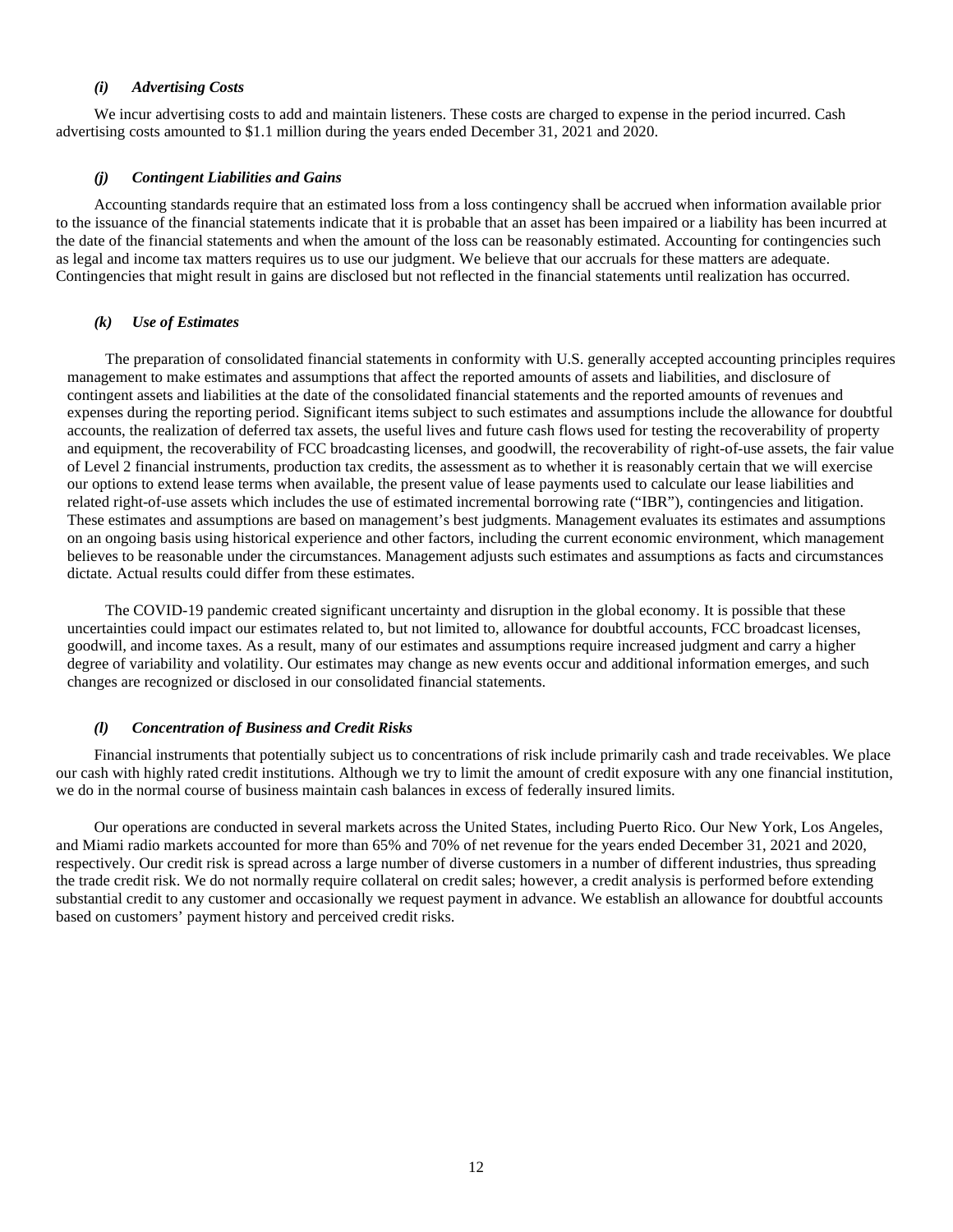## *(i) Advertising Costs*

We incur advertising costs to add and maintain listeners. These costs are charged to expense in the period incurred. Cash advertising costs amounted to \$1.1 million during the years ended December 31, 2021 and 2020.

## *(j) Contingent Liabilities and Gains*

Accounting standards require that an estimated loss from a loss contingency shall be accrued when information available prior to the issuance of the financial statements indicate that it is probable that an asset has been impaired or a liability has been incurred at the date of the financial statements and when the amount of the loss can be reasonably estimated. Accounting for contingencies such as legal and income tax matters requires us to use our judgment. We believe that our accruals for these matters are adequate. Contingencies that might result in gains are disclosed but not reflected in the financial statements until realization has occurred.

## *(k) Use of Estimates*

The preparation of consolidated financial statements in conformity with U.S. generally accepted accounting principles requires management to make estimates and assumptions that affect the reported amounts of assets and liabilities, and disclosure of contingent assets and liabilities at the date of the consolidated financial statements and the reported amounts of revenues and expenses during the reporting period. Significant items subject to such estimates and assumptions include the allowance for doubtful accounts, the realization of deferred tax assets, the useful lives and future cash flows used for testing the recoverability of property and equipment, the recoverability of FCC broadcasting licenses, and goodwill, the recoverability of right-of-use assets, the fair value of Level 2 financial instruments, production tax credits, the assessment as to whether it is reasonably certain that we will exercise our options to extend lease terms when available, the present value of lease payments used to calculate our lease liabilities and related right-of-use assets which includes the use of estimated incremental borrowing rate ("IBR"), contingencies and litigation. These estimates and assumptions are based on management's best judgments. Management evaluates its estimates and assumptions on an ongoing basis using historical experience and other factors, including the current economic environment, which management believes to be reasonable under the circumstances. Management adjusts such estimates and assumptions as facts and circumstances dictate. Actual results could differ from these estimates.

The COVID-19 pandemic created significant uncertainty and disruption in the global economy. It is possible that these uncertainties could impact our estimates related to, but not limited to, allowance for doubtful accounts, FCC broadcast licenses, goodwill, and income taxes. As a result, many of our estimates and assumptions require increased judgment and carry a higher degree of variability and volatility. Our estimates may change as new events occur and additional information emerges, and such changes are recognized or disclosed in our consolidated financial statements.

# *(l) Concentration of Business and Credit Risks*

Financial instruments that potentially subject us to concentrations of risk include primarily cash and trade receivables. We place our cash with highly rated credit institutions. Although we try to limit the amount of credit exposure with any one financial institution, we do in the normal course of business maintain cash balances in excess of federally insured limits.

Our operations are conducted in several markets across the United States, including Puerto Rico. Our New York, Los Angeles, and Miami radio markets accounted for more than 65% and 70% of net revenue for the years ended December 31, 2021 and 2020, respectively. Our credit risk is spread across a large number of diverse customers in a number of different industries, thus spreading the trade credit risk. We do not normally require collateral on credit sales; however, a credit analysis is performed before extending substantial credit to any customer and occasionally we request payment in advance. We establish an allowance for doubtful accounts based on customers' payment history and perceived credit risks.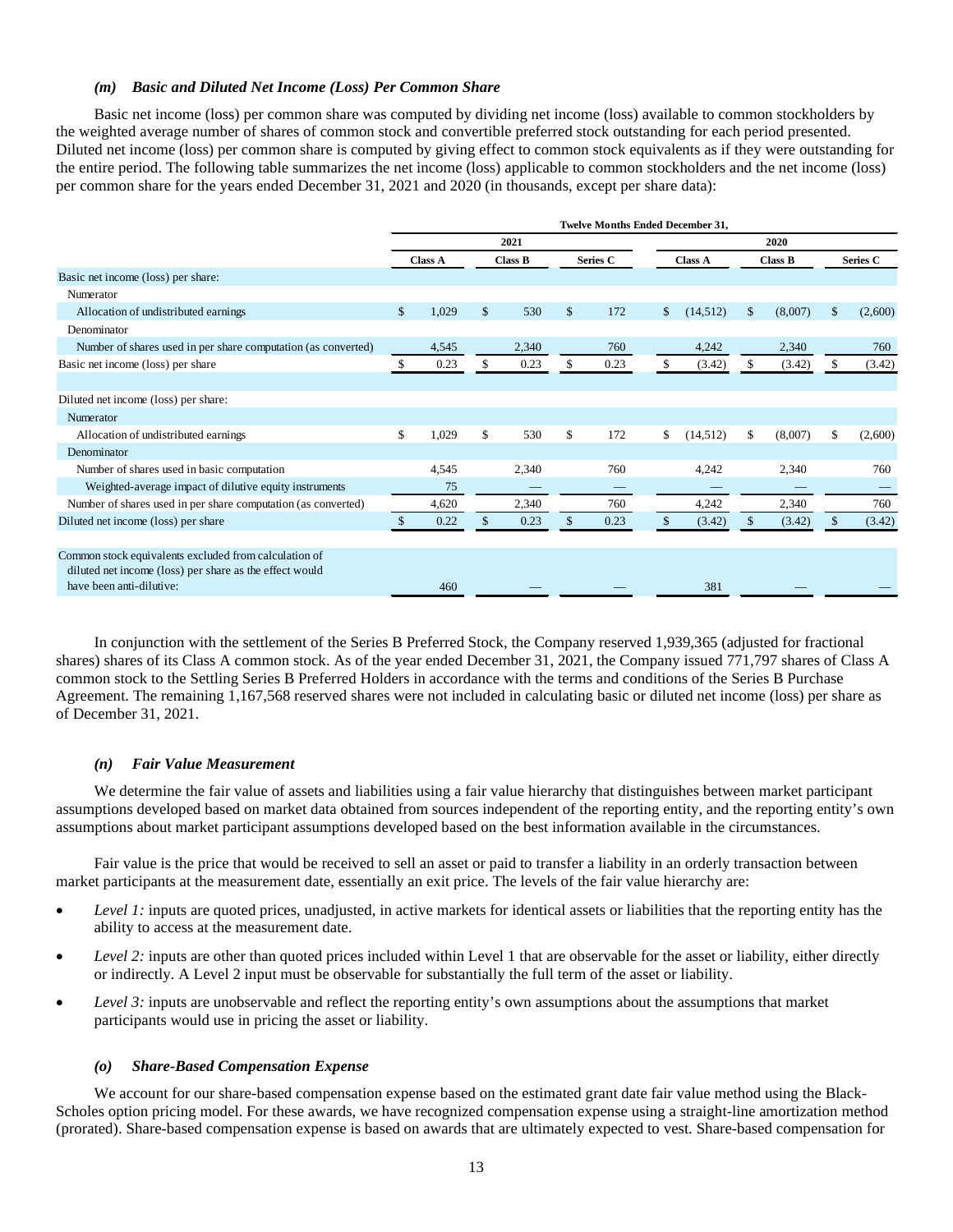## *(m) Basic and Diluted Net Income (Loss) Per Common Share*

Basic net income (loss) per common share was computed by dividing net income (loss) available to common stockholders by the weighted average number of shares of common stock and convertible preferred stock outstanding for each period presented. Diluted net income (loss) per common share is computed by giving effect to common stock equivalents as if they were outstanding for the entire period. The following table summarizes the net income (loss) applicable to common stockholders and the net income (loss) per common share for the years ended December 31, 2021 and 2020 (in thousands, except per share data):

|                                                               | <b>Twelve Months Ended December 31,</b> |                |              |                |               |          |     |                |     |                |          |          |
|---------------------------------------------------------------|-----------------------------------------|----------------|--------------|----------------|---------------|----------|-----|----------------|-----|----------------|----------|----------|
|                                                               | 2021                                    |                |              |                |               |          |     | 2020           |     |                |          |          |
|                                                               |                                         | <b>Class A</b> |              | <b>Class B</b> |               | Series C |     | <b>Class A</b> |     | <b>Class B</b> |          | Series C |
| Basic net income (loss) per share:                            |                                         |                |              |                |               |          |     |                |     |                |          |          |
| Numerator                                                     |                                         |                |              |                |               |          |     |                |     |                |          |          |
| Allocation of undistributed earnings                          | $\mathbb{S}$                            | 1,029          | $\mathbb{S}$ | 530            | $\mathcal{S}$ | 172      | \$  | (14,512)       | \$. | (8,007)        | <b>S</b> | (2,600)  |
| Denominator                                                   |                                         |                |              |                |               |          |     |                |     |                |          |          |
| Number of shares used in per share computation (as converted) |                                         | 4,545          |              | 2,340          |               | 760      |     | 4,242          |     | 2,340          |          | 760      |
| Basic net income (loss) per share                             | \$.                                     | 0.23           | \$           | 0.23           | \$.           | 0.23     | \$. | (3.42)         | \$. | (3.42)         | \$.      | (3.42)   |
|                                                               |                                         |                |              |                |               |          |     |                |     |                |          |          |
| Diluted net income (loss) per share:                          |                                         |                |              |                |               |          |     |                |     |                |          |          |
| Numerator                                                     |                                         |                |              |                |               |          |     |                |     |                |          |          |
| Allocation of undistributed earnings                          | \$                                      | 1,029          | \$           | 530            | \$            | 172      | \$  | (14,512)       | \$  | (8,007)        | £.       | (2,600)  |
| Denominator                                                   |                                         |                |              |                |               |          |     |                |     |                |          |          |
| Number of shares used in basic computation                    |                                         | 4,545          |              | 2,340          |               | 760      |     | 4,242          |     | 2,340          |          | 760      |
| Weighted-average impact of dilutive equity instruments        |                                         | 75             |              |                |               |          |     |                |     |                |          |          |
| Number of shares used in per share computation (as converted) |                                         | 4,620          |              | 2,340          |               | 760      |     | 4,242          |     | 2,340          |          | 760      |
| Diluted net income (loss) per share                           |                                         | 0.22           | \$           | 0.23           |               | 0.23     |     | (3.42)         |     | (3.42)         |          | (3.42)   |
|                                                               |                                         |                |              |                |               |          |     |                |     |                |          |          |
| Common stock equivalents excluded from calculation of         |                                         |                |              |                |               |          |     |                |     |                |          |          |
| diluted net income (loss) per share as the effect would       |                                         |                |              |                |               |          |     |                |     |                |          |          |
| have been anti-dilutive:                                      |                                         | 460            |              |                |               |          |     | 381            |     |                |          |          |

In conjunction with the settlement of the Series B Preferred Stock, the Company reserved 1,939,365 (adjusted for fractional shares) shares of its Class A common stock. As of the year ended December 31, 2021, the Company issued 771,797 shares of Class A common stock to the Settling Series B Preferred Holders in accordance with the terms and conditions of the Series B Purchase Agreement. The remaining 1,167,568 reserved shares were not included in calculating basic or diluted net income (loss) per share as of December 31, 2021.

# *(n) Fair Value Measurement*

We determine the fair value of assets and liabilities using a fair value hierarchy that distinguishes between market participant assumptions developed based on market data obtained from sources independent of the reporting entity, and the reporting entity's own assumptions about market participant assumptions developed based on the best information available in the circumstances.

Fair value is the price that would be received to sell an asset or paid to transfer a liability in an orderly transaction between market participants at the measurement date, essentially an exit price. The levels of the fair value hierarchy are:

- *Level 1:* inputs are quoted prices, unadjusted, in active markets for identical assets or liabilities that the reporting entity has the ability to access at the measurement date.
- *Level* 2: inputs are other than quoted prices included within Level 1 that are observable for the asset or liability, either directly or indirectly. A Level 2 input must be observable for substantially the full term of the asset or liability.
- *Level* 3: inputs are unobservable and reflect the reporting entity's own assumptions about the assumptions that market participants would use in pricing the asset or liability.

#### *(o) Share-Based Compensation Expense*

We account for our share-based compensation expense based on the estimated grant date fair value method using the Black-Scholes option pricing model. For these awards, we have recognized compensation expense using a straight-line amortization method (prorated). Share-based compensation expense is based on awards that are ultimately expected to vest. Share-based compensation for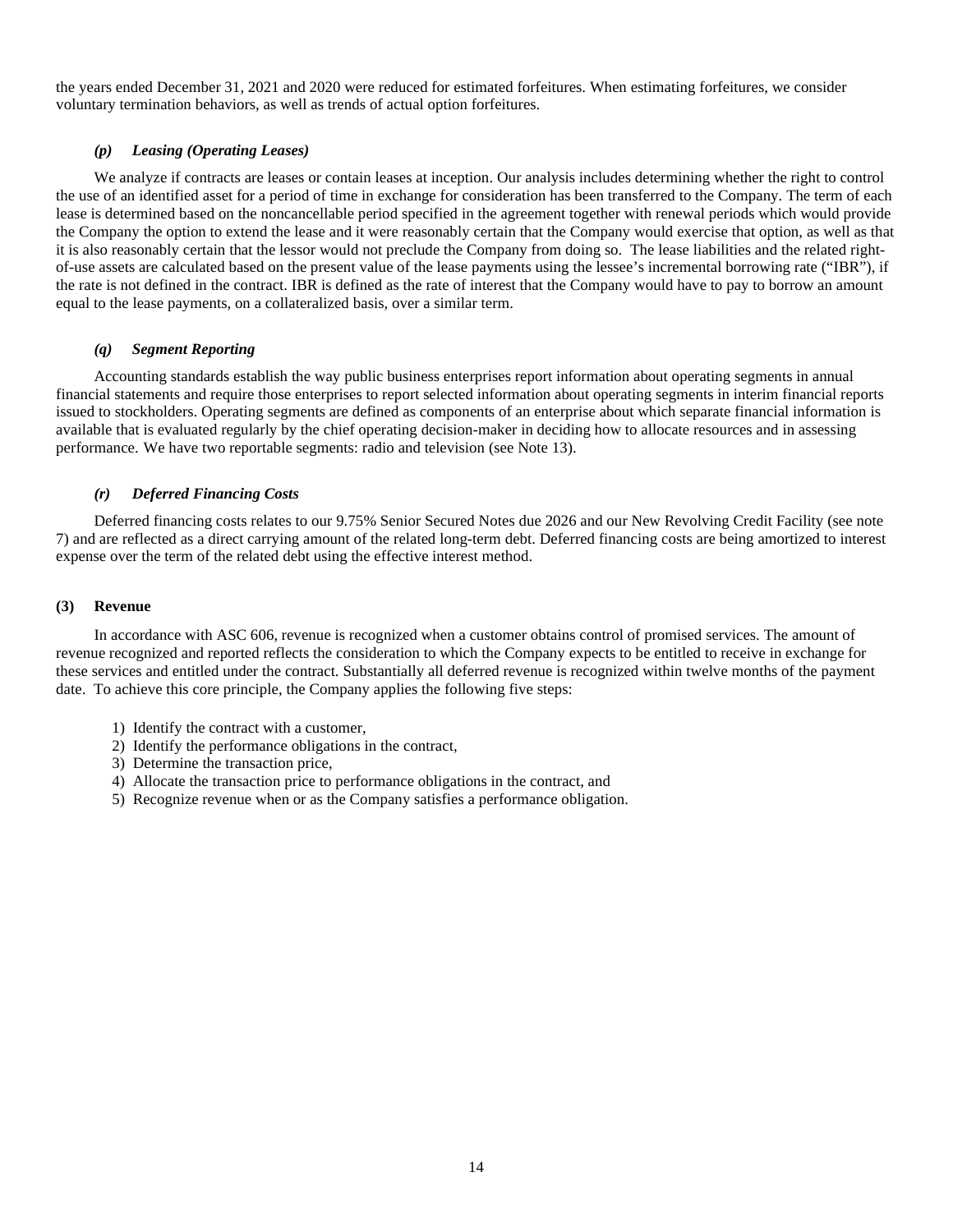the years ended December 31, 2021 and 2020 were reduced for estimated forfeitures. When estimating forfeitures, we consider voluntary termination behaviors, as well as trends of actual option forfeitures.

# *(p) Leasing (Operating Leases)*

We analyze if contracts are leases or contain leases at inception. Our analysis includes determining whether the right to control the use of an identified asset for a period of time in exchange for consideration has been transferred to the Company. The term of each lease is determined based on the noncancellable period specified in the agreement together with renewal periods which would provide the Company the option to extend the lease and it were reasonably certain that the Company would exercise that option, as well as that it is also reasonably certain that the lessor would not preclude the Company from doing so. The lease liabilities and the related rightof-use assets are calculated based on the present value of the lease payments using the lessee's incremental borrowing rate ("IBR"), if the rate is not defined in the contract. IBR is defined as the rate of interest that the Company would have to pay to borrow an amount equal to the lease payments, on a collateralized basis, over a similar term.

# *(q) Segment Reporting*

Accounting standards establish the way public business enterprises report information about operating segments in annual financial statements and require those enterprises to report selected information about operating segments in interim financial reports issued to stockholders. Operating segments are defined as components of an enterprise about which separate financial information is available that is evaluated regularly by the chief operating decision-maker in deciding how to allocate resources and in assessing performance. We have two reportable segments: radio and television (see Note 13).

## *(r) Deferred Financing Costs*

Deferred financing costs relates to our 9.75% Senior Secured Notes due 2026 and our New Revolving Credit Facility (see note 7) and are reflected as a direct carrying amount of the related long-term debt. Deferred financing costs are being amortized to interest expense over the term of the related debt using the effective interest method.

#### **(3) Revenue**

In accordance with ASC 606, revenue is recognized when a customer obtains control of promised services. The amount of revenue recognized and reported reflects the consideration to which the Company expects to be entitled to receive in exchange for these services and entitled under the contract. Substantially all deferred revenue is recognized within twelve months of the payment date. To achieve this core principle, the Company applies the following five steps:

- 1) Identify the contract with a customer,
- 2) Identify the performance obligations in the contract,
- 3) Determine the transaction price,
- 4) Allocate the transaction price to performance obligations in the contract, and
- 5) Recognize revenue when or as the Company satisfies a performance obligation.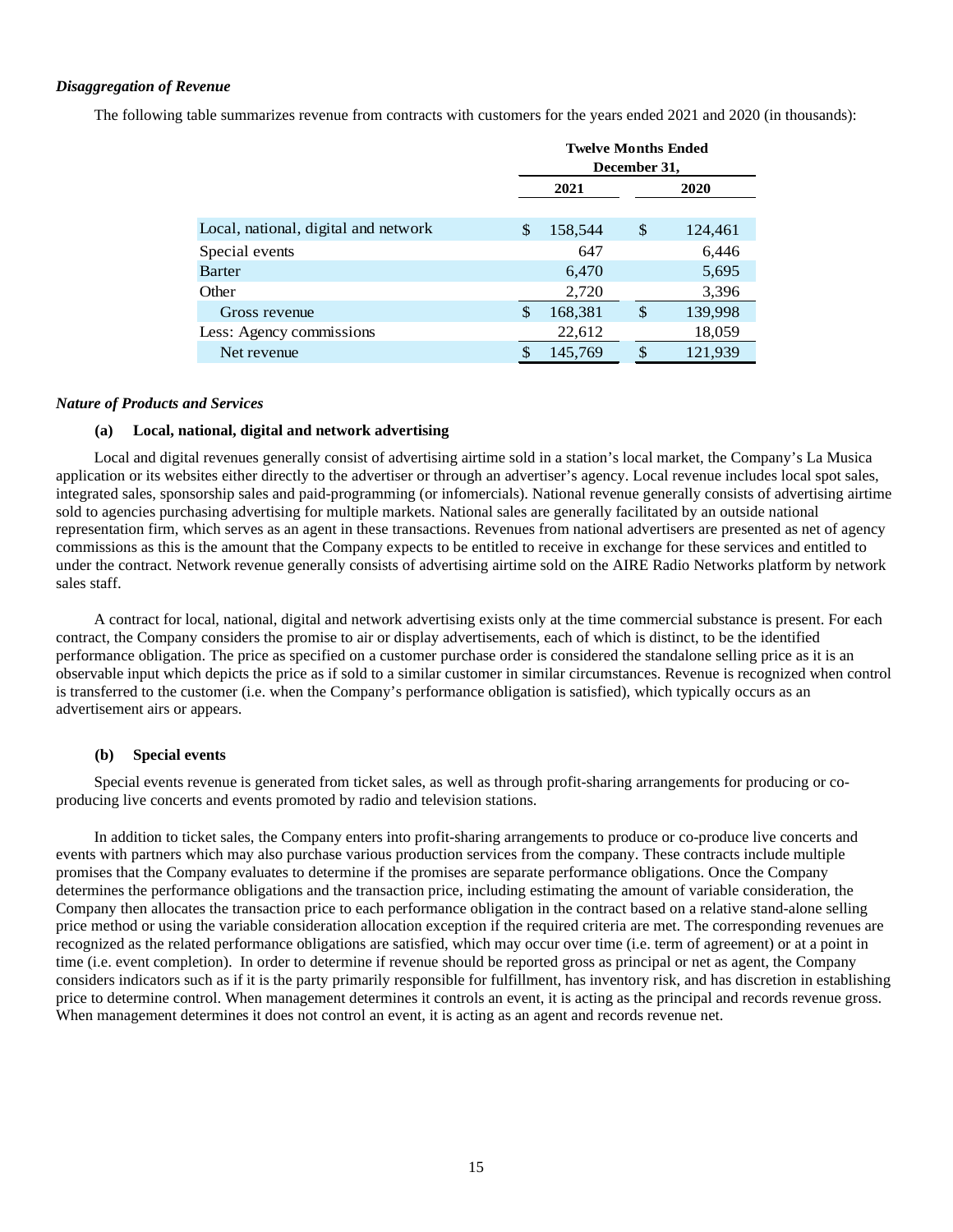## *Disaggregation of Revenue*

The following table summarizes revenue from contracts with customers for the years ended 2021 and 2020 (in thousands):

|                                      | <b>Twelve Months Ended</b><br>December 31, |         |    |         |  |
|--------------------------------------|--------------------------------------------|---------|----|---------|--|
|                                      |                                            | 2021    |    | 2020    |  |
| Local, national, digital and network | \$                                         | 158,544 | \$ | 124,461 |  |
| Special events                       |                                            | 647     |    | 6,446   |  |
| <b>Barter</b>                        |                                            | 6,470   |    | 5,695   |  |
| Other                                |                                            | 2,720   |    | 3,396   |  |
| Gross revenue                        | \$                                         | 168,381 | \$ | 139,998 |  |
| Less: Agency commissions             |                                            | 22,612  |    | 18,059  |  |
| Net revenue                          | \$                                         | 145,769 | \$ | 121.939 |  |

## *Nature of Products and Services*

#### **(a) Local, national, digital and network advertising**

Local and digital revenues generally consist of advertising airtime sold in a station's local market, the Company's La Musica application or its websites either directly to the advertiser or through an advertiser's agency. Local revenue includes local spot sales, integrated sales, sponsorship sales and paid-programming (or infomercials). National revenue generally consists of advertising airtime sold to agencies purchasing advertising for multiple markets. National sales are generally facilitated by an outside national representation firm, which serves as an agent in these transactions. Revenues from national advertisers are presented as net of agency commissions as this is the amount that the Company expects to be entitled to receive in exchange for these services and entitled to under the contract. Network revenue generally consists of advertising airtime sold on the AIRE Radio Networks platform by network sales staff.

A contract for local, national, digital and network advertising exists only at the time commercial substance is present. For each contract, the Company considers the promise to air or display advertisements, each of which is distinct, to be the identified performance obligation. The price as specified on a customer purchase order is considered the standalone selling price as it is an observable input which depicts the price as if sold to a similar customer in similar circumstances. Revenue is recognized when control is transferred to the customer (i.e. when the Company's performance obligation is satisfied), which typically occurs as an advertisement airs or appears.

#### **(b) Special events**

Special events revenue is generated from ticket sales, as well as through profit-sharing arrangements for producing or coproducing live concerts and events promoted by radio and television stations.

In addition to ticket sales, the Company enters into profit-sharing arrangements to produce or co-produce live concerts and events with partners which may also purchase various production services from the company. These contracts include multiple promises that the Company evaluates to determine if the promises are separate performance obligations. Once the Company determines the performance obligations and the transaction price, including estimating the amount of variable consideration, the Company then allocates the transaction price to each performance obligation in the contract based on a relative stand-alone selling price method or using the variable consideration allocation exception if the required criteria are met. The corresponding revenues are recognized as the related performance obligations are satisfied, which may occur over time (i.e. term of agreement) or at a point in time (i.e. event completion). In order to determine if revenue should be reported gross as principal or net as agent, the Company considers indicators such as if it is the party primarily responsible for fulfillment, has inventory risk, and has discretion in establishing price to determine control. When management determines it controls an event, it is acting as the principal and records revenue gross. When management determines it does not control an event, it is acting as an agent and records revenue net.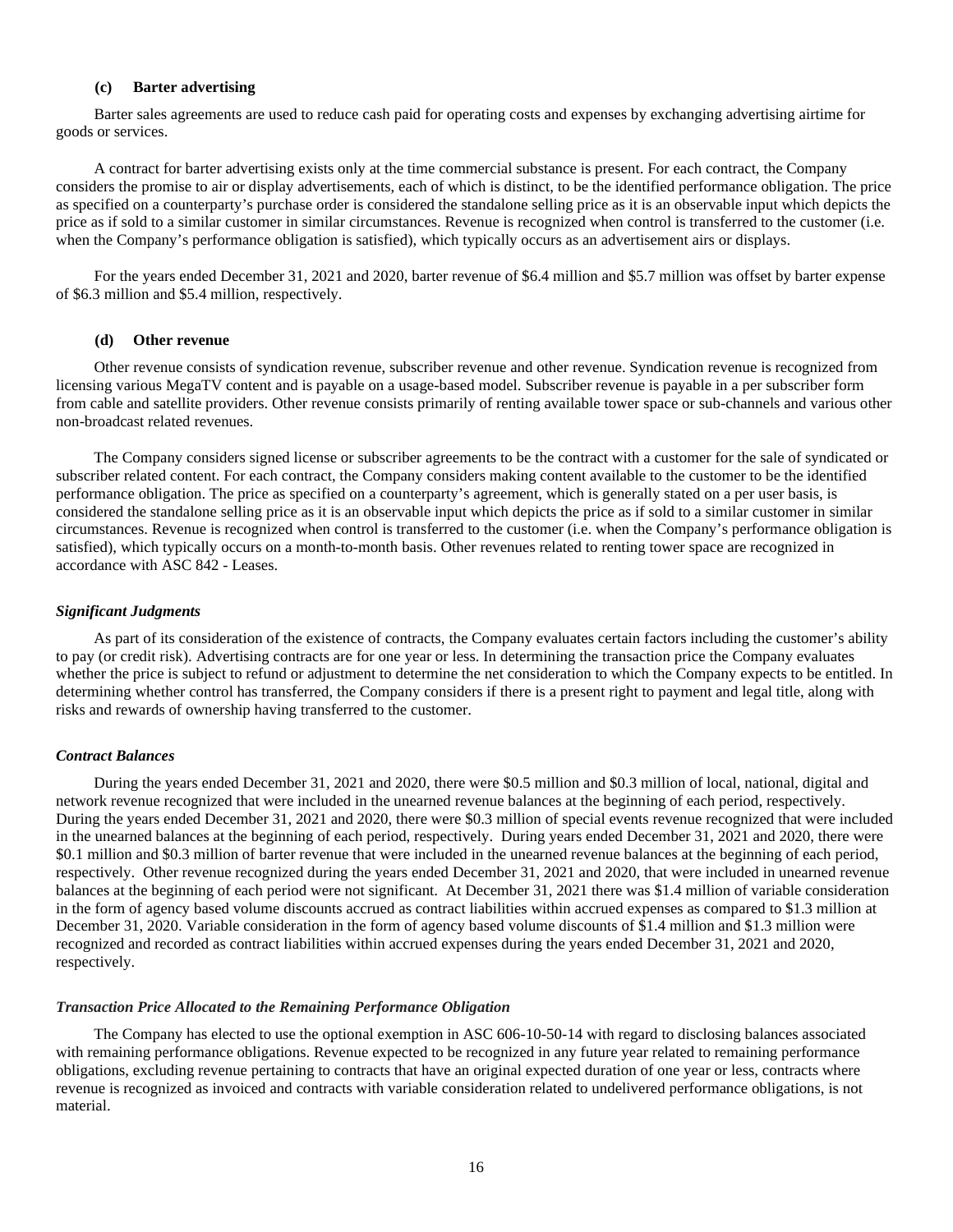# **(c) Barter advertising**

Barter sales agreements are used to reduce cash paid for operating costs and expenses by exchanging advertising airtime for goods or services.

A contract for barter advertising exists only at the time commercial substance is present. For each contract, the Company considers the promise to air or display advertisements, each of which is distinct, to be the identified performance obligation. The price as specified on a counterparty's purchase order is considered the standalone selling price as it is an observable input which depicts the price as if sold to a similar customer in similar circumstances. Revenue is recognized when control is transferred to the customer (i.e. when the Company's performance obligation is satisfied), which typically occurs as an advertisement airs or displays.

For the years ended December 31, 2021 and 2020, barter revenue of \$6.4 million and \$5.7 million was offset by barter expense of \$6.3 million and \$5.4 million, respectively.

#### **(d) Other revenue**

Other revenue consists of syndication revenue, subscriber revenue and other revenue. Syndication revenue is recognized from licensing various MegaTV content and is payable on a usage-based model. Subscriber revenue is payable in a per subscriber form from cable and satellite providers. Other revenue consists primarily of renting available tower space or sub-channels and various other non-broadcast related revenues.

The Company considers signed license or subscriber agreements to be the contract with a customer for the sale of syndicated or subscriber related content. For each contract, the Company considers making content available to the customer to be the identified performance obligation. The price as specified on a counterparty's agreement, which is generally stated on a per user basis, is considered the standalone selling price as it is an observable input which depicts the price as if sold to a similar customer in similar circumstances. Revenue is recognized when control is transferred to the customer (i.e. when the Company's performance obligation is satisfied), which typically occurs on a month-to-month basis. Other revenues related to renting tower space are recognized in accordance with ASC 842 - Leases.

#### *Significant Judgments*

As part of its consideration of the existence of contracts, the Company evaluates certain factors including the customer's ability to pay (or credit risk). Advertising contracts are for one year or less. In determining the transaction price the Company evaluates whether the price is subject to refund or adjustment to determine the net consideration to which the Company expects to be entitled. In determining whether control has transferred, the Company considers if there is a present right to payment and legal title, along with risks and rewards of ownership having transferred to the customer.

#### *Contract Balances*

During the years ended December 31, 2021 and 2020, there were \$0.5 million and \$0.3 million of local, national, digital and network revenue recognized that were included in the unearned revenue balances at the beginning of each period, respectively. During the years ended December 31, 2021 and 2020, there were \$0.3 million of special events revenue recognized that were included in the unearned balances at the beginning of each period, respectively. During years ended December 31, 2021 and 2020, there were \$0.1 million and \$0.3 million of barter revenue that were included in the unearned revenue balances at the beginning of each period, respectively. Other revenue recognized during the years ended December 31, 2021 and 2020, that were included in unearned revenue balances at the beginning of each period were not significant. At December 31, 2021 there was \$1.4 million of variable consideration in the form of agency based volume discounts accrued as contract liabilities within accrued expenses as compared to \$1.3 million at December 31, 2020. Variable consideration in the form of agency based volume discounts of \$1.4 million and \$1.3 million were recognized and recorded as contract liabilities within accrued expenses during the years ended December 31, 2021 and 2020, respectively.

#### *Transaction Price Allocated to the Remaining Performance Obligation*

The Company has elected to use the optional exemption in ASC 606-10-50-14 with regard to disclosing balances associated with remaining performance obligations. Revenue expected to be recognized in any future year related to remaining performance obligations, excluding revenue pertaining to contracts that have an original expected duration of one year or less, contracts where revenue is recognized as invoiced and contracts with variable consideration related to undelivered performance obligations, is not material.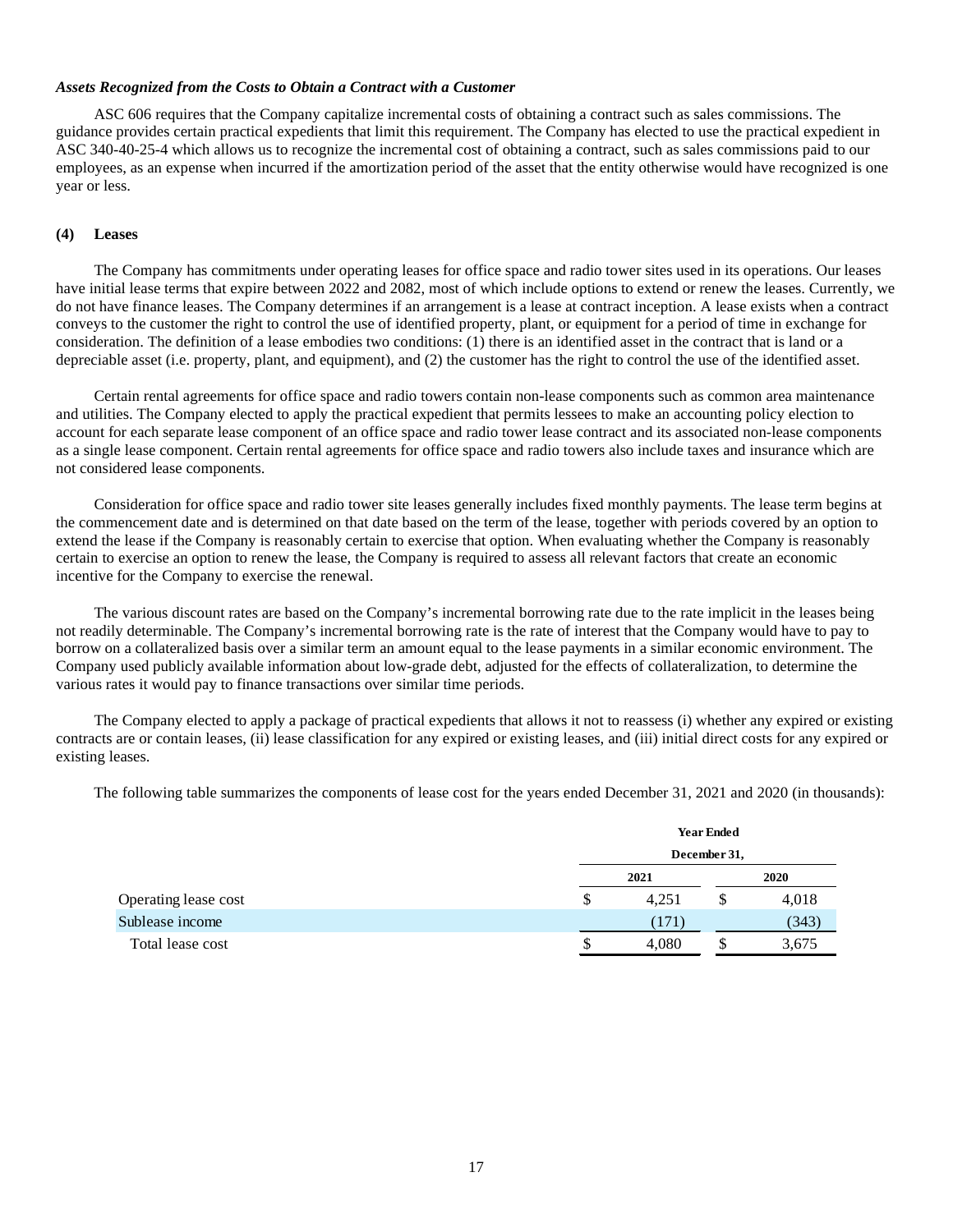# *Assets Recognized from the Costs to Obtain a Contract with a Customer*

ASC 606 requires that the Company capitalize incremental costs of obtaining a contract such as sales commissions. The guidance provides certain practical expedients that limit this requirement. The Company has elected to use the practical expedient in ASC 340-40-25-4 which allows us to recognize the incremental cost of obtaining a contract, such as sales commissions paid to our employees, as an expense when incurred if the amortization period of the asset that the entity otherwise would have recognized is one year or less.

# **(4) Leases**

The Company has commitments under operating leases for office space and radio tower sites used in its operations. Our leases have initial lease terms that expire between 2022 and 2082, most of which include options to extend or renew the leases. Currently, we do not have finance leases. The Company determines if an arrangement is a lease at contract inception. A lease exists when a contract conveys to the customer the right to control the use of identified property, plant, or equipment for a period of time in exchange for consideration. The definition of a lease embodies two conditions: (1) there is an identified asset in the contract that is land or a depreciable asset (i.e. property, plant, and equipment), and (2) the customer has the right to control the use of the identified asset.

Certain rental agreements for office space and radio towers contain non-lease components such as common area maintenance and utilities. The Company elected to apply the practical expedient that permits lessees to make an accounting policy election to account for each separate lease component of an office space and radio tower lease contract and its associated non-lease components as a single lease component. Certain rental agreements for office space and radio towers also include taxes and insurance which are not considered lease components.

Consideration for office space and radio tower site leases generally includes fixed monthly payments. The lease term begins at the commencement date and is determined on that date based on the term of the lease, together with periods covered by an option to extend the lease if the Company is reasonably certain to exercise that option. When evaluating whether the Company is reasonably certain to exercise an option to renew the lease, the Company is required to assess all relevant factors that create an economic incentive for the Company to exercise the renewal.

The various discount rates are based on the Company's incremental borrowing rate due to the rate implicit in the leases being not readily determinable. The Company's incremental borrowing rate is the rate of interest that the Company would have to pay to borrow on a collateralized basis over a similar term an amount equal to the lease payments in a similar economic environment. The Company used publicly available information about low-grade debt, adjusted for the effects of collateralization, to determine the various rates it would pay to finance transactions over similar time periods.

The Company elected to apply a package of practical expedients that allows it not to reassess (i) whether any expired or existing contracts are or contain leases, (ii) lease classification for any expired or existing leases, and (iii) initial direct costs for any expired or existing leases.

The following table summarizes the components of lease cost for the years ended December 31, 2021 and 2020 (in thousands):

|                      |    | <b>Year Ended</b> |    |       |  |  |  |
|----------------------|----|-------------------|----|-------|--|--|--|
|                      |    | December 31,      |    |       |  |  |  |
|                      |    | 2021              |    | 2020  |  |  |  |
| Operating lease cost | S  | 4.251             |    | 4,018 |  |  |  |
| Sublease income      |    | (171)             |    | (343) |  |  |  |
| Total lease cost     | J. | 4,080             | ۰D | 3,675 |  |  |  |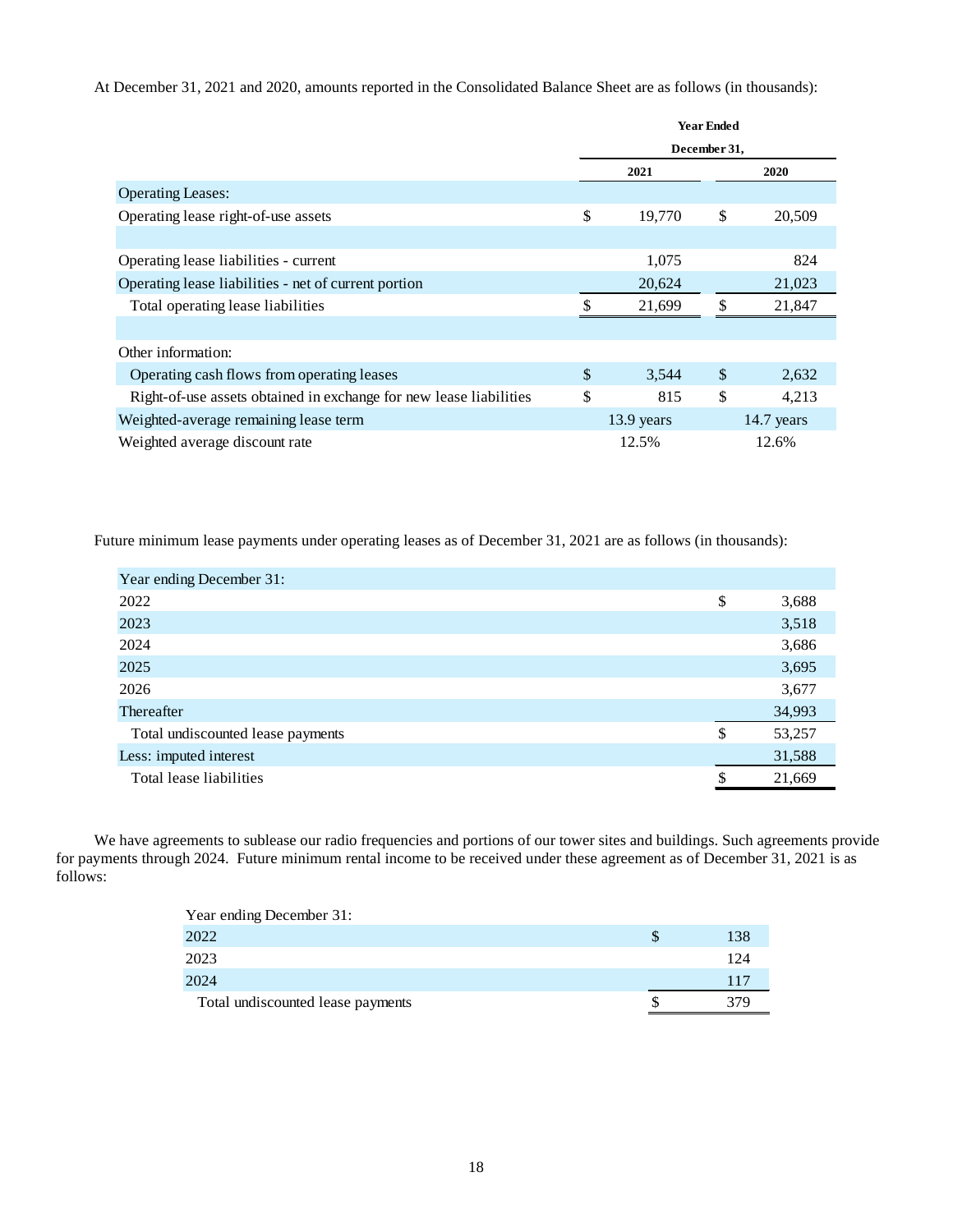At December 31, 2021 and 2020, amounts reported in the Consolidated Balance Sheet are as follows (in thousands):

|                                                                    |                | <b>Year Ended</b> |               |            |  |  |
|--------------------------------------------------------------------|----------------|-------------------|---------------|------------|--|--|
|                                                                    |                | December 31,      |               |            |  |  |
|                                                                    |                | 2021              |               | 2020       |  |  |
| <b>Operating Leases:</b>                                           |                |                   |               |            |  |  |
| Operating lease right-of-use assets                                | $\mathbb{S}$   | 19,770            | \$            | 20,509     |  |  |
|                                                                    |                |                   |               |            |  |  |
| Operating lease liabilities - current                              |                | 1,075             |               | 824        |  |  |
| Operating lease liabilities - net of current portion               |                | 20,624            |               | 21,023     |  |  |
| Total operating lease liabilities                                  |                | 21,699            | \$            | 21,847     |  |  |
|                                                                    |                |                   |               |            |  |  |
| Other information:                                                 |                |                   |               |            |  |  |
| Operating cash flows from operating leases                         | $\mathcal{S}$  | 3,544             | $\mathcal{S}$ | 2,632      |  |  |
| Right-of-use assets obtained in exchange for new lease liabilities | \$             | 815               | \$            | 4,213      |  |  |
| Weighted-average remaining lease term                              |                | 13.9 years        |               | 14.7 years |  |  |
| Weighted average discount rate                                     | 12.5%<br>12.6% |                   |               |            |  |  |

Future minimum lease payments under operating leases as of December 31, 2021 are as follows (in thousands):

| Year ending December 31:          |              |
|-----------------------------------|--------------|
| 2022                              | \$<br>3,688  |
| 2023                              | 3,518        |
| 2024                              | 3,686        |
| 2025                              | 3,695        |
| 2026                              | 3,677        |
| Thereafter                        | 34,993       |
| Total undiscounted lease payments | \$<br>53,257 |
| Less: imputed interest            | 31,588       |
| Total lease liabilities           | 21,669       |

We have agreements to sublease our radio frequencies and portions of our tower sites and buildings. Such agreements provide for payments through 2024. Future minimum rental income to be received under these agreement as of December 31, 2021 is as follows:

| Year ending December 31:          |     |
|-----------------------------------|-----|
| 2022                              | 138 |
| 2023                              | 124 |
| 2024                              | 117 |
| Total undiscounted lease payments |     |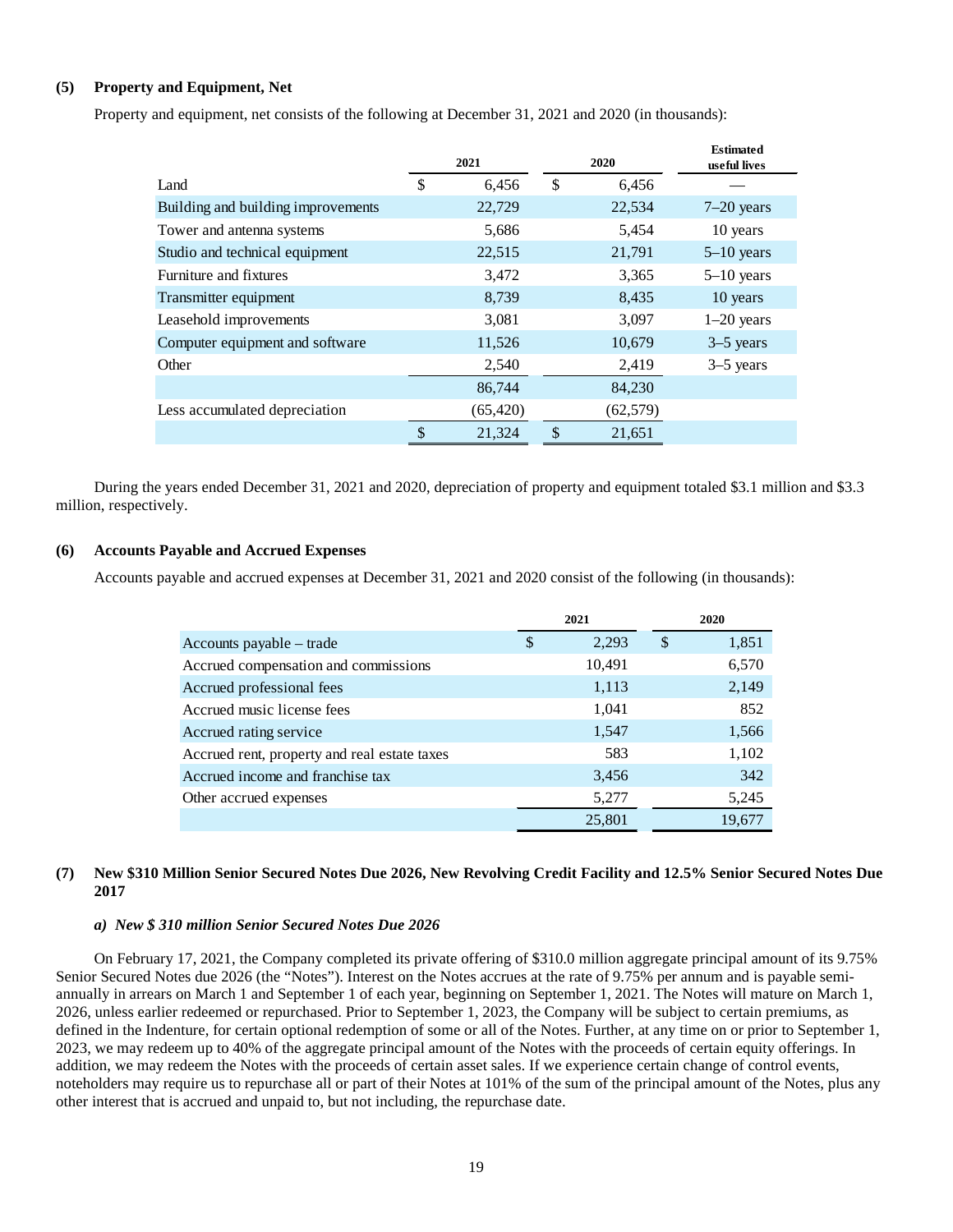# **(5) Property and Equipment, Net**

Property and equipment, net consists of the following at December 31, 2021 and 2020 (in thousands):

|               | 2021      | 2020         | <b>Estimated</b><br>useful lives |
|---------------|-----------|--------------|----------------------------------|
| \$            | 6,456     | \$<br>6,456  |                                  |
|               | 22,729    | 22,534       | $7-20$ years                     |
|               | 5,686     | 5,454        | 10 years                         |
|               | 22,515    | 21,791       | $5-10$ years                     |
|               | 3,472     | 3,365        | $5-10$ years                     |
|               | 8,739     | 8,435        | 10 years                         |
|               | 3,081     | 3,097        | $1-20$ years                     |
|               | 11,526    | 10,679       | $3-5$ years                      |
|               | 2,540     | 2,419        | $3-5$ years                      |
|               | 86,744    | 84,230       |                                  |
|               | (65, 420) | (62, 579)    |                                  |
| $\mathcal{S}$ | 21,324    | \$<br>21,651 |                                  |
|               |           |              |                                  |

During the years ended December 31, 2021 and 2020, depreciation of property and equipment totaled \$3.1 million and \$3.3 million, respectively.

# **(6) Accounts Payable and Accrued Expenses**

Accounts payable and accrued expenses at December 31, 2021 and 2020 consist of the following (in thousands):

|                                              | 2021 |        | 2020        |
|----------------------------------------------|------|--------|-------------|
| Accounts payable – trade                     | \$   | 2,293  | \$<br>1,851 |
| Accrued compensation and commissions         |      | 10,491 | 6,570       |
| Accrued professional fees                    |      | 1,113  | 2,149       |
| Accrued music license fees                   |      | 1,041  | 852         |
| Accrued rating service                       |      | 1,547  | 1,566       |
| Accrued rent, property and real estate taxes |      | 583    | 1,102       |
| Accrued income and franchise tax             |      | 3,456  | 342         |
| Other accrued expenses                       |      | 5,277  | 5,245       |
|                                              |      | 25,801 | 19,677      |

# **(7) New \$310 Million Senior Secured Notes Due 2026, New Revolving Credit Facility and 12.5% Senior Secured Notes Due 2017**

# *a) New \$ 310 million Senior Secured Notes Due 2026*

On February 17, 2021, the Company completed its private offering of \$310.0 million aggregate principal amount of its 9.75% Senior Secured Notes due 2026 (the "Notes"). Interest on the Notes accrues at the rate of 9.75% per annum and is payable semiannually in arrears on March 1 and September 1 of each year, beginning on September 1, 2021. The Notes will mature on March 1, 2026, unless earlier redeemed or repurchased. Prior to September 1, 2023, the Company will be subject to certain premiums, as defined in the Indenture, for certain optional redemption of some or all of the Notes. Further, at any time on or prior to September 1, 2023, we may redeem up to 40% of the aggregate principal amount of the Notes with the proceeds of certain equity offerings. In addition, we may redeem the Notes with the proceeds of certain asset sales. If we experience certain change of control events, noteholders may require us to repurchase all or part of their Notes at 101% of the sum of the principal amount of the Notes, plus any other interest that is accrued and unpaid to, but not including, the repurchase date.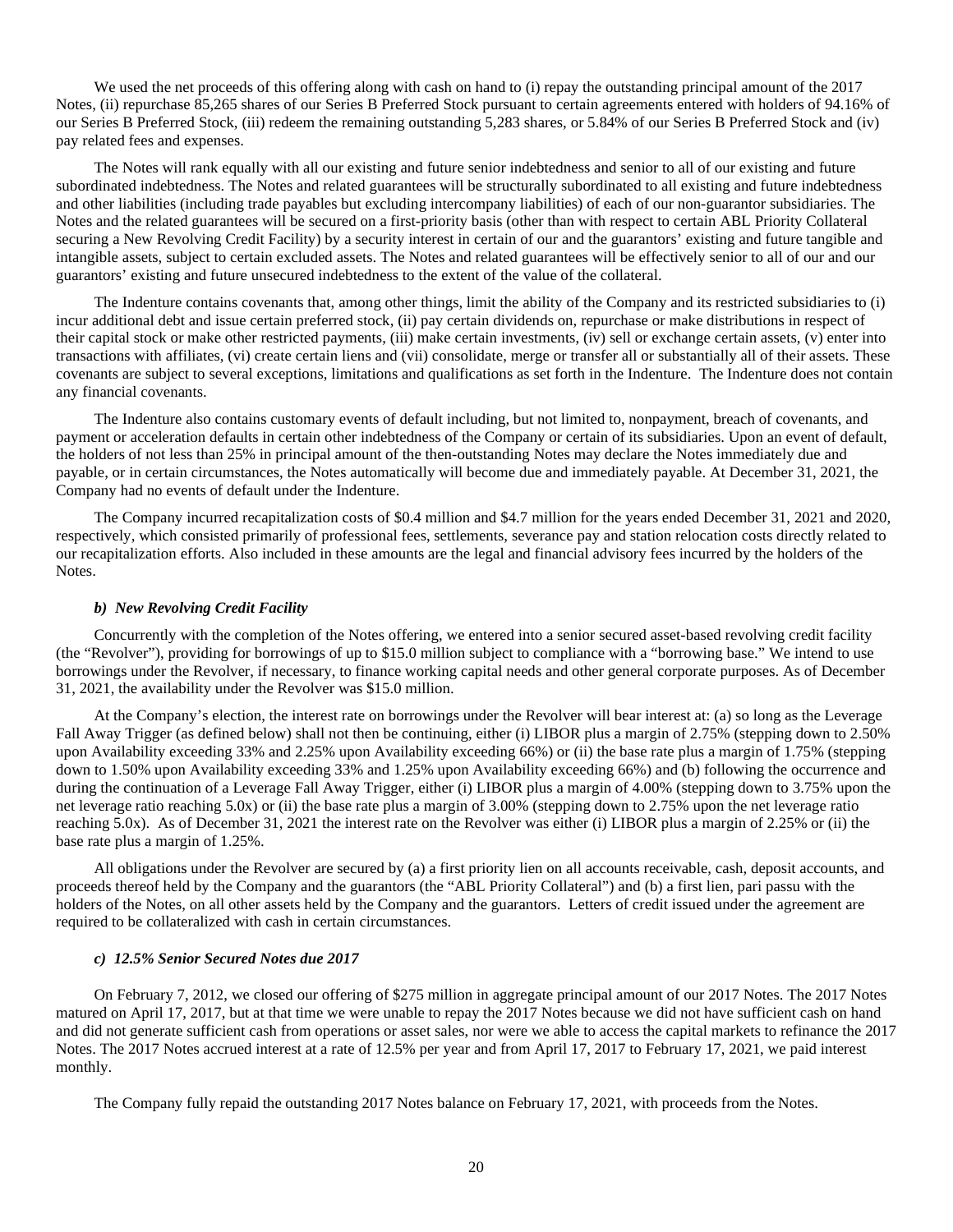We used the net proceeds of this offering along with cash on hand to (i) repay the outstanding principal amount of the 2017 Notes, (ii) repurchase 85,265 shares of our Series B Preferred Stock pursuant to certain agreements entered with holders of 94.16% of our Series B Preferred Stock, (iii) redeem the remaining outstanding 5,283 shares, or 5.84% of our Series B Preferred Stock and (iv) pay related fees and expenses.

The Notes will rank equally with all our existing and future senior indebtedness and senior to all of our existing and future subordinated indebtedness. The Notes and related guarantees will be structurally subordinated to all existing and future indebtedness and other liabilities (including trade payables but excluding intercompany liabilities) of each of our non-guarantor subsidiaries. The Notes and the related guarantees will be secured on a first-priority basis (other than with respect to certain ABL Priority Collateral securing a New Revolving Credit Facility) by a security interest in certain of our and the guarantors' existing and future tangible and intangible assets, subject to certain excluded assets. The Notes and related guarantees will be effectively senior to all of our and our guarantors' existing and future unsecured indebtedness to the extent of the value of the collateral.

The Indenture contains covenants that, among other things, limit the ability of the Company and its restricted subsidiaries to (i) incur additional debt and issue certain preferred stock, (ii) pay certain dividends on, repurchase or make distributions in respect of their capital stock or make other restricted payments, (iii) make certain investments, (iv) sell or exchange certain assets, (v) enter into transactions with affiliates, (vi) create certain liens and (vii) consolidate, merge or transfer all or substantially all of their assets. These covenants are subject to several exceptions, limitations and qualifications as set forth in the Indenture. The Indenture does not contain any financial covenants.

The Indenture also contains customary events of default including, but not limited to, nonpayment, breach of covenants, and payment or acceleration defaults in certain other indebtedness of the Company or certain of its subsidiaries. Upon an event of default, the holders of not less than 25% in principal amount of the then-outstanding Notes may declare the Notes immediately due and payable, or in certain circumstances, the Notes automatically will become due and immediately payable. At December 31, 2021, the Company had no events of default under the Indenture.

The Company incurred recapitalization costs of \$0.4 million and \$4.7 million for the years ended December 31, 2021 and 2020, respectively, which consisted primarily of professional fees, settlements, severance pay and station relocation costs directly related to our recapitalization efforts. Also included in these amounts are the legal and financial advisory fees incurred by the holders of the Notes.

# *b) New Revolving Credit Facility*

Concurrently with the completion of the Notes offering, we entered into a senior secured asset-based revolving credit facility (the "Revolver"), providing for borrowings of up to \$15.0 million subject to compliance with a "borrowing base." We intend to use borrowings under the Revolver, if necessary, to finance working capital needs and other general corporate purposes. As of December 31, 2021, the availability under the Revolver was \$15.0 million.

At the Company's election, the interest rate on borrowings under the Revolver will bear interest at: (a) so long as the Leverage Fall Away Trigger (as defined below) shall not then be continuing, either (i) LIBOR plus a margin of 2.75% (stepping down to 2.50% upon Availability exceeding 33% and 2.25% upon Availability exceeding 66%) or (ii) the base rate plus a margin of 1.75% (stepping down to 1.50% upon Availability exceeding 33% and 1.25% upon Availability exceeding 66%) and (b) following the occurrence and during the continuation of a Leverage Fall Away Trigger, either (i) LIBOR plus a margin of 4.00% (stepping down to 3.75% upon the net leverage ratio reaching 5.0x) or (ii) the base rate plus a margin of 3.00% (stepping down to 2.75% upon the net leverage ratio reaching 5.0x). As of December 31, 2021 the interest rate on the Revolver was either (i) LIBOR plus a margin of 2.25% or (ii) the base rate plus a margin of 1.25%.

All obligations under the Revolver are secured by (a) a first priority lien on all accounts receivable, cash, deposit accounts, and proceeds thereof held by the Company and the guarantors (the "ABL Priority Collateral") and (b) a first lien, pari passu with the holders of the Notes, on all other assets held by the Company and the guarantors. Letters of credit issued under the agreement are required to be collateralized with cash in certain circumstances.

# *c) 12.5% Senior Secured Notes due 2017*

On February 7, 2012, we closed our offering of \$275 million in aggregate principal amount of our 2017 Notes. The 2017 Notes matured on April 17, 2017, but at that time we were unable to repay the 2017 Notes because we did not have sufficient cash on hand and did not generate sufficient cash from operations or asset sales, nor were we able to access the capital markets to refinance the 2017 Notes. The 2017 Notes accrued interest at a rate of 12.5% per year and from April 17, 2017 to February 17, 2021, we paid interest monthly.

The Company fully repaid the outstanding 2017 Notes balance on February 17, 2021, with proceeds from the Notes.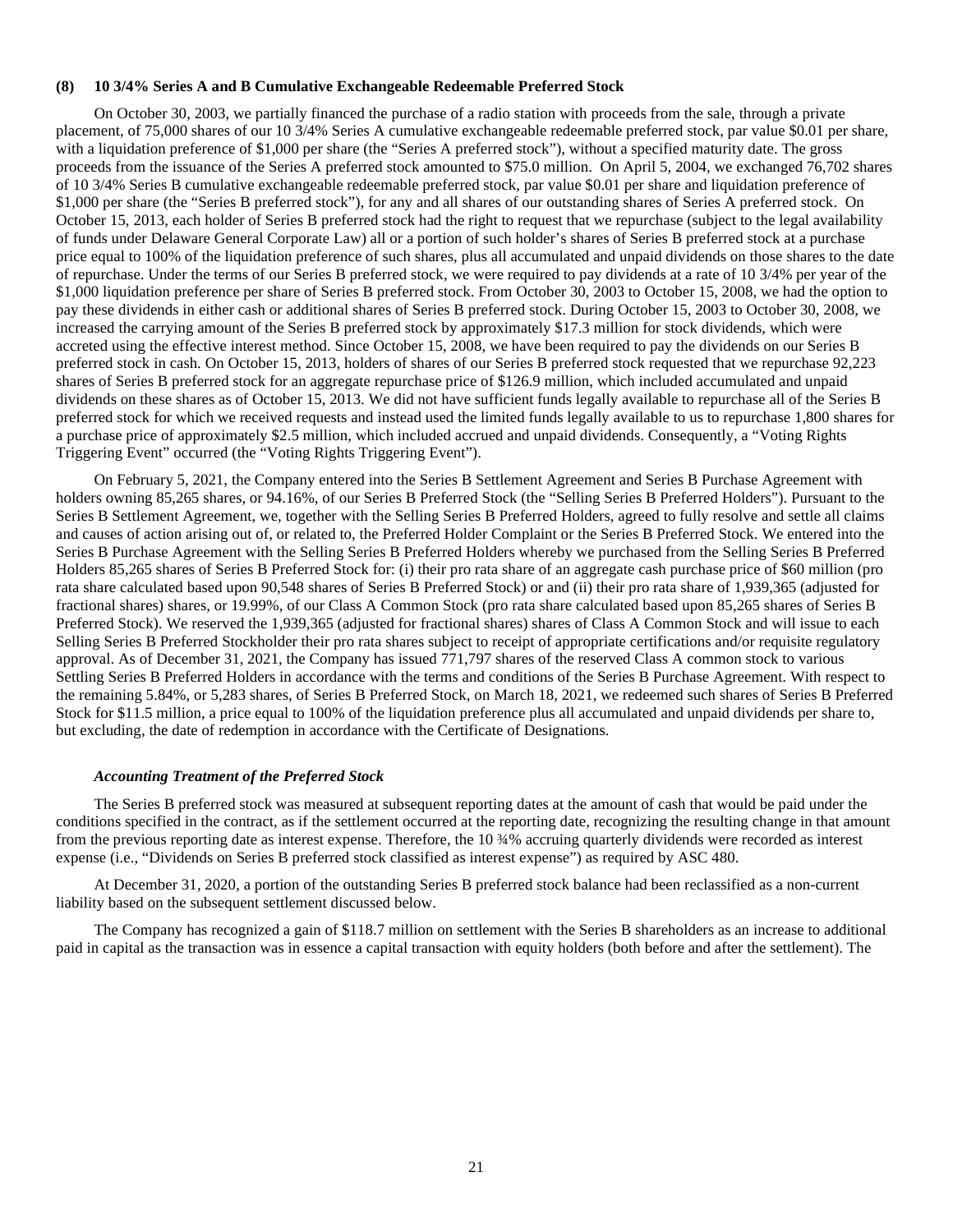#### **(8) 10 3/4% Series A and B Cumulative Exchangeable Redeemable Preferred Stock**

On October 30, 2003, we partially financed the purchase of a radio station with proceeds from the sale, through a private placement, of 75,000 shares of our 10 3/4% Series A cumulative exchangeable redeemable preferred stock, par value \$0.01 per share, with a liquidation preference of \$1,000 per share (the "Series A preferred stock"), without a specified maturity date. The gross proceeds from the issuance of the Series A preferred stock amounted to \$75.0 million. On April 5, 2004, we exchanged 76,702 shares of 10 3/4% Series B cumulative exchangeable redeemable preferred stock, par value \$0.01 per share and liquidation preference of \$1,000 per share (the "Series B preferred stock"), for any and all shares of our outstanding shares of Series A preferred stock. On October 15, 2013, each holder of Series B preferred stock had the right to request that we repurchase (subject to the legal availability of funds under Delaware General Corporate Law) all or a portion of such holder's shares of Series B preferred stock at a purchase price equal to 100% of the liquidation preference of such shares, plus all accumulated and unpaid dividends on those shares to the date of repurchase. Under the terms of our Series B preferred stock, we were required to pay dividends at a rate of 10 3/4% per year of the \$1,000 liquidation preference per share of Series B preferred stock. From October 30, 2003 to October 15, 2008, we had the option to pay these dividends in either cash or additional shares of Series B preferred stock. During October 15, 2003 to October 30, 2008, we increased the carrying amount of the Series B preferred stock by approximately \$17.3 million for stock dividends, which were accreted using the effective interest method. Since October 15, 2008, we have been required to pay the dividends on our Series B preferred stock in cash. On October 15, 2013, holders of shares of our Series B preferred stock requested that we repurchase 92,223 shares of Series B preferred stock for an aggregate repurchase price of \$126.9 million, which included accumulated and unpaid dividends on these shares as of October 15, 2013. We did not have sufficient funds legally available to repurchase all of the Series B preferred stock for which we received requests and instead used the limited funds legally available to us to repurchase 1,800 shares for a purchase price of approximately \$2.5 million, which included accrued and unpaid dividends. Consequently, a "Voting Rights Triggering Event" occurred (the "Voting Rights Triggering Event").

On February 5, 2021, the Company entered into the Series B Settlement Agreement and Series B Purchase Agreement with holders owning 85,265 shares, or 94.16%, of our Series B Preferred Stock (the "Selling Series B Preferred Holders"). Pursuant to the Series B Settlement Agreement, we, together with the Selling Series B Preferred Holders, agreed to fully resolve and settle all claims and causes of action arising out of, or related to, the Preferred Holder Complaint or the Series B Preferred Stock. We entered into the Series B Purchase Agreement with the Selling Series B Preferred Holders whereby we purchased from the Selling Series B Preferred Holders 85,265 shares of Series B Preferred Stock for: (i) their pro rata share of an aggregate cash purchase price of \$60 million (pro rata share calculated based upon 90,548 shares of Series B Preferred Stock) or and (ii) their pro rata share of 1,939,365 (adjusted for fractional shares) shares, or 19.99%, of our Class A Common Stock (pro rata share calculated based upon 85,265 shares of Series B Preferred Stock). We reserved the 1,939,365 (adjusted for fractional shares) shares of Class A Common Stock and will issue to each Selling Series B Preferred Stockholder their pro rata shares subject to receipt of appropriate certifications and/or requisite regulatory approval. As of December 31, 2021, the Company has issued 771,797 shares of the reserved Class A common stock to various Settling Series B Preferred Holders in accordance with the terms and conditions of the Series B Purchase Agreement. With respect to the remaining 5.84%, or 5,283 shares, of Series B Preferred Stock, on March 18, 2021, we redeemed such shares of Series B Preferred Stock for \$11.5 million, a price equal to 100% of the liquidation preference plus all accumulated and unpaid dividends per share to, but excluding, the date of redemption in accordance with the Certificate of Designations.

#### *Accounting Treatment of the Preferred Stock*

The Series B preferred stock was measured at subsequent reporting dates at the amount of cash that would be paid under the conditions specified in the contract, as if the settlement occurred at the reporting date, recognizing the resulting change in that amount from the previous reporting date as interest expense. Therefore, the 10 ¾% accruing quarterly dividends were recorded as interest expense (i.e., "Dividends on Series B preferred stock classified as interest expense") as required by ASC 480.

At December 31, 2020, a portion of the outstanding Series B preferred stock balance had been reclassified as a non-current liability based on the subsequent settlement discussed below.

The Company has recognized a gain of \$118.7 million on settlement with the Series B shareholders as an increase to additional paid in capital as the transaction was in essence a capital transaction with equity holders (both before and after the settlement). The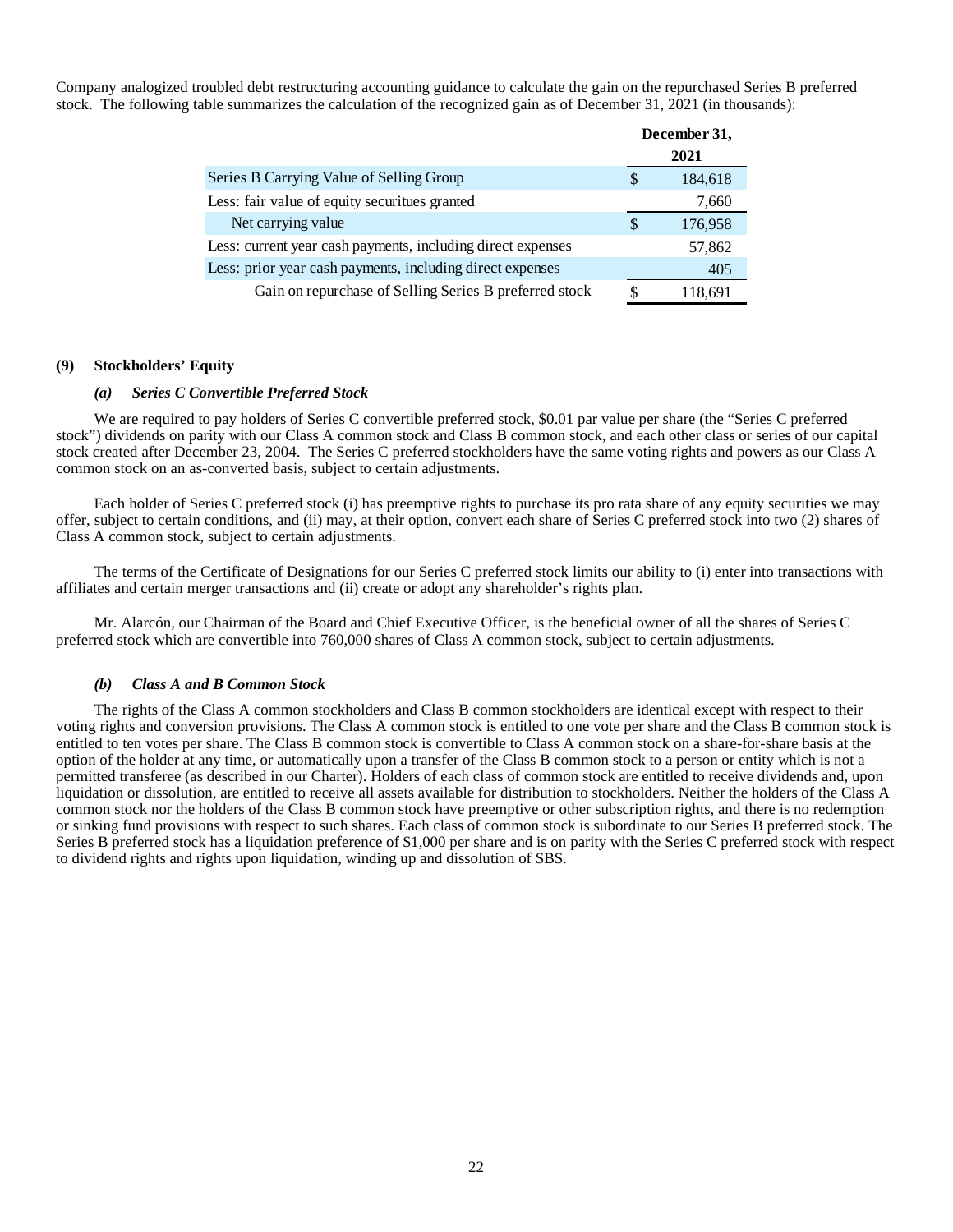Company analogized troubled debt restructuring accounting guidance to calculate the gain on the repurchased Series B preferred stock. The following table summarizes the calculation of the recognized gain as of December 31, 2021 (in thousands):

|                                                             |   | December 31,<br>2021 |
|-------------------------------------------------------------|---|----------------------|
| Series B Carrying Value of Selling Group                    |   | 184,618              |
| Less: fair value of equity securities granted               |   | 7,660                |
| Net carrying value                                          | S | 176,958              |
| Less: current year cash payments, including direct expenses |   | 57,862               |
| Less: prior year cash payments, including direct expenses   |   | 405                  |
| Gain on repurchase of Selling Series B preferred stock      |   | 118,691              |

#### **(9) Stockholders' Equity**

#### *(a) Series C Convertible Preferred Stock*

We are required to pay holders of Series C convertible preferred stock, \$0.01 par value per share (the "Series C preferred stock") dividends on parity with our Class A common stock and Class B common stock, and each other class or series of our capital stock created after December 23, 2004. The Series C preferred stockholders have the same voting rights and powers as our Class A common stock on an as-converted basis, subject to certain adjustments.

Each holder of Series C preferred stock (i) has preemptive rights to purchase its pro rata share of any equity securities we may offer, subject to certain conditions, and (ii) may, at their option, convert each share of Series C preferred stock into two (2) shares of Class A common stock, subject to certain adjustments.

The terms of the Certificate of Designations for our Series C preferred stock limits our ability to (i) enter into transactions with affiliates and certain merger transactions and (ii) create or adopt any shareholder's rights plan.

Mr. Alarcón, our Chairman of the Board and Chief Executive Officer, is the beneficial owner of all the shares of Series C preferred stock which are convertible into 760,000 shares of Class A common stock, subject to certain adjustments.

#### *(b) Class A and B Common Stock*

The rights of the Class A common stockholders and Class B common stockholders are identical except with respect to their voting rights and conversion provisions. The Class A common stock is entitled to one vote per share and the Class B common stock is entitled to ten votes per share. The Class B common stock is convertible to Class A common stock on a share-for-share basis at the option of the holder at any time, or automatically upon a transfer of the Class B common stock to a person or entity which is not a permitted transferee (as described in our Charter). Holders of each class of common stock are entitled to receive dividends and, upon liquidation or dissolution, are entitled to receive all assets available for distribution to stockholders. Neither the holders of the Class A common stock nor the holders of the Class B common stock have preemptive or other subscription rights, and there is no redemption or sinking fund provisions with respect to such shares. Each class of common stock is subordinate to our Series B preferred stock. The Series B preferred stock has a liquidation preference of \$1,000 per share and is on parity with the Series C preferred stock with respect to dividend rights and rights upon liquidation, winding up and dissolution of SBS.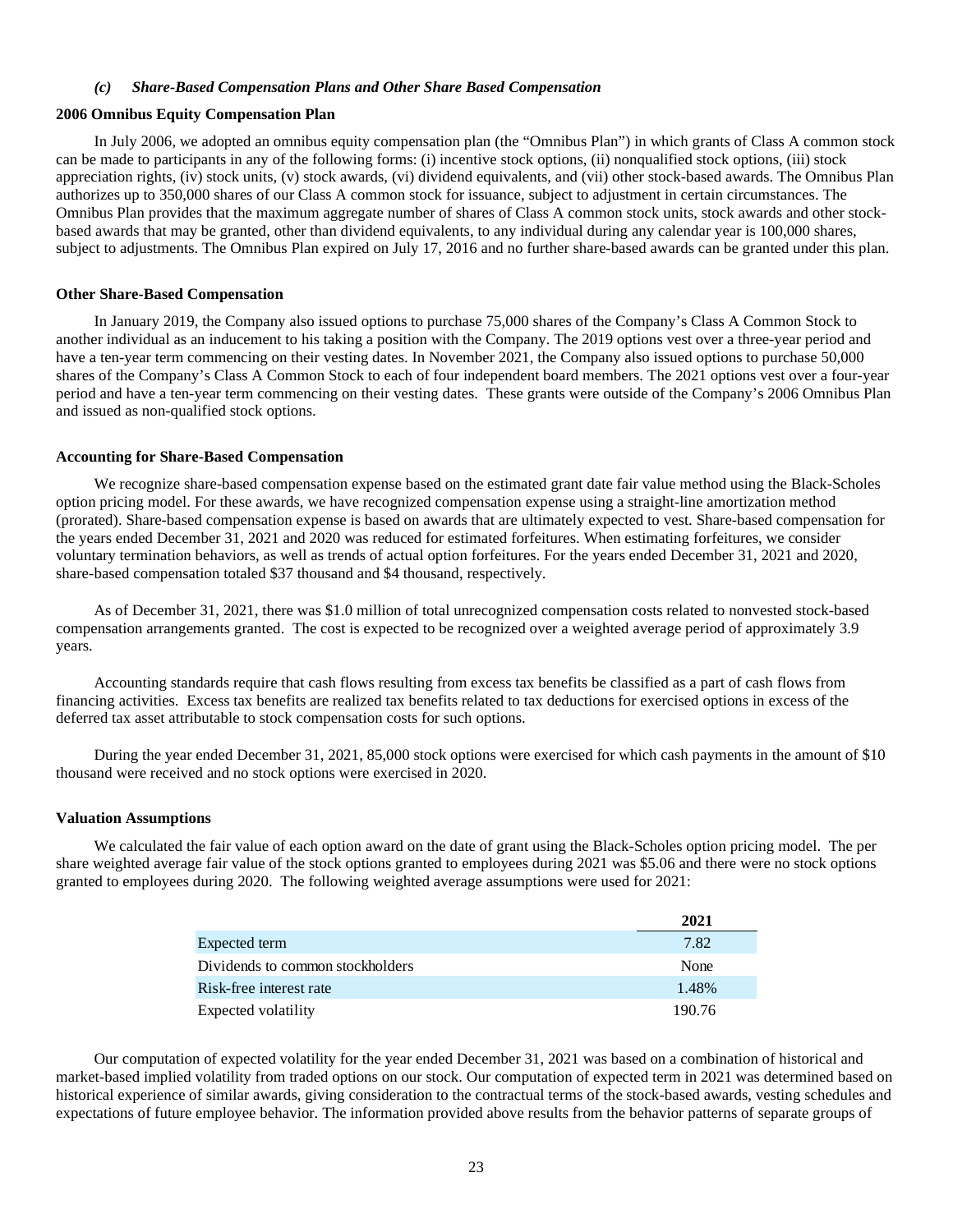# *(c) Share-Based Compensation Plans and Other Share Based Compensation*

#### **2006 Omnibus Equity Compensation Plan**

In July 2006, we adopted an omnibus equity compensation plan (the "Omnibus Plan") in which grants of Class A common stock can be made to participants in any of the following forms: (i) incentive stock options, (ii) nonqualified stock options, (iii) stock appreciation rights, (iv) stock units, (v) stock awards, (vi) dividend equivalents, and (vii) other stock-based awards. The Omnibus Plan authorizes up to 350,000 shares of our Class A common stock for issuance, subject to adjustment in certain circumstances. The Omnibus Plan provides that the maximum aggregate number of shares of Class A common stock units, stock awards and other stockbased awards that may be granted, other than dividend equivalents, to any individual during any calendar year is 100,000 shares, subject to adjustments. The Omnibus Plan expired on July 17, 2016 and no further share-based awards can be granted under this plan.

#### **Other Share-Based Compensation**

In January 2019, the Company also issued options to purchase 75,000 shares of the Company's Class A Common Stock to another individual as an inducement to his taking a position with the Company. The 2019 options vest over a three-year period and have a ten-year term commencing on their vesting dates. In November 2021, the Company also issued options to purchase 50,000 shares of the Company's Class A Common Stock to each of four independent board members. The 2021 options vest over a four-year period and have a ten-year term commencing on their vesting dates. These grants were outside of the Company's 2006 Omnibus Plan and issued as non-qualified stock options.

#### **Accounting for Share-Based Compensation**

We recognize share-based compensation expense based on the estimated grant date fair value method using the Black-Scholes option pricing model. For these awards, we have recognized compensation expense using a straight-line amortization method (prorated). Share-based compensation expense is based on awards that are ultimately expected to vest. Share-based compensation for the years ended December 31, 2021 and 2020 was reduced for estimated forfeitures. When estimating forfeitures, we consider voluntary termination behaviors, as well as trends of actual option forfeitures. For the years ended December 31, 2021 and 2020, share-based compensation totaled \$37 thousand and \$4 thousand, respectively.

As of December 31, 2021, there was \$1.0 million of total unrecognized compensation costs related to nonvested stock-based compensation arrangements granted. The cost is expected to be recognized over a weighted average period of approximately 3.9 years.

Accounting standards require that cash flows resulting from excess tax benefits be classified as a part of cash flows from financing activities. Excess tax benefits are realized tax benefits related to tax deductions for exercised options in excess of the deferred tax asset attributable to stock compensation costs for such options.

During the year ended December 31, 2021, 85,000 stock options were exercised for which cash payments in the amount of \$10 thousand were received and no stock options were exercised in 2020.

#### **Valuation Assumptions**

We calculated the fair value of each option award on the date of grant using the Black-Scholes option pricing model. The per share weighted average fair value of the stock options granted to employees during 2021 was \$5.06 and there were no stock options granted to employees during 2020. The following weighted average assumptions were used for 2021:

|                                  | 2021   |  |
|----------------------------------|--------|--|
| Expected term                    | 7.82   |  |
| Dividends to common stockholders | None   |  |
| Risk-free interest rate          | 1.48%  |  |
| Expected volatility              | 190.76 |  |

Our computation of expected volatility for the year ended December 31, 2021 was based on a combination of historical and market-based implied volatility from traded options on our stock. Our computation of expected term in 2021 was determined based on historical experience of similar awards, giving consideration to the contractual terms of the stock-based awards, vesting schedules and expectations of future employee behavior. The information provided above results from the behavior patterns of separate groups of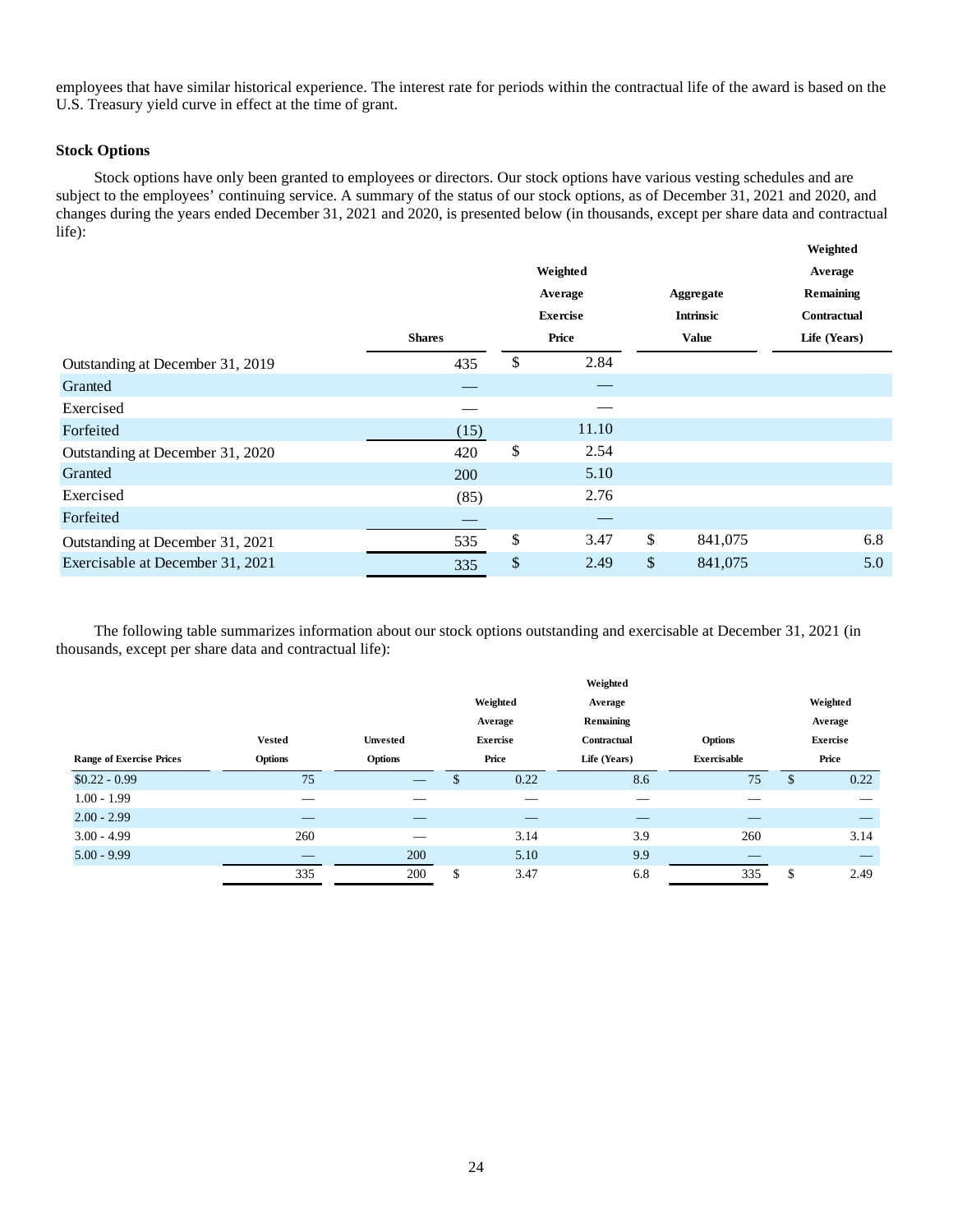employees that have similar historical experience. The interest rate for periods within the contractual life of the award is based on the U.S. Treasury yield curve in effect at the time of grant.

# **Stock Options**

Stock options have only been granted to employees or directors. Our stock options have various vesting schedules and are subject to the employees' continuing service. A summary of the status of our stock options, as of December 31, 2021 and 2020, and changes during the years ended December 31, 2021 and 2020, is presented below (in thousands, except per share data and contractual life): **Weighted**

|                                  |               |                 |                  | vveignieu        |
|----------------------------------|---------------|-----------------|------------------|------------------|
|                                  |               | Weighted        |                  | Average          |
|                                  |               | Average         | Aggregate        | <b>Remaining</b> |
|                                  |               | <b>Exercise</b> | <b>Intrinsic</b> | Contractual      |
|                                  | <b>Shares</b> | Price           | <b>Value</b>     | Life (Years)     |
| Outstanding at December 31, 2019 | 435           | \$<br>2.84      |                  |                  |
| Granted                          |               |                 |                  |                  |
| Exercised                        |               |                 |                  |                  |
| Forfeited                        | (15)          | 11.10           |                  |                  |
| Outstanding at December 31, 2020 | 420           | \$<br>2.54      |                  |                  |
| Granted                          | <b>200</b>    | 5.10            |                  |                  |
| Exercised                        | (85)          | 2.76            |                  |                  |
| Forfeited                        |               |                 |                  |                  |
| Outstanding at December 31, 2021 | 535           | \$<br>3.47      | \$<br>841,075    | 6.8              |
| Exercisable at December 31, 2021 | 335           | \$<br>2.49      | \$<br>841,075    | 5.0              |

The following table summarizes information about our stock options outstanding and exercisable at December 31, 2021 (in thousands, except per share data and contractual life):

|                                 |                |                 |              |                          | Weighted     |                |    |                 |
|---------------------------------|----------------|-----------------|--------------|--------------------------|--------------|----------------|----|-----------------|
|                                 |                |                 |              | Weighted                 | Average      |                |    | Weighted        |
|                                 |                |                 |              | Average                  | Remaining    |                |    | Average         |
|                                 | <b>Vested</b>  | <b>Unvested</b> |              | <b>Exercise</b>          | Contractual  | <b>Options</b> |    | <b>Exercise</b> |
| <b>Range of Exercise Prices</b> | <b>Options</b> | <b>Options</b>  |              | Price                    | Life (Years) | Exercisable    |    | Price           |
| $$0.22 - 0.99$                  | 75             |                 | $\mathbb{S}$ | 0.22                     | 8.6          | 75             | S  | 0.22            |
| $1.00 - 1.99$                   |                |                 |              |                          |              |                |    |                 |
| $2.00 - 2.99$                   | _              |                 |              | $\overline{\phantom{a}}$ |              | _              |    | _               |
| $3.00 - 4.99$                   | 260            |                 |              | 3.14                     | 3.9          | 260            |    | 3.14            |
| $5.00 - 9.99$                   |                | 200             |              | 5.10                     | 9.9          |                |    |                 |
|                                 | 335            | 200             | \$           | 3.47                     | 6.8          | 335            | \$ | 2.49            |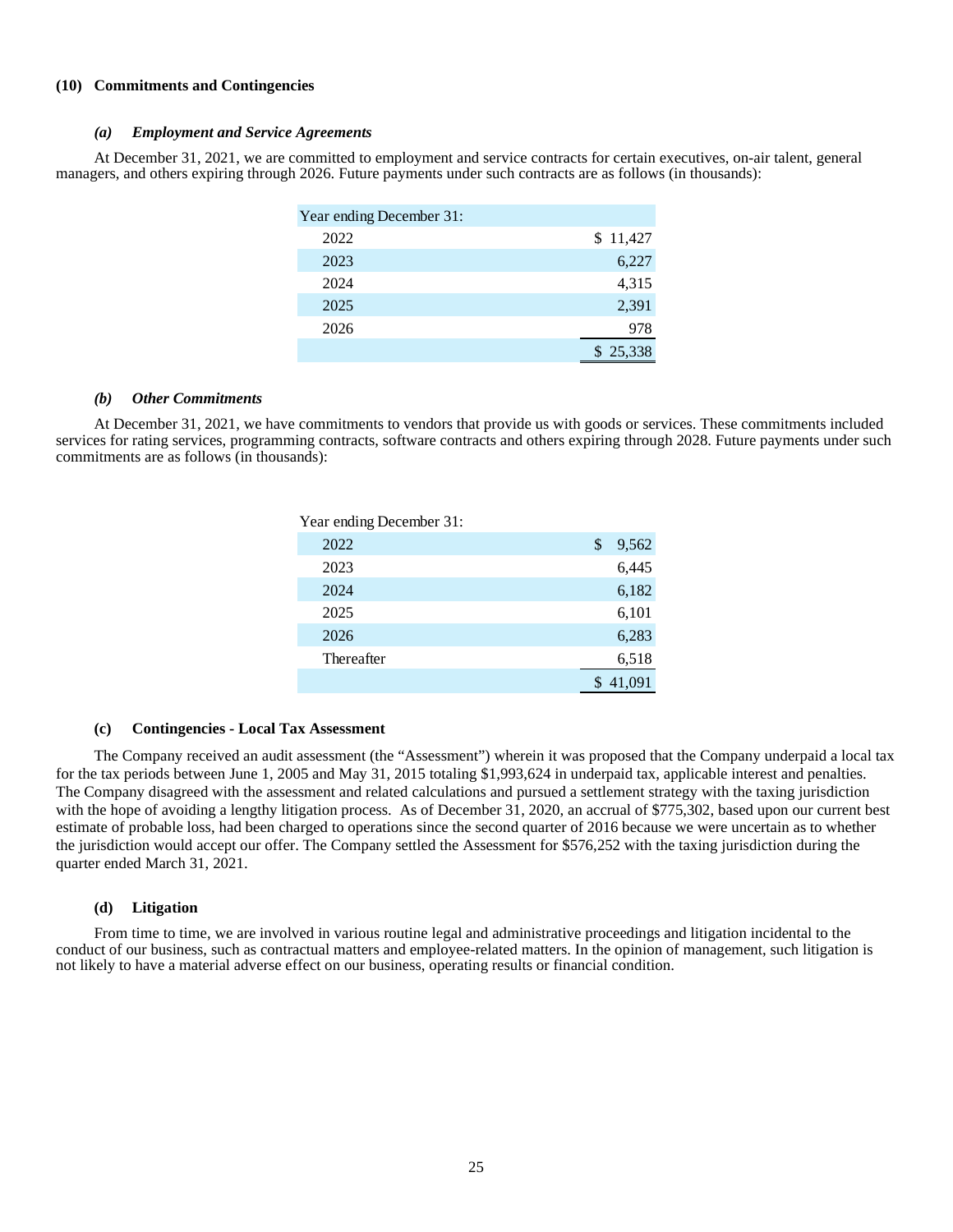## **(10) Commitments and Contingencies**

#### *(a) Employment and Service Agreements*

At December 31, 2021, we are committed to employment and service contracts for certain executives, on-air talent, general managers, and others expiring through 2026. Future payments under such contracts are as follows (in thousands):

| Year ending December 31: |          |
|--------------------------|----------|
| 2022                     | \$11,427 |
| 2023                     | 6,227    |
| 2024                     | 4,315    |
| 2025                     | 2,391    |
| 2026                     | 978      |
|                          | \$25,338 |

#### *(b) Other Commitments*

At December 31, 2021, we have commitments to vendors that provide us with goods or services. These commitments included services for rating services, programming contracts, software contracts and others expiring through 2028. Future payments under such commitments are as follows (in thousands):

| Year ending December 31: |             |
|--------------------------|-------------|
| 2022                     | \$<br>9,562 |
| 2023                     | 6,445       |
| 2024                     | 6,182       |
| 2025                     | 6,101       |
| 2026                     | 6,283       |
| Thereafter               | 6,518       |
|                          | 41,091      |

#### **(c) Contingencies - Local Tax Assessment**

The Company received an audit assessment (the "Assessment") wherein it was proposed that the Company underpaid a local tax for the tax periods between June 1, 2005 and May 31, 2015 totaling \$1,993,624 in underpaid tax, applicable interest and penalties. The Company disagreed with the assessment and related calculations and pursued a settlement strategy with the taxing jurisdiction with the hope of avoiding a lengthy litigation process. As of December 31, 2020, an accrual of \$775,302, based upon our current best estimate of probable loss, had been charged to operations since the second quarter of 2016 because we were uncertain as to whether the jurisdiction would accept our offer. The Company settled the Assessment for \$576,252 with the taxing jurisdiction during the quarter ended March 31, 2021.

### **(d) Litigation**

From time to time, we are involved in various routine legal and administrative proceedings and litigation incidental to the conduct of our business, such as contractual matters and employee-related matters. In the opinion of management, such litigation is not likely to have a material adverse effect on our business, operating results or financial condition.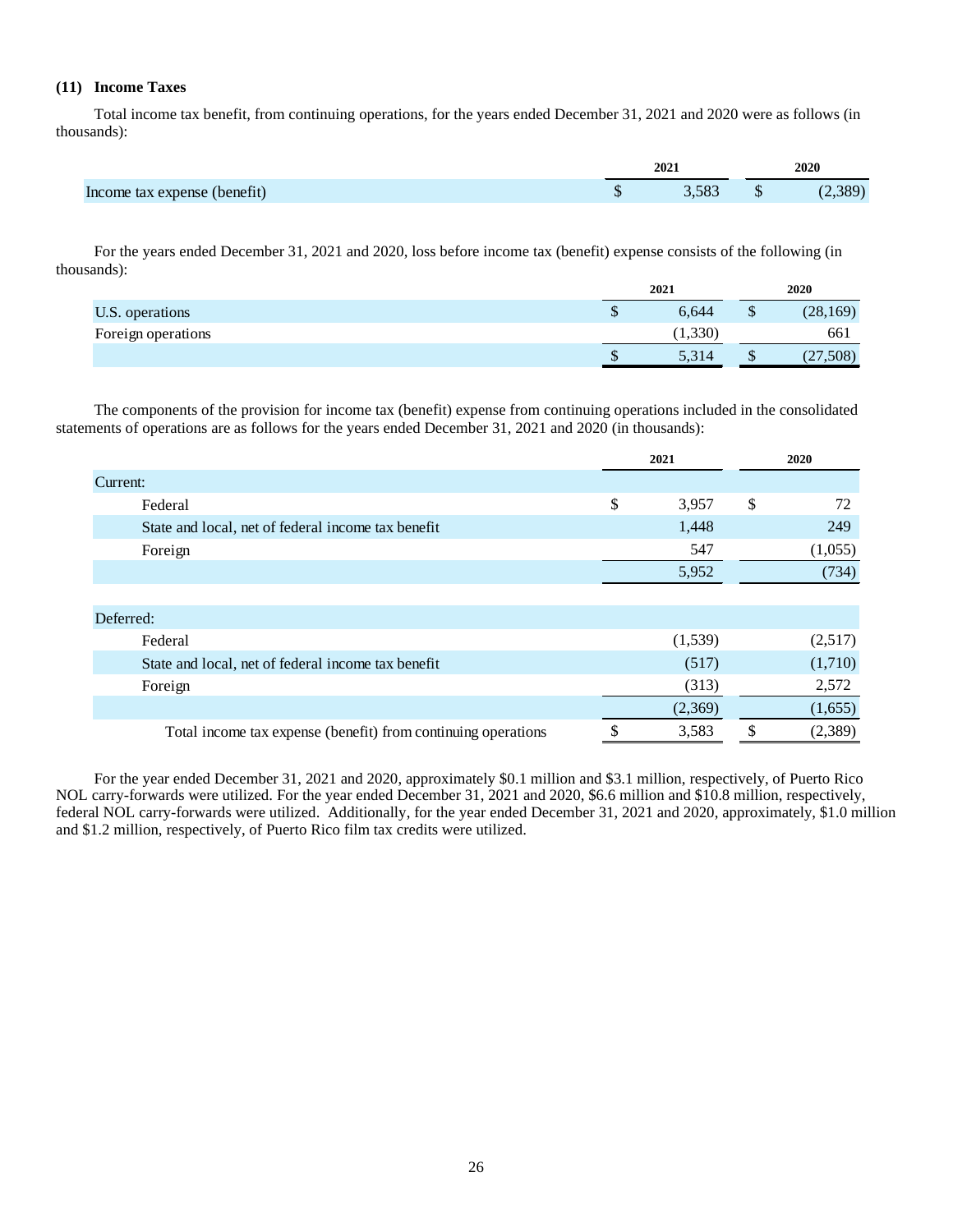# **(11) Income Taxes**

Total income tax benefit, from continuing operations, for the years ended December 31, 2021 and 2020 were as follows (in thousands):

|                              | 2021  | 2020  |
|------------------------------|-------|-------|
| Income tax expense (benefit) | 3.583 | 2,389 |

For the years ended December 31, 2021 and 2020, loss before income tax (benefit) expense consists of the following (in thousands):

|                    | 2021 |         |          | 2020      |
|--------------------|------|---------|----------|-----------|
| U.S. operations    |      | 6.644   | <b>D</b> | (28, 169) |
| Foreign operations |      | (1,330) |          | 661       |
|                    |      | 5.314   |          | (27, 508) |

The components of the provision for income tax (benefit) expense from continuing operations included in the consolidated statements of operations are as follows for the years ended December 31, 2021 and 2020 (in thousands):

|                                                               | 2021        | 2020     |
|---------------------------------------------------------------|-------------|----------|
| Current:                                                      |             |          |
| Federal                                                       | \$<br>3,957 | \$<br>72 |
| State and local, net of federal income tax benefit            | 1,448       | 249      |
| Foreign                                                       | 547         | (1,055)  |
|                                                               | 5,952       | (734)    |
|                                                               |             |          |
| Deferred:                                                     |             |          |
| Federal                                                       | (1,539)     | (2,517)  |
| State and local, net of federal income tax benefit            | (517)       | (1,710)  |
| Foreign                                                       | (313)       | 2,572    |
|                                                               | (2,369)     | (1,655)  |
| Total income tax expense (benefit) from continuing operations | 3,583       | (2,389)  |

For the year ended December 31, 2021 and 2020, approximately \$0.1 million and \$3.1 million, respectively, of Puerto Rico NOL carry-forwards were utilized. For the year ended December 31, 2021 and 2020, \$6.6 million and \$10.8 million, respectively, federal NOL carry-forwards were utilized. Additionally, for the year ended December 31, 2021 and 2020, approximately, \$1.0 million and \$1.2 million, respectively, of Puerto Rico film tax credits were utilized.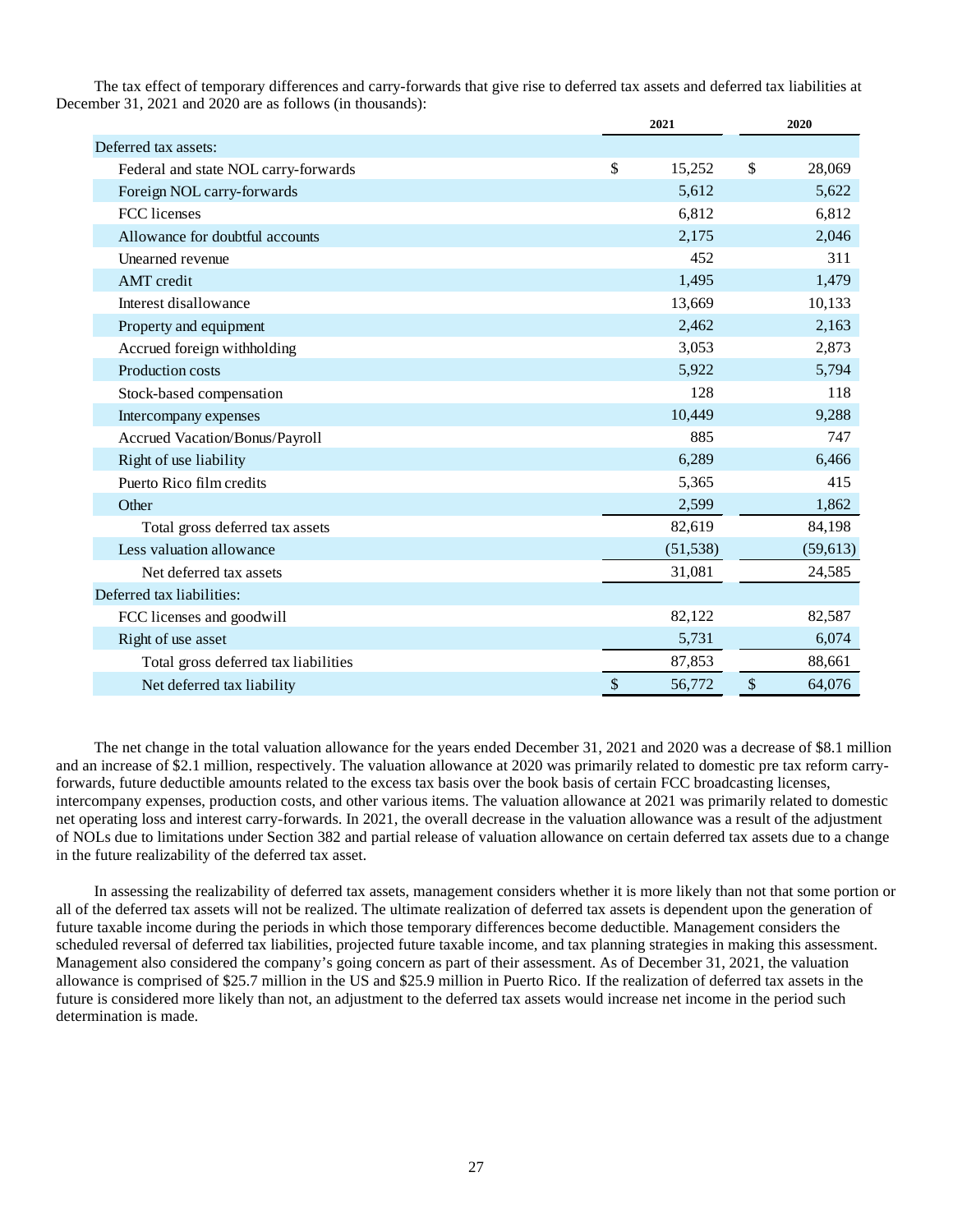The tax effect of temporary differences and carry-forwards that give rise to deferred tax assets and deferred tax liabilities at December 31, 2021 and 2020 are as follows (in thousands):

|                                      | 2021         | 2020          |           |
|--------------------------------------|--------------|---------------|-----------|
| Deferred tax assets:                 |              |               |           |
| Federal and state NOL carry-forwards | \$<br>15,252 | \$            | 28,069    |
| Foreign NOL carry-forwards           | 5,612        |               | 5,622     |
| FCC licenses                         | 6,812        |               | 6,812     |
| Allowance for doubtful accounts      | 2,175        |               | 2,046     |
| Unearned revenue                     | 452          |               | 311       |
| <b>AMT</b> credit                    | 1,495        |               | 1,479     |
| Interest disallowance                | 13,669       |               | 10,133    |
| Property and equipment               | 2,462        |               | 2,163     |
| Accrued foreign withholding          | 3,053        |               | 2,873     |
| Production costs                     | 5,922        |               | 5,794     |
| Stock-based compensation             | 128          |               | 118       |
| Intercompany expenses                | 10,449       |               | 9,288     |
| Accrued Vacation/Bonus/Payroll       | 885          |               | 747       |
| Right of use liability               | 6,289        |               | 6,466     |
| Puerto Rico film credits             | 5,365        |               | 415       |
| Other                                | 2,599        |               | 1,862     |
| Total gross deferred tax assets      | 82,619       |               | 84,198    |
| Less valuation allowance             | (51, 538)    |               | (59, 613) |
| Net deferred tax assets              | 31,081       |               | 24,585    |
| Deferred tax liabilities:            |              |               |           |
| FCC licenses and goodwill            | 82,122       |               | 82,587    |
| Right of use asset                   | 5,731        |               | 6,074     |
| Total gross deferred tax liabilities | 87,853       |               | 88,661    |
| Net deferred tax liability           | \$<br>56,772 | $\frac{1}{2}$ | 64,076    |

The net change in the total valuation allowance for the years ended December 31, 2021 and 2020 was a decrease of \$8.1 million and an increase of \$2.1 million, respectively. The valuation allowance at 2020 was primarily related to domestic pre tax reform carryforwards, future deductible amounts related to the excess tax basis over the book basis of certain FCC broadcasting licenses, intercompany expenses, production costs, and other various items. The valuation allowance at 2021 was primarily related to domestic net operating loss and interest carry-forwards. In 2021, the overall decrease in the valuation allowance was a result of the adjustment of NOLs due to limitations under Section 382 and partial release of valuation allowance on certain deferred tax assets due to a change in the future realizability of the deferred tax asset.

In assessing the realizability of deferred tax assets, management considers whether it is more likely than not that some portion or all of the deferred tax assets will not be realized. The ultimate realization of deferred tax assets is dependent upon the generation of future taxable income during the periods in which those temporary differences become deductible. Management considers the scheduled reversal of deferred tax liabilities, projected future taxable income, and tax planning strategies in making this assessment. Management also considered the company's going concern as part of their assessment. As of December 31, 2021, the valuation allowance is comprised of \$25.7 million in the US and \$25.9 million in Puerto Rico. If the realization of deferred tax assets in the future is considered more likely than not, an adjustment to the deferred tax assets would increase net income in the period such determination is made.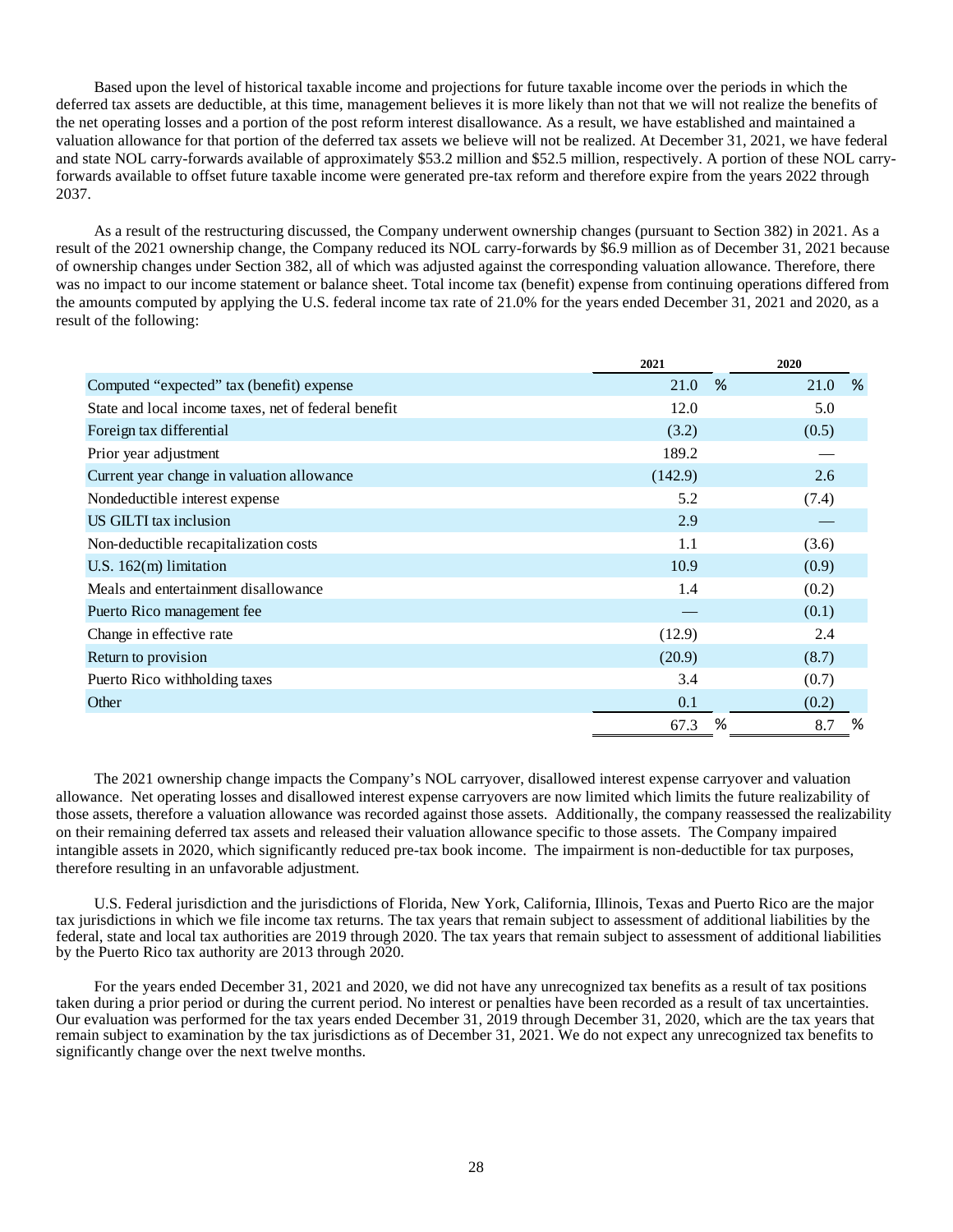Based upon the level of historical taxable income and projections for future taxable income over the periods in which the deferred tax assets are deductible, at this time, management believes it is more likely than not that we will not realize the benefits of the net operating losses and a portion of the post reform interest disallowance. As a result, we have established and maintained a valuation allowance for that portion of the deferred tax assets we believe will not be realized. At December 31, 2021, we have federal and state NOL carry-forwards available of approximately \$53.2 million and \$52.5 million, respectively. A portion of these NOL carryforwards available to offset future taxable income were generated pre-tax reform and therefore expire from the years 2022 through 2037.

As a result of the restructuring discussed, the Company underwent ownership changes (pursuant to Section 382) in 2021. As a result of the 2021 ownership change, the Company reduced its NOL carry-forwards by \$6.9 million as of December 31, 2021 because of ownership changes under Section 382, all of which was adjusted against the corresponding valuation allowance. Therefore, there was no impact to our income statement or balance sheet. Total income tax (benefit) expense from continuing operations differed from the amounts computed by applying the U.S. federal income tax rate of 21.0% for the years ended December 31, 2021 and 2020, as a result of the following:

|                                                      | 2021    | 2020      |   |
|------------------------------------------------------|---------|-----------|---|
| Computed "expected" tax (benefit) expense            | 21.0    | %<br>21.0 | % |
| State and local income taxes, net of federal benefit | 12.0    | 5.0       |   |
| Foreign tax differential                             | (3.2)   | (0.5)     |   |
| Prior year adjustment                                | 189.2   |           |   |
| Current year change in valuation allowance           | (142.9) | 2.6       |   |
| Nondeductible interest expense                       | 5.2     | (7.4)     |   |
| US GILTI tax inclusion                               | 2.9     |           |   |
| Non-deductible recapitalization costs                | 1.1     | (3.6)     |   |
| U.S. $162(m)$ limitation                             | 10.9    | (0.9)     |   |
| Meals and entertainment disallowance                 | 1.4     | (0.2)     |   |
| Puerto Rico management fee                           |         | (0.1)     |   |
| Change in effective rate                             | (12.9)  | 2.4       |   |
| Return to provision                                  | (20.9)  | (8.7)     |   |
| Puerto Rico withholding taxes                        | 3.4     | (0.7)     |   |
| Other                                                | 0.1     | (0.2)     |   |
|                                                      | 67.3    | %<br>8.7  | % |

The 2021 ownership change impacts the Company's NOL carryover, disallowed interest expense carryover and valuation allowance. Net operating losses and disallowed interest expense carryovers are now limited which limits the future realizability of those assets, therefore a valuation allowance was recorded against those assets. Additionally, the company reassessed the realizability on their remaining deferred tax assets and released their valuation allowance specific to those assets. The Company impaired intangible assets in 2020, which significantly reduced pre-tax book income. The impairment is non-deductible for tax purposes, therefore resulting in an unfavorable adjustment.

U.S. Federal jurisdiction and the jurisdictions of Florida, New York, California, Illinois, Texas and Puerto Rico are the major tax jurisdictions in which we file income tax returns. The tax years that remain subject to assessment of additional liabilities by the federal, state and local tax authorities are 2019 through 2020. The tax years that remain subject to assessment of additional liabilities by the Puerto Rico tax authority are 2013 through 2020.

For the years ended December 31, 2021 and 2020, we did not have any unrecognized tax benefits as a result of tax positions taken during a prior period or during the current period. No interest or penalties have been recorded as a result of tax uncertainties. Our evaluation was performed for the tax years ended December 31, 2019 through December 31, 2020, which are the tax years that remain subject to examination by the tax jurisdictions as of December 31, 2021. We do not expect any unrecognized tax benefits to significantly change over the next twelve months.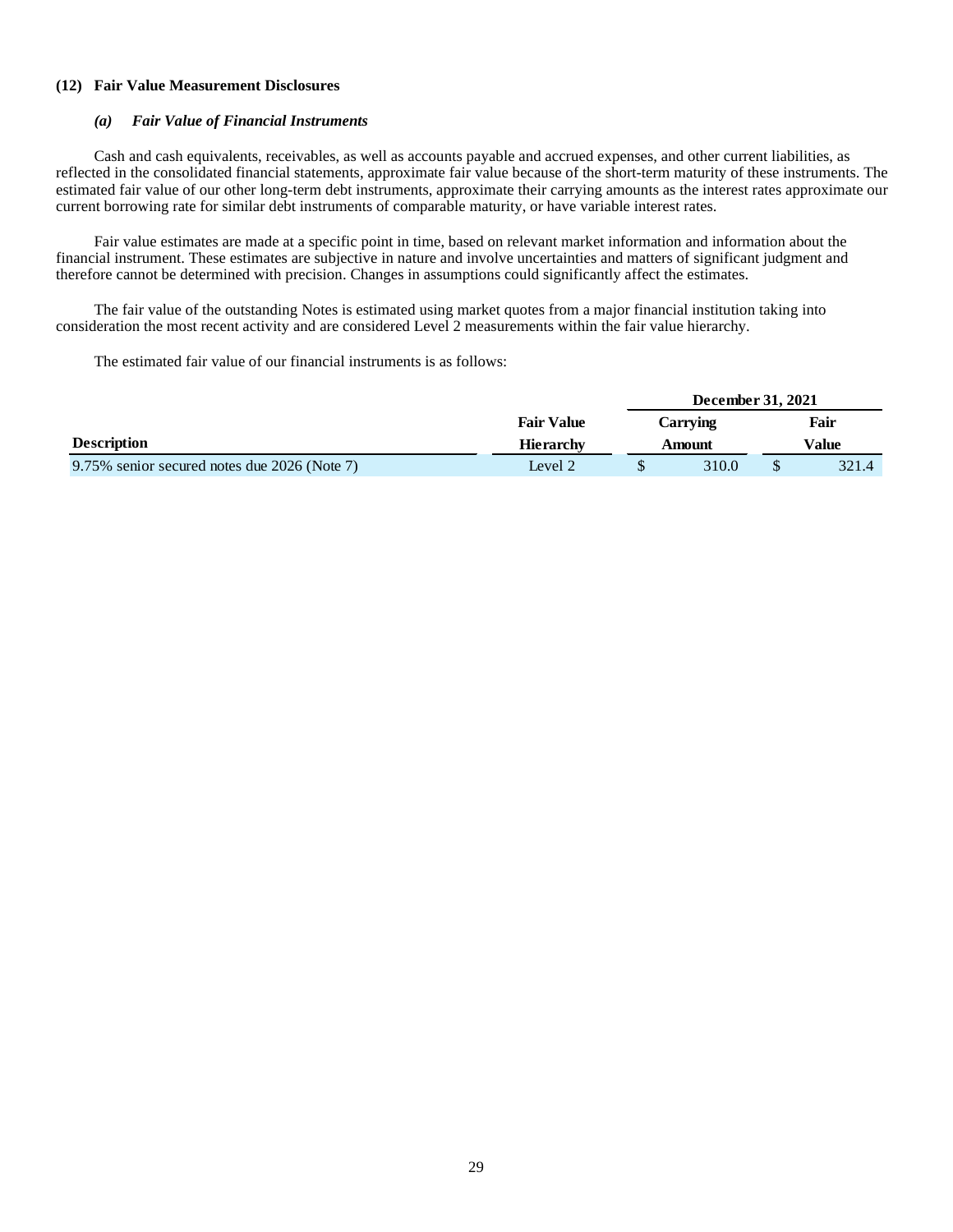# **(12) Fair Value Measurement Disclosures**

# *(a) Fair Value of Financial Instruments*

Cash and cash equivalents, receivables, as well as accounts payable and accrued expenses, and other current liabilities, as reflected in the consolidated financial statements, approximate fair value because of the short-term maturity of these instruments. The estimated fair value of our other long-term debt instruments, approximate their carrying amounts as the interest rates approximate our current borrowing rate for similar debt instruments of comparable maturity, or have variable interest rates.

Fair value estimates are made at a specific point in time, based on relevant market information and information about the financial instrument. These estimates are subjective in nature and involve uncertainties and matters of significant judgment and therefore cannot be determined with precision. Changes in assumptions could significantly affect the estimates.

The fair value of the outstanding Notes is estimated using market quotes from a major financial institution taking into consideration the most recent activity and are considered Level 2 measurements within the fair value hierarchy.

The estimated fair value of our financial instruments is as follows:

|                                              |                   | <b>December 31, 2021</b> |       |      |       |
|----------------------------------------------|-------------------|--------------------------|-------|------|-------|
|                                              | <b>Fair Value</b> | <b>Carrying</b>          |       | Fair |       |
| <b>Description</b>                           | <b>Hierarchy</b>  | Amount                   |       |      | Value |
| 9.75% senior secured notes due 2026 (Note 7) | Level 2           |                          | 310.0 |      | 321.4 |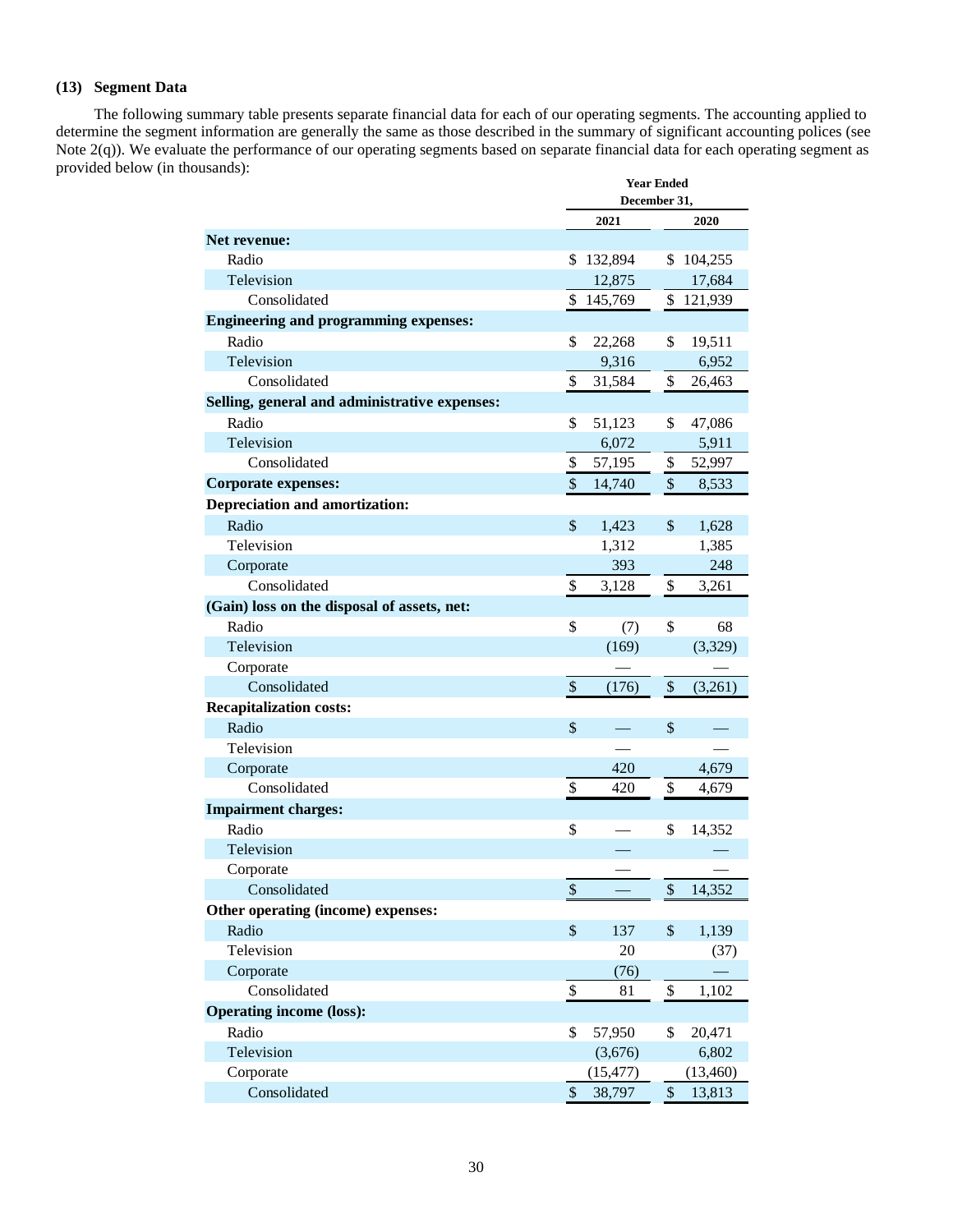# **(13) Segment Data**

The following summary table presents separate financial data for each of our operating segments. The accounting applied to determine the segment information are generally the same as those described in the summary of significant accounting polices (see Note 2(q)). We evaluate the performance of our operating segments based on separate financial data for each operating segment as provided below (in thousands): **Year Ended**

|                                               |                           | December 31, |                           |           |
|-----------------------------------------------|---------------------------|--------------|---------------------------|-----------|
|                                               |                           | 2021         |                           | 2020      |
| Net revenue:                                  |                           |              |                           |           |
| Radio                                         | \$                        | 132,894      |                           | \$104,255 |
| Television                                    |                           | 12,875       |                           | 17,684    |
| Consolidated                                  | \$                        | 145,769      |                           | \$121,939 |
| <b>Engineering and programming expenses:</b>  |                           |              |                           |           |
| Radio                                         | \$                        | 22,268       | \$                        | 19,511    |
| Television                                    |                           | 9,316        |                           | 6,952     |
| Consolidated                                  | \$                        | 31,584       | \$                        | 26,463    |
| Selling, general and administrative expenses: |                           |              |                           |           |
| Radio                                         | \$                        | 51,123       | \$                        | 47,086    |
| Television                                    |                           | 6,072        |                           | 5,911     |
| Consolidated                                  | \$                        | 57,195       | \$                        | 52,997    |
| <b>Corporate expenses:</b>                    | \$                        | 14,740       | \$                        | 8,533     |
| <b>Depreciation and amortization:</b>         |                           |              |                           |           |
| Radio                                         | \$                        | 1,423        | \$                        | 1,628     |
| Television                                    |                           | 1,312        |                           | 1,385     |
| Corporate                                     |                           | 393          |                           | 248       |
| Consolidated                                  | \$                        | 3,128        | \$                        | 3,261     |
| (Gain) loss on the disposal of assets, net:   |                           |              |                           |           |
| Radio                                         | \$                        | (7)          | \$                        | 68        |
| Television                                    |                           | (169)        |                           | (3,329)   |
| Corporate                                     |                           |              |                           |           |
| Consolidated                                  | $\boldsymbol{\mathsf{S}}$ | (176)        | $\boldsymbol{\mathsf{S}}$ | (3,261)   |
| <b>Recapitalization costs:</b>                |                           |              |                           |           |
| Radio                                         | \$                        |              | \$                        |           |
| Television                                    |                           |              |                           |           |
| Corporate                                     |                           | 420          |                           | 4,679     |
| Consolidated                                  | \$                        | 420          | \$                        | 4,679     |
| <b>Impairment charges:</b>                    |                           |              |                           |           |
| Radio                                         | \$                        |              | \$                        | 14,352    |
| Television                                    |                           |              |                           |           |
| Corporate                                     |                           |              |                           |           |
| Consolidated                                  | \$                        |              | \$                        | 14,352    |
| Other operating (income) expenses:            |                           |              |                           |           |
| Radio                                         | \$                        | 137          | \$                        | 1,139     |
| Television                                    |                           | 20           |                           | (37)      |
| Corporate                                     |                           | (76)         |                           |           |
| Consolidated                                  | $\boldsymbol{\$}$         | 81           | $\,$                      | 1,102     |
| <b>Operating income (loss):</b>               |                           |              |                           |           |
| Radio                                         | \$                        | 57,950       | \$                        | 20,471    |
| Television                                    |                           | (3,676)      |                           | 6,802     |
| Corporate                                     |                           | (15, 477)    |                           | (13, 460) |
| Consolidated                                  | \$                        | 38,797       | $\$\,$                    | 13,813    |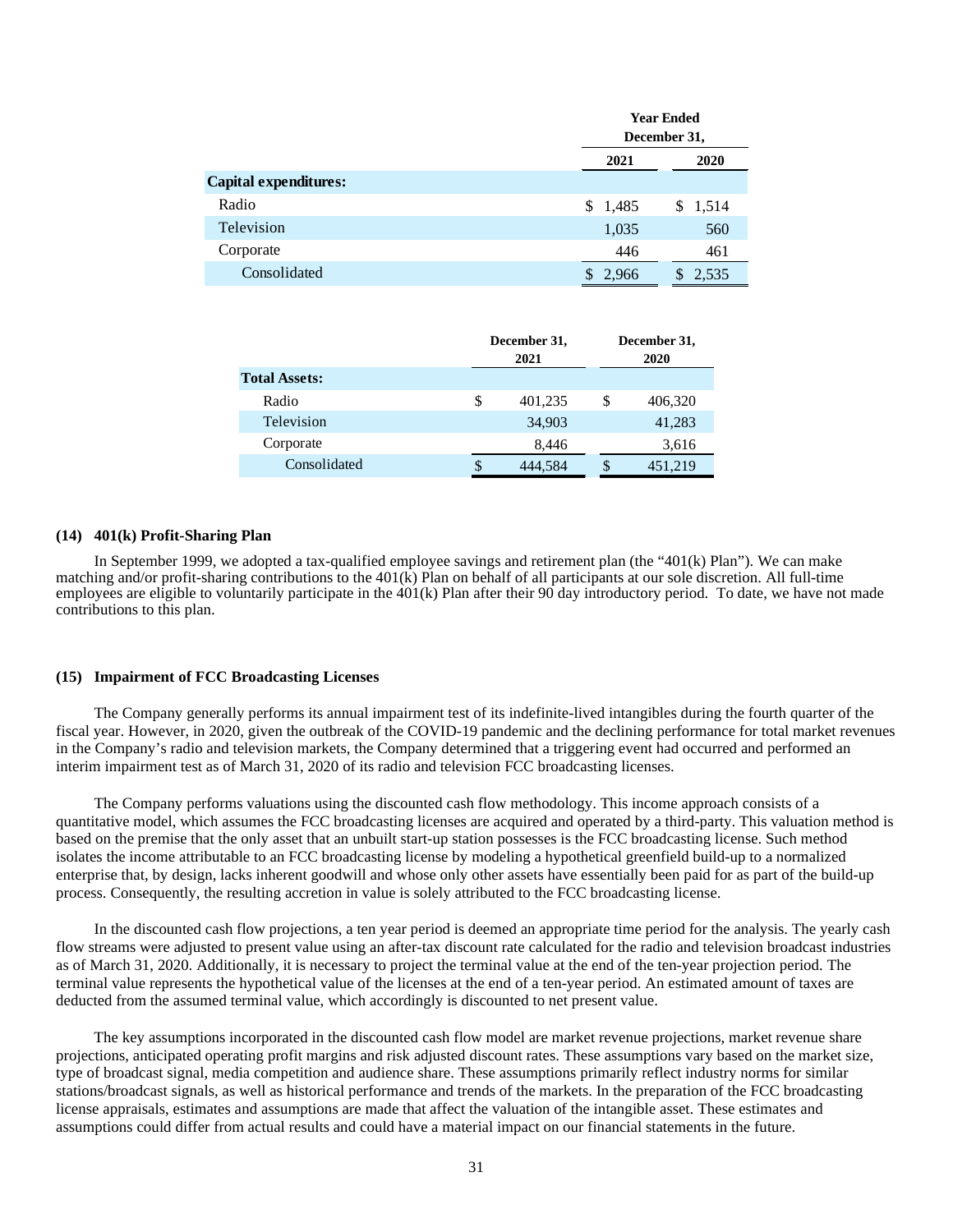|                              |         | <b>Year Ended</b><br>December 31, |  |  |
|------------------------------|---------|-----------------------------------|--|--|
|                              | 2021    | 2020                              |  |  |
| <b>Capital expenditures:</b> |         |                                   |  |  |
| Radio                        | \$1,485 | 1,514<br>\$                       |  |  |
| Television                   | 1,035   | 560                               |  |  |
| Corporate                    | 446     | 461                               |  |  |
| Consolidated                 | 2,966   | 2.535                             |  |  |

|                      | December 31,<br>2021 |    | December 31,<br>2020 |
|----------------------|----------------------|----|----------------------|
| <b>Total Assets:</b> |                      |    |                      |
| Radio                | \$<br>401,235        | S  | 406,320              |
| Television           | 34,903               |    | 41,283               |
| Corporate            | 8,446                |    | 3,616                |
| Consolidated         | \$<br>444.584        | \$ | 451.219              |

## **(14) 401(k) Profit-Sharing Plan**

In September 1999, we adopted a tax-qualified employee savings and retirement plan (the "401(k) Plan"). We can make matching and/or profit-sharing contributions to the 401(k) Plan on behalf of all participants at our sole discretion. All full-time employees are eligible to voluntarily participate in the  $401(k)$  Plan after their 90 day introductory period. To date, we have not made contributions to this plan.

### **(15) Impairment of FCC Broadcasting Licenses**

The Company generally performs its annual impairment test of its indefinite-lived intangibles during the fourth quarter of the fiscal year. However, in 2020, given the outbreak of the COVID-19 pandemic and the declining performance for total market revenues in the Company's radio and television markets, the Company determined that a triggering event had occurred and performed an interim impairment test as of March 31, 2020 of its radio and television FCC broadcasting licenses.

The Company performs valuations using the discounted cash flow methodology. This income approach consists of a quantitative model, which assumes the FCC broadcasting licenses are acquired and operated by a third-party. This valuation method is based on the premise that the only asset that an unbuilt start-up station possesses is the FCC broadcasting license. Such method isolates the income attributable to an FCC broadcasting license by modeling a hypothetical greenfield build-up to a normalized enterprise that, by design, lacks inherent goodwill and whose only other assets have essentially been paid for as part of the build-up process. Consequently, the resulting accretion in value is solely attributed to the FCC broadcasting license.

In the discounted cash flow projections, a ten year period is deemed an appropriate time period for the analysis. The yearly cash flow streams were adjusted to present value using an after-tax discount rate calculated for the radio and television broadcast industries as of March 31, 2020. Additionally, it is necessary to project the terminal value at the end of the ten-year projection period. The terminal value represents the hypothetical value of the licenses at the end of a ten-year period. An estimated amount of taxes are deducted from the assumed terminal value, which accordingly is discounted to net present value.

The key assumptions incorporated in the discounted cash flow model are market revenue projections, market revenue share projections, anticipated operating profit margins and risk adjusted discount rates. These assumptions vary based on the market size, type of broadcast signal, media competition and audience share. These assumptions primarily reflect industry norms for similar stations/broadcast signals, as well as historical performance and trends of the markets. In the preparation of the FCC broadcasting license appraisals, estimates and assumptions are made that affect the valuation of the intangible asset. These estimates and assumptions could differ from actual results and could have a material impact on our financial statements in the future.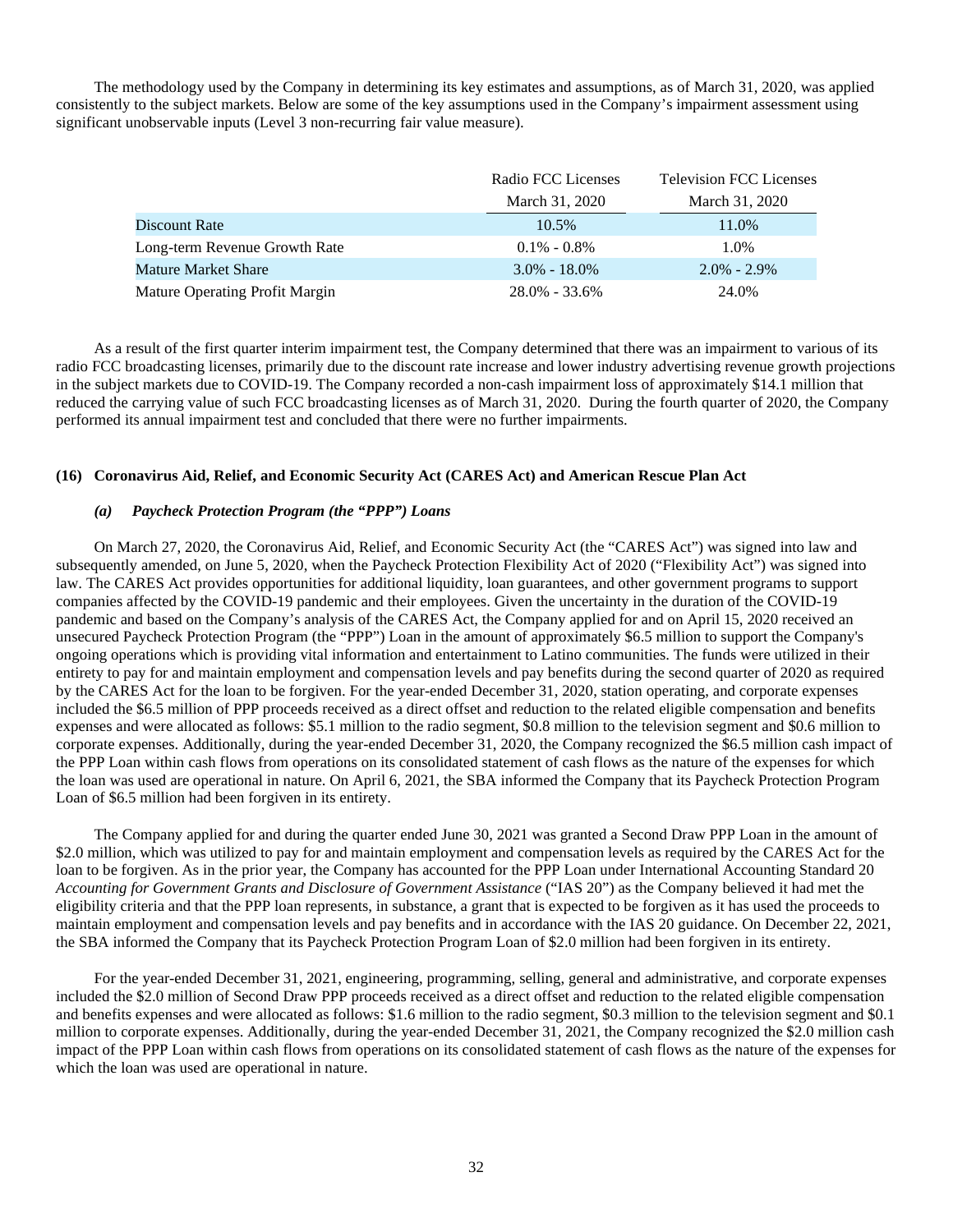The methodology used by the Company in determining its key estimates and assumptions, as of March 31, 2020, was applied consistently to the subject markets. Below are some of the key assumptions used in the Company's impairment assessment using significant unobservable inputs (Level 3 non-recurring fair value measure).

|                                | Radio FCC Licenses | <b>Television FCC Licenses</b> |
|--------------------------------|--------------------|--------------------------------|
|                                | March 31, 2020     | March 31, 2020                 |
| Discount Rate                  | 10.5%              | 11.0%                          |
| Long-term Revenue Growth Rate  | $0.1\% - 0.8\%$    | 1.0%                           |
| Mature Market Share            | $3.0\% - 18.0\%$   | $2.0\% - 2.9\%$                |
| Mature Operating Profit Margin | 28.0% - 33.6%      | 24.0%                          |

As a result of the first quarter interim impairment test, the Company determined that there was an impairment to various of its radio FCC broadcasting licenses, primarily due to the discount rate increase and lower industry advertising revenue growth projections in the subject markets due to COVID-19. The Company recorded a non-cash impairment loss of approximately \$14.1 million that reduced the carrying value of such FCC broadcasting licenses as of March 31, 2020. During the fourth quarter of 2020, the Company performed its annual impairment test and concluded that there were no further impairments.

# **(16) Coronavirus Aid, Relief, and Economic Security Act (CARES Act) and American Rescue Plan Act**

# *(a) Paycheck Protection Program (the "PPP") Loans*

On March 27, 2020, the Coronavirus Aid, Relief, and Economic Security Act (the "CARES Act") was signed into law and subsequently amended, on June 5, 2020, when the Paycheck Protection Flexibility Act of 2020 ("Flexibility Act") was signed into law. The CARES Act provides opportunities for additional liquidity, loan guarantees, and other government programs to support companies affected by the COVID-19 pandemic and their employees. Given the uncertainty in the duration of the COVID-19 pandemic and based on the Company's analysis of the CARES Act, the Company applied for and on April 15, 2020 received an unsecured Paycheck Protection Program (the "PPP") Loan in the amount of approximately \$6.5 million to support the Company's ongoing operations which is providing vital information and entertainment to Latino communities. The funds were utilized in their entirety to pay for and maintain employment and compensation levels and pay benefits during the second quarter of 2020 as required by the CARES Act for the loan to be forgiven. For the year-ended December 31, 2020, station operating, and corporate expenses included the \$6.5 million of PPP proceeds received as a direct offset and reduction to the related eligible compensation and benefits expenses and were allocated as follows: \$5.1 million to the radio segment, \$0.8 million to the television segment and \$0.6 million to corporate expenses. Additionally, during the year-ended December 31, 2020, the Company recognized the \$6.5 million cash impact of the PPP Loan within cash flows from operations on its consolidated statement of cash flows as the nature of the expenses for which the loan was used are operational in nature. On April 6, 2021, the SBA informed the Company that its Paycheck Protection Program Loan of \$6.5 million had been forgiven in its entirety.

The Company applied for and during the quarter ended June 30, 2021 was granted a Second Draw PPP Loan in the amount of \$2.0 million, which was utilized to pay for and maintain employment and compensation levels as required by the CARES Act for the loan to be forgiven. As in the prior year, the Company has accounted for the PPP Loan under International Accounting Standard 20 *Accounting for Government Grants and Disclosure of Government Assistance* ("IAS 20") as the Company believed it had met the eligibility criteria and that the PPP loan represents, in substance, a grant that is expected to be forgiven as it has used the proceeds to maintain employment and compensation levels and pay benefits and in accordance with the IAS 20 guidance. On December 22, 2021, the SBA informed the Company that its Paycheck Protection Program Loan of \$2.0 million had been forgiven in its entirety.

For the year-ended December 31, 2021, engineering, programming, selling, general and administrative, and corporate expenses included the \$2.0 million of Second Draw PPP proceeds received as a direct offset and reduction to the related eligible compensation and benefits expenses and were allocated as follows: \$1.6 million to the radio segment, \$0.3 million to the television segment and \$0.1 million to corporate expenses. Additionally, during the year-ended December 31, 2021, the Company recognized the \$2.0 million cash impact of the PPP Loan within cash flows from operations on its consolidated statement of cash flows as the nature of the expenses for which the loan was used are operational in nature.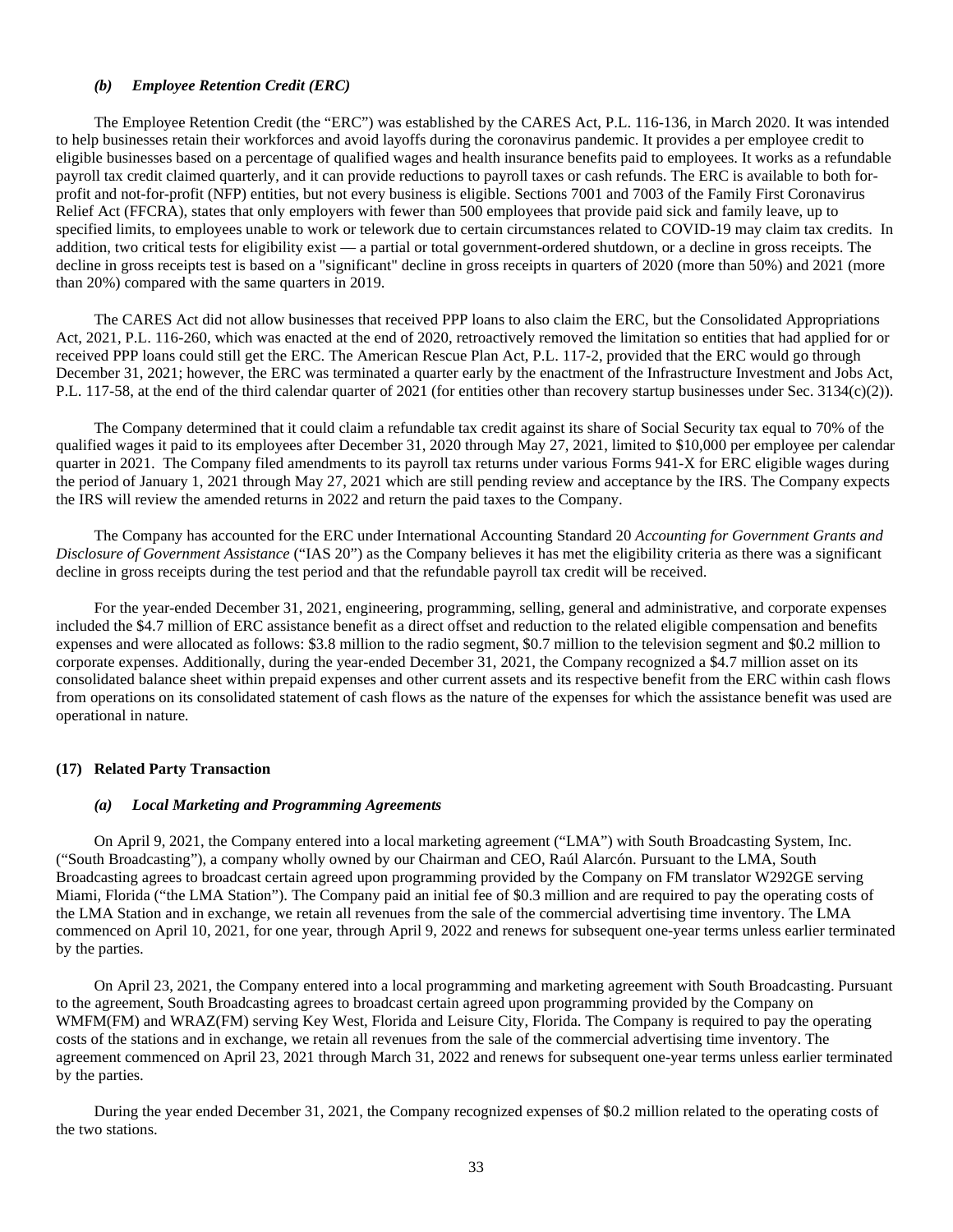# *(b) Employee Retention Credit (ERC)*

The Employee Retention Credit (the "ERC") was established by the CARES Act, P.L. 116-136, in March 2020. It was intended to help businesses retain their workforces and avoid layoffs during the coronavirus pandemic. It provides a per employee credit to eligible businesses based on a percentage of qualified wages and health insurance benefits paid to employees. It works as a refundable payroll tax credit claimed quarterly, and it can provide reductions to payroll taxes or cash refunds. The ERC is available to both forprofit and not-for-profit (NFP) entities, but not every business is eligible. Sections 7001 and 7003 of the Family First Coronavirus Relief Act (FFCRA), states that only employers with fewer than 500 employees that provide paid sick and family leave, up to specified limits, to employees unable to work or telework due to certain circumstances related to COVID-19 may claim tax credits. In addition, two critical tests for eligibility exist — a partial or total government-ordered shutdown, or a decline in gross receipts. The decline in gross receipts test is based on a "significant" decline in gross receipts in quarters of 2020 (more than 50%) and 2021 (more than 20%) compared with the same quarters in 2019.

The CARES Act did not allow businesses that received PPP loans to also claim the ERC, but the Consolidated Appropriations Act, 2021, P.L. 116-260, which was enacted at the end of 2020, retroactively removed the limitation so entities that had applied for or received PPP loans could still get the ERC. The American Rescue Plan Act, P.L. 117-2, provided that the ERC would go through December 31, 2021; however, the ERC was terminated a quarter early by the enactment of the Infrastructure Investment and Jobs Act, P.L. 117-58, at the end of the third calendar quarter of 2021 (for entities other than recovery startup businesses under Sec. 3134(c)(2)).

The Company determined that it could claim a refundable tax credit against its share of Social Security tax equal to 70% of the qualified wages it paid to its employees after December 31, 2020 through May 27, 2021, limited to \$10,000 per employee per calendar quarter in 2021. The Company filed amendments to its payroll tax returns under various Forms 941-X for ERC eligible wages during the period of January 1, 2021 through May 27, 2021 which are still pending review and acceptance by the IRS. The Company expects the IRS will review the amended returns in 2022 and return the paid taxes to the Company.

The Company has accounted for the ERC under International Accounting Standard 20 *Accounting for Government Grants and Disclosure of Government Assistance* ("IAS 20") as the Company believes it has met the eligibility criteria as there was a significant decline in gross receipts during the test period and that the refundable payroll tax credit will be received.

For the year-ended December 31, 2021, engineering, programming, selling, general and administrative, and corporate expenses included the \$4.7 million of ERC assistance benefit as a direct offset and reduction to the related eligible compensation and benefits expenses and were allocated as follows: \$3.8 million to the radio segment, \$0.7 million to the television segment and \$0.2 million to corporate expenses. Additionally, during the year-ended December 31, 2021, the Company recognized a \$4.7 million asset on its consolidated balance sheet within prepaid expenses and other current assets and its respective benefit from the ERC within cash flows from operations on its consolidated statement of cash flows as the nature of the expenses for which the assistance benefit was used are operational in nature.

# **(17) Related Party Transaction**

#### *(a) Local Marketing and Programming Agreements*

On April 9, 2021, the Company entered into a local marketing agreement ("LMA") with South Broadcasting System, Inc. ("South Broadcasting"), a company wholly owned by our Chairman and CEO, Raúl Alarcón. Pursuant to the LMA, South Broadcasting agrees to broadcast certain agreed upon programming provided by the Company on FM translator W292GE serving Miami, Florida ("the LMA Station"). The Company paid an initial fee of \$0.3 million and are required to pay the operating costs of the LMA Station and in exchange, we retain all revenues from the sale of the commercial advertising time inventory. The LMA commenced on April 10, 2021, for one year, through April 9, 2022 and renews for subsequent one-year terms unless earlier terminated by the parties.

On April 23, 2021, the Company entered into a local programming and marketing agreement with South Broadcasting. Pursuant to the agreement, South Broadcasting agrees to broadcast certain agreed upon programming provided by the Company on WMFM(FM) and WRAZ(FM) serving Key West, Florida and Leisure City, Florida. The Company is required to pay the operating costs of the stations and in exchange, we retain all revenues from the sale of the commercial advertising time inventory. The agreement commenced on April 23, 2021 through March 31, 2022 and renews for subsequent one-year terms unless earlier terminated by the parties.

During the year ended December 31, 2021, the Company recognized expenses of \$0.2 million related to the operating costs of the two stations.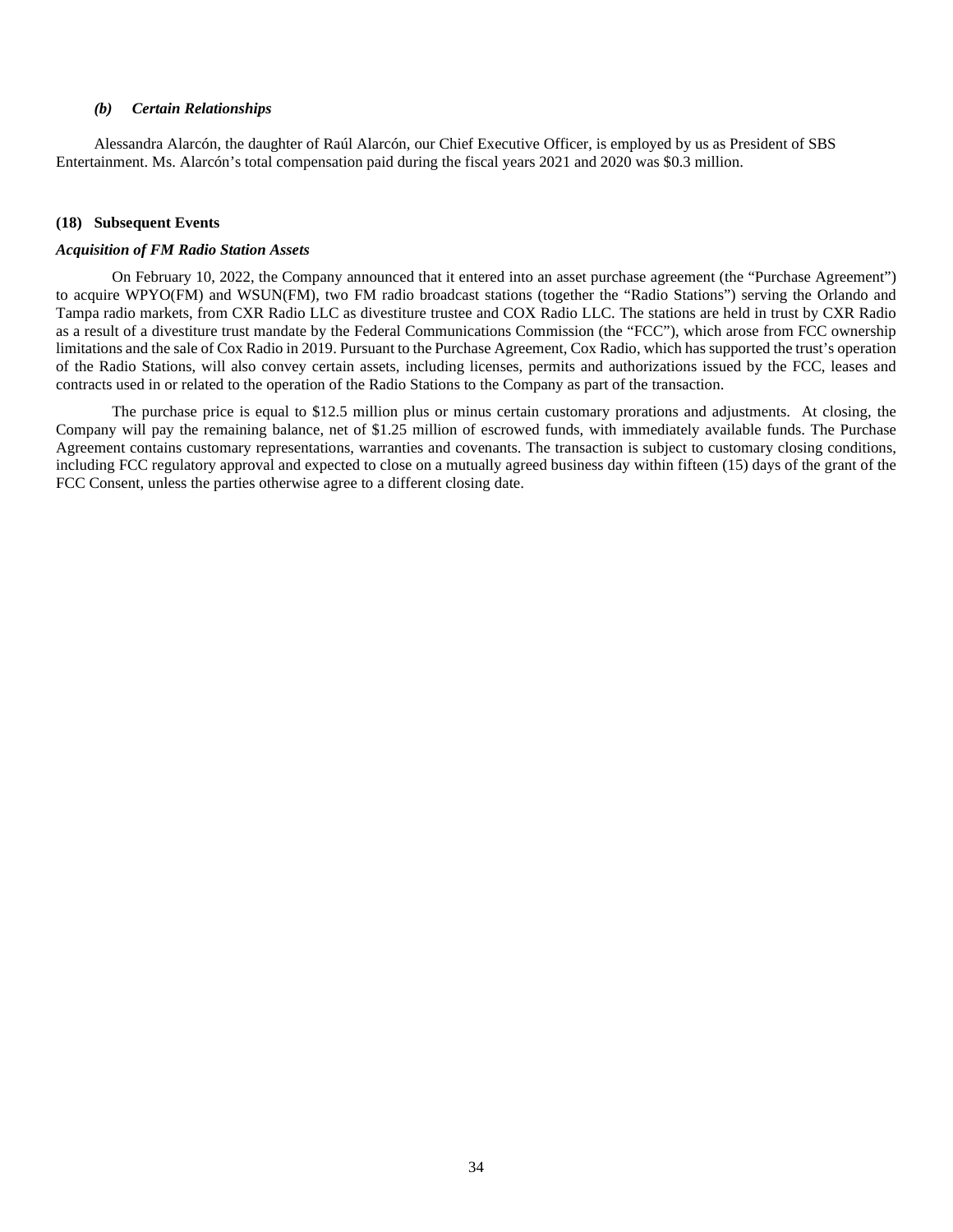## *(b) Certain Relationships*

Alessandra Alarcón, the daughter of Raúl Alarcón, our Chief Executive Officer, is employed by us as President of SBS Entertainment. Ms. Alarcón's total compensation paid during the fiscal years 2021 and 2020 was \$0.3 million.

## **(18) Subsequent Events**

#### *Acquisition of FM Radio Station Assets*

On February 10, 2022, the Company announced that it entered into an asset purchase agreement (the "Purchase Agreement") to acquire WPYO(FM) and WSUN(FM), two FM radio broadcast stations (together the "Radio Stations") serving the Orlando and Tampa radio markets, from CXR Radio LLC as divestiture trustee and COX Radio LLC. The stations are held in trust by CXR Radio as a result of a divestiture trust mandate by the Federal Communications Commission (the "FCC"), which arose from FCC ownership limitations and the sale of Cox Radio in 2019. Pursuant to the Purchase Agreement, Cox Radio, which has supported the trust's operation of the Radio Stations, will also convey certain assets, including licenses, permits and authorizations issued by the FCC, leases and contracts used in or related to the operation of the Radio Stations to the Company as part of the transaction.

The purchase price is equal to \$12.5 million plus or minus certain customary prorations and adjustments. At closing, the Company will pay the remaining balance, net of \$1.25 million of escrowed funds, with immediately available funds. The Purchase Agreement contains customary representations, warranties and covenants. The transaction is subject to customary closing conditions, including FCC regulatory approval and expected to close on a mutually agreed business day within fifteen (15) days of the grant of the FCC Consent, unless the parties otherwise agree to a different closing date.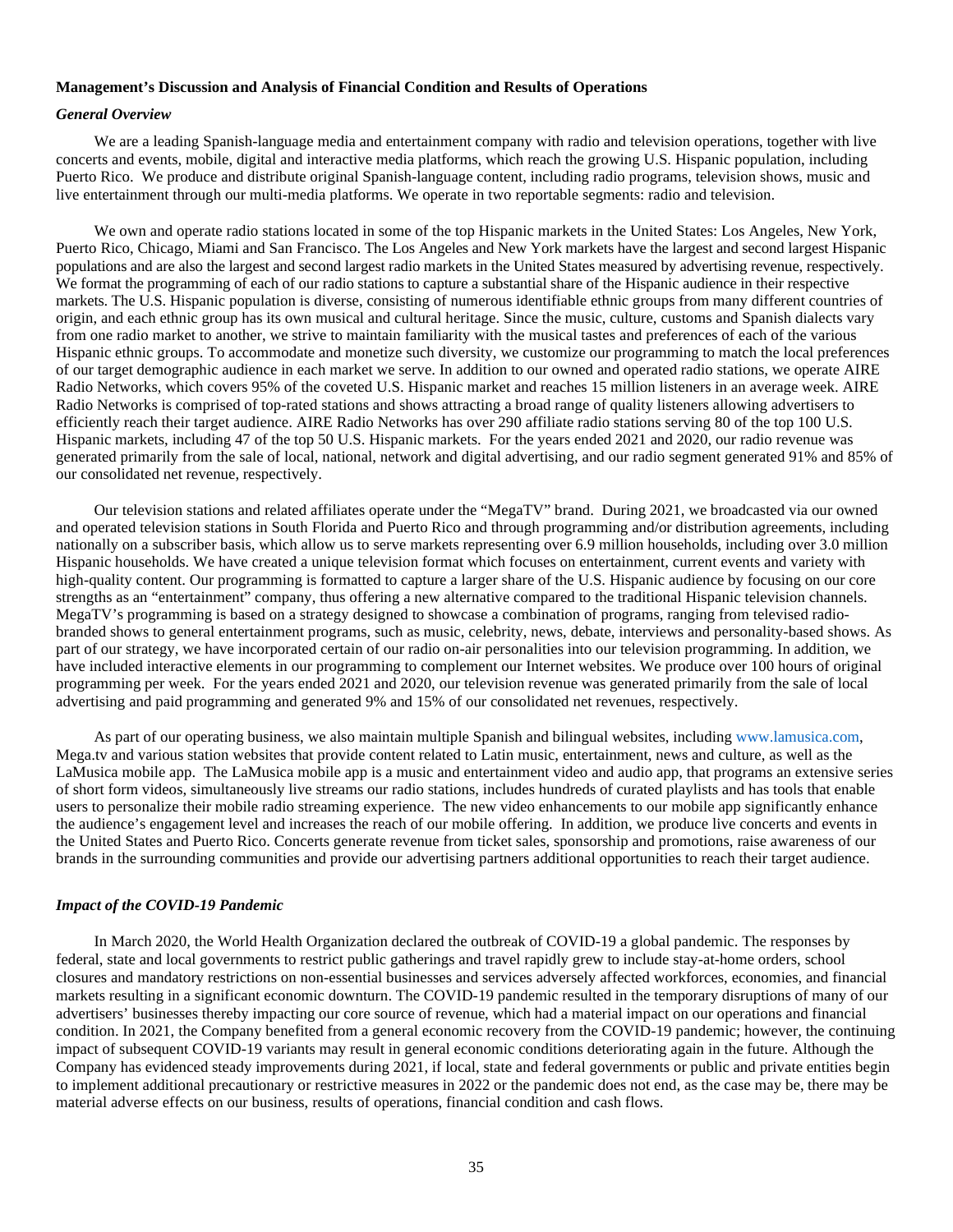# <span id="page-34-0"></span>**Management's Discussion and Analysis of Financial Condition and Results of Operations**

#### *General Overview*

We are a leading Spanish-language media and entertainment company with radio and television operations, together with live concerts and events, mobile, digital and interactive media platforms, which reach the growing U.S. Hispanic population, including Puerto Rico. We produce and distribute original Spanish-language content, including radio programs, television shows, music and live entertainment through our multi-media platforms. We operate in two reportable segments: radio and television.

We own and operate radio stations located in some of the top Hispanic markets in the United States: Los Angeles, New York, Puerto Rico, Chicago, Miami and San Francisco. The Los Angeles and New York markets have the largest and second largest Hispanic populations and are also the largest and second largest radio markets in the United States measured by advertising revenue, respectively. We format the programming of each of our radio stations to capture a substantial share of the Hispanic audience in their respective markets. The U.S. Hispanic population is diverse, consisting of numerous identifiable ethnic groups from many different countries of origin, and each ethnic group has its own musical and cultural heritage. Since the music, culture, customs and Spanish dialects vary from one radio market to another, we strive to maintain familiarity with the musical tastes and preferences of each of the various Hispanic ethnic groups. To accommodate and monetize such diversity, we customize our programming to match the local preferences of our target demographic audience in each market we serve. In addition to our owned and operated radio stations, we operate AIRE Radio Networks, which covers 95% of the coveted U.S. Hispanic market and reaches 15 million listeners in an average week. AIRE Radio Networks is comprised of top-rated stations and shows attracting a broad range of quality listeners allowing advertisers to efficiently reach their target audience. AIRE Radio Networks has over 290 affiliate radio stations serving 80 of the top 100 U.S. Hispanic markets, including 47 of the top 50 U.S. Hispanic markets. For the years ended 2021 and 2020, our radio revenue was generated primarily from the sale of local, national, network and digital advertising, and our radio segment generated 91% and 85% of our consolidated net revenue, respectively.

Our television stations and related affiliates operate under the "MegaTV" brand. During 2021, we broadcasted via our owned and operated television stations in South Florida and Puerto Rico and through programming and/or distribution agreements, including nationally on a subscriber basis, which allow us to serve markets representing over 6.9 million households, including over 3.0 million Hispanic households. We have created a unique television format which focuses on entertainment, current events and variety with high-quality content. Our programming is formatted to capture a larger share of the U.S. Hispanic audience by focusing on our core strengths as an "entertainment" company, thus offering a new alternative compared to the traditional Hispanic television channels. MegaTV's programming is based on a strategy designed to showcase a combination of programs, ranging from televised radiobranded shows to general entertainment programs, such as music, celebrity, news, debate, interviews and personality-based shows. As part of our strategy, we have incorporated certain of our radio on-air personalities into our television programming. In addition, we have included interactive elements in our programming to complement our Internet websites. We produce over 100 hours of original programming per week. For the years ended 2021 and 2020, our television revenue was generated primarily from the sale of local advertising and paid programming and generated 9% and 15% of our consolidated net revenues, respectively.

As part of our operating business, we also maintain multiple Spanish and bilingual websites, including [www.lamusica.com,](http://www.lamusica.com/)  Mega.tv and various station websites that provide content related to Latin music, entertainment, news and culture, as well as the LaMusica mobile app. The LaMusica mobile app is a music and entertainment video and audio app, that programs an extensive series of short form videos, simultaneously live streams our radio stations, includes hundreds of curated playlists and has tools that enable users to personalize their mobile radio streaming experience. The new video enhancements to our mobile app significantly enhance the audience's engagement level and increases the reach of our mobile offering. In addition, we produce live concerts and events in the United States and Puerto Rico. Concerts generate revenue from ticket sales, sponsorship and promotions, raise awareness of our brands in the surrounding communities and provide our advertising partners additional opportunities to reach their target audience.

#### *Impact of the COVID-19 Pandemic*

In March 2020, the World Health Organization declared the outbreak of COVID-19 a global pandemic. The responses by federal, state and local governments to restrict public gatherings and travel rapidly grew to include stay-at-home orders, school closures and mandatory restrictions on non-essential businesses and services adversely affected workforces, economies, and financial markets resulting in a significant economic downturn. The COVID-19 pandemic resulted in the temporary disruptions of many of our advertisers' businesses thereby impacting our core source of revenue, which had a material impact on our operations and financial condition. In 2021, the Company benefited from a general economic recovery from the COVID-19 pandemic; however, the continuing impact of subsequent COVID-19 variants may result in general economic conditions deteriorating again in the future. Although the Company has evidenced steady improvements during 2021, if local, state and federal governments or public and private entities begin to implement additional precautionary or restrictive measures in 2022 or the pandemic does not end, as the case may be, there may be material adverse effects on our business, results of operations, financial condition and cash flows.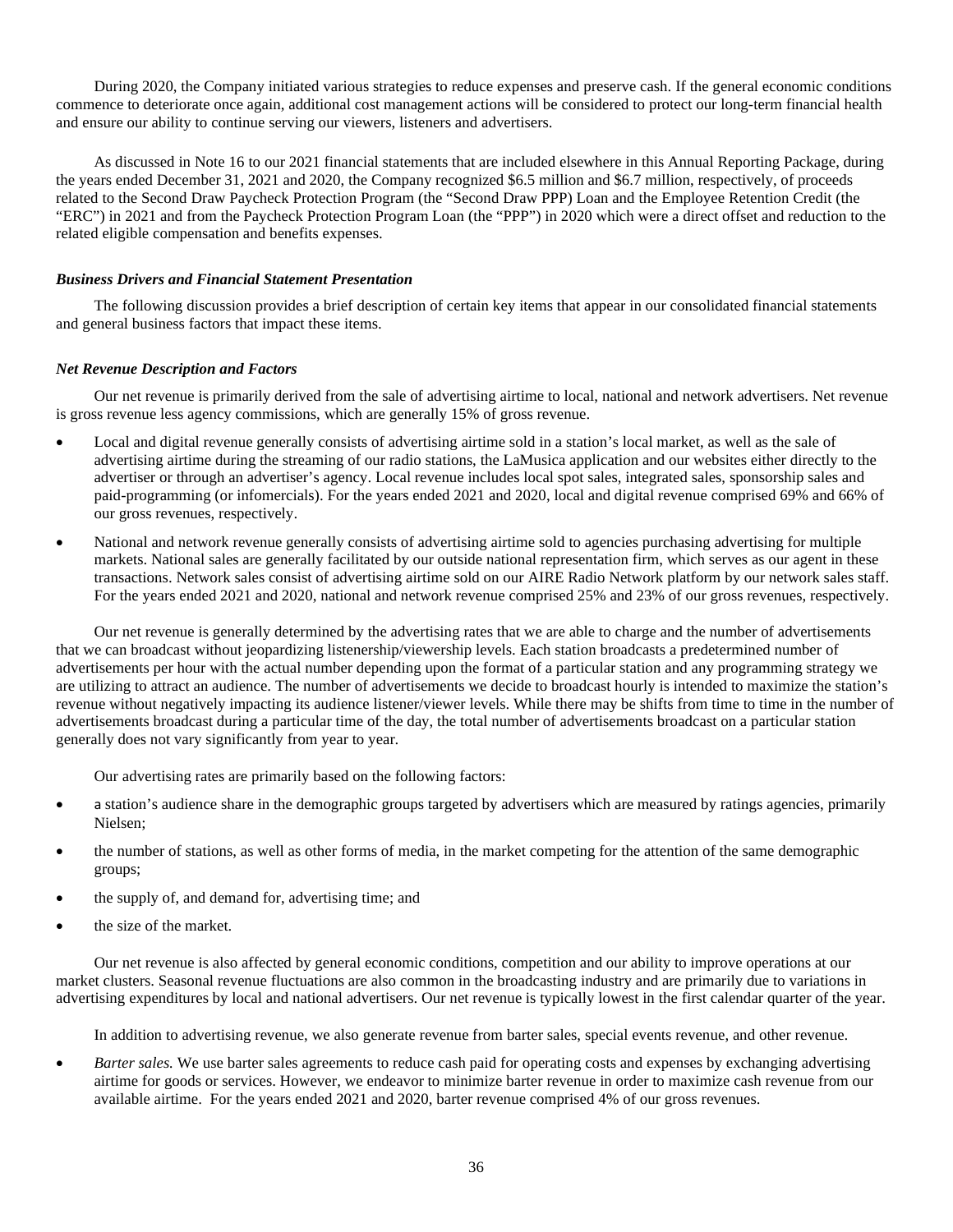During 2020, the Company initiated various strategies to reduce expenses and preserve cash. If the general economic conditions commence to deteriorate once again, additional cost management actions will be considered to protect our long-term financial health and ensure our ability to continue serving our viewers, listeners and advertisers.

As discussed in Note 16 to our 2021 financial statements that are included elsewhere in this Annual Reporting Package, during the years ended December 31, 2021 and 2020, the Company recognized \$6.5 million and \$6.7 million, respectively, of proceeds related to the Second Draw Paycheck Protection Program (the "Second Draw PPP) Loan and the Employee Retention Credit (the "ERC") in 2021 and from the Paycheck Protection Program Loan (the "PPP") in 2020 which were a direct offset and reduction to the related eligible compensation and benefits expenses.

# *Business Drivers and Financial Statement Presentation*

The following discussion provides a brief description of certain key items that appear in our consolidated financial statements and general business factors that impact these items.

# *Net Revenue Description and Factors*

Our net revenue is primarily derived from the sale of advertising airtime to local, national and network advertisers. Net revenue is gross revenue less agency commissions, which are generally 15% of gross revenue.

- Local and digital revenue generally consists of advertising airtime sold in a station's local market, as well as the sale of advertising airtime during the streaming of our radio stations, the LaMusica application and our websites either directly to the advertiser or through an advertiser's agency. Local revenue includes local spot sales, integrated sales, sponsorship sales and paid-programming (or infomercials). For the years ended 2021 and 2020, local and digital revenue comprised 69% and 66% of our gross revenues, respectively.
- National and network revenue generally consists of advertising airtime sold to agencies purchasing advertising for multiple markets. National sales are generally facilitated by our outside national representation firm, which serves as our agent in these transactions. Network sales consist of advertising airtime sold on our AIRE Radio Network platform by our network sales staff. For the years ended 2021 and 2020, national and network revenue comprised 25% and 23% of our gross revenues, respectively.

Our net revenue is generally determined by the advertising rates that we are able to charge and the number of advertisements that we can broadcast without jeopardizing listenership/viewership levels. Each station broadcasts a predetermined number of advertisements per hour with the actual number depending upon the format of a particular station and any programming strategy we are utilizing to attract an audience. The number of advertisements we decide to broadcast hourly is intended to maximize the station's revenue without negatively impacting its audience listener/viewer levels. While there may be shifts from time to time in the number of advertisements broadcast during a particular time of the day, the total number of advertisements broadcast on a particular station generally does not vary significantly from year to year.

Our advertising rates are primarily based on the following factors:

- a station's audience share in the demographic groups targeted by advertisers which are measured by ratings agencies, primarily Nielsen;
- the number of stations, as well as other forms of media, in the market competing for the attention of the same demographic groups;
- the supply of, and demand for, advertising time; and
- the size of the market.

Our net revenue is also affected by general economic conditions, competition and our ability to improve operations at our market clusters. Seasonal revenue fluctuations are also common in the broadcasting industry and are primarily due to variations in advertising expenditures by local and national advertisers. Our net revenue is typically lowest in the first calendar quarter of the year.

In addition to advertising revenue, we also generate revenue from barter sales, special events revenue, and other revenue.

• *Barter sales.* We use barter sales agreements to reduce cash paid for operating costs and expenses by exchanging advertising airtime for goods or services. However, we endeavor to minimize barter revenue in order to maximize cash revenue from our available airtime. For the years ended 2021 and 2020, barter revenue comprised 4% of our gross revenues.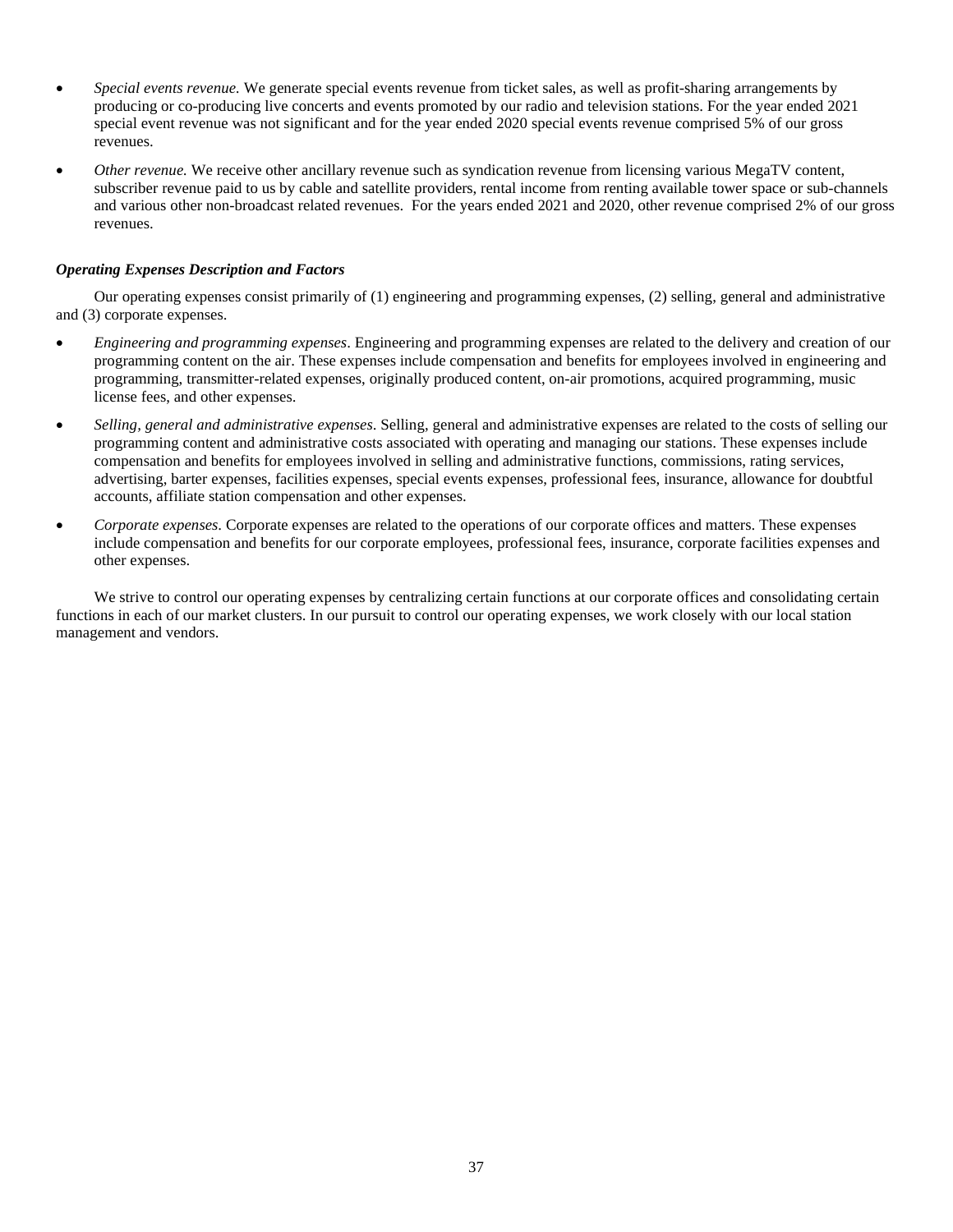- *Special events revenue.* We generate special events revenue from ticket sales, as well as profit-sharing arrangements by producing or co-producing live concerts and events promoted by our radio and television stations. For the year ended 2021 special event revenue was not significant and for the year ended 2020 special events revenue comprised 5% of our gross revenues.
- *Other revenue.* We receive other ancillary revenue such as syndication revenue from licensing various MegaTV content, subscriber revenue paid to us by cable and satellite providers, rental income from renting available tower space or sub-channels and various other non-broadcast related revenues. For the years ended 2021 and 2020, other revenue comprised 2% of our gross revenues.

# *Operating Expenses Description and Factors*

Our operating expenses consist primarily of (1) engineering and programming expenses, (2) selling, general and administrative and (3) corporate expenses.

- *Engineering and programming expenses*. Engineering and programming expenses are related to the delivery and creation of our programming content on the air. These expenses include compensation and benefits for employees involved in engineering and programming, transmitter-related expenses, originally produced content, on-air promotions, acquired programming, music license fees, and other expenses.
- *Selling, general and administrative expenses*. Selling, general and administrative expenses are related to the costs of selling our programming content and administrative costs associated with operating and managing our stations. These expenses include compensation and benefits for employees involved in selling and administrative functions, commissions, rating services, advertising, barter expenses, facilities expenses, special events expenses, professional fees, insurance, allowance for doubtful accounts, affiliate station compensation and other expenses.
- *Corporate expenses*. Corporate expenses are related to the operations of our corporate offices and matters. These expenses include compensation and benefits for our corporate employees, professional fees, insurance, corporate facilities expenses and other expenses.

We strive to control our operating expenses by centralizing certain functions at our corporate offices and consolidating certain functions in each of our market clusters. In our pursuit to control our operating expenses, we work closely with our local station management and vendors.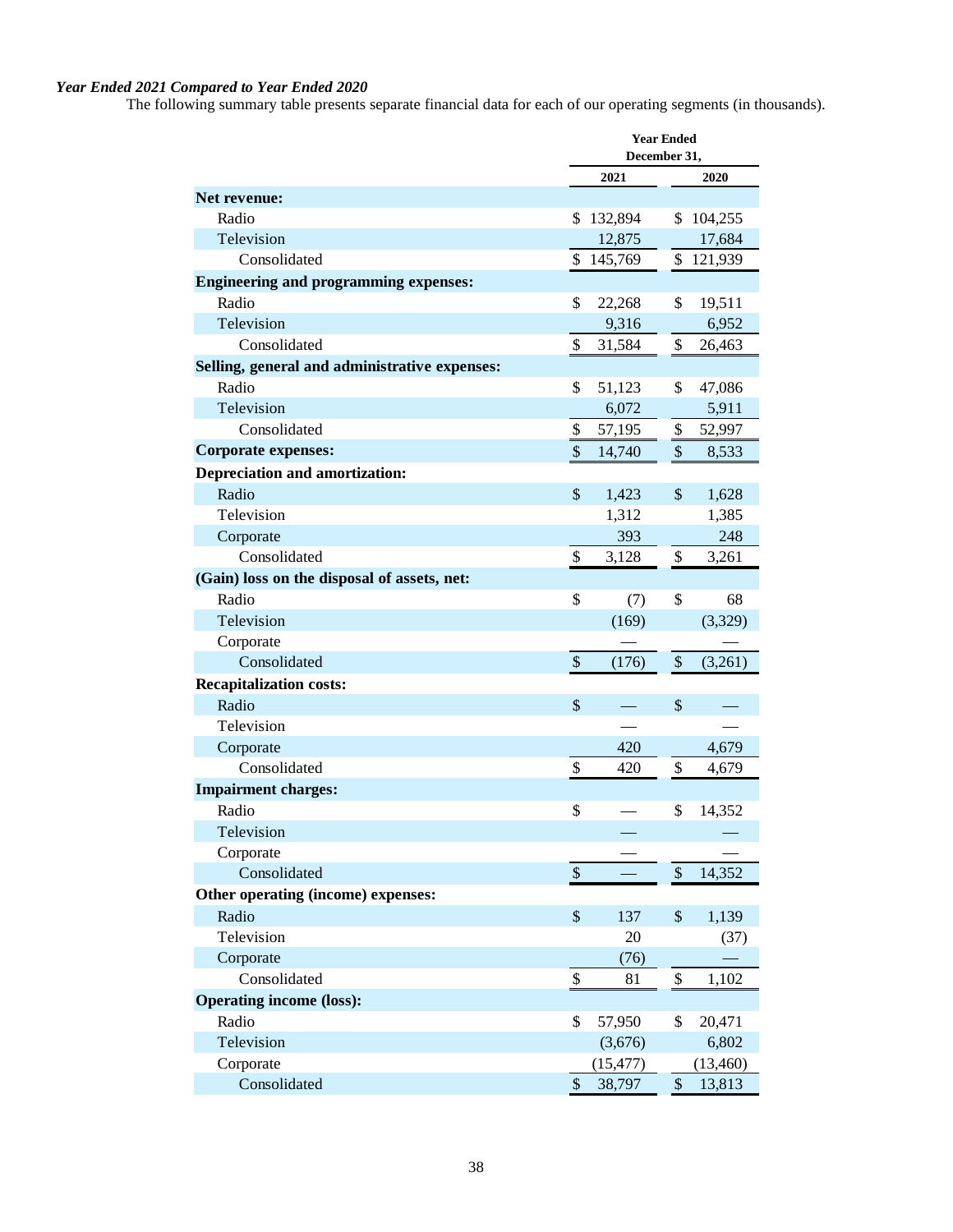## *Year Ended 2021 Compared to Year Ended 2020*

The following summary table presents separate financial data for each of our operating segments (in thousands).

|                                               | <b>Year Ended</b><br>December 31. |           |               |           |
|-----------------------------------------------|-----------------------------------|-----------|---------------|-----------|
|                                               |                                   | 2021      |               | 2020      |
| <b>Net revenue:</b>                           |                                   |           |               |           |
| Radio                                         | \$                                | 132,894   |               | \$104,255 |
| Television                                    |                                   | 12,875    |               | 17,684    |
| Consolidated                                  | \$                                | 145,769   |               | \$121,939 |
| <b>Engineering and programming expenses:</b>  |                                   |           |               |           |
| Radio                                         | \$                                | 22,268    | \$            | 19,511    |
| Television                                    |                                   | 9,316     |               | 6,952     |
| Consolidated                                  | \$                                | 31,584    | \$            | 26,463    |
| Selling, general and administrative expenses: |                                   |           |               |           |
| Radio                                         | \$                                | 51,123    | \$            | 47,086    |
| Television                                    |                                   | 6,072     |               | 5,911     |
| Consolidated                                  | \$                                | 57,195    | \$            | 52,997    |
| <b>Corporate expenses:</b>                    | \$                                | 14,740    | \$            | 8,533     |
| <b>Depreciation and amortization:</b>         |                                   |           |               |           |
| Radio                                         | $\mathbb{S}$                      | 1,423     | \$            | 1,628     |
| Television                                    |                                   | 1,312     |               | 1,385     |
| Corporate                                     |                                   | 393       |               | 248       |
| Consolidated                                  | \$                                | 3,128     | \$            | 3,261     |
| (Gain) loss on the disposal of assets, net:   |                                   |           |               |           |
| Radio                                         | \$                                | (7)       | \$            | 68        |
| Television                                    |                                   | (169)     |               | (3,329)   |
| Corporate                                     |                                   |           |               |           |
| Consolidated                                  | $\boldsymbol{\mathsf{S}}$         | (176)     | $\mathcal{S}$ | (3,261)   |
| <b>Recapitalization costs:</b>                |                                   |           |               |           |
| Radio                                         | \$                                |           | \$            |           |
| Television                                    |                                   |           |               |           |
| Corporate                                     |                                   | 420       |               | 4,679     |
| Consolidated                                  | \$                                | 420       | \$            | 4,679     |
| <b>Impairment charges:</b>                    |                                   |           |               |           |
| Radio                                         | \$                                |           | \$            | 14,352    |
| Television                                    |                                   |           |               |           |
| Corporate                                     |                                   |           |               |           |
| Consolidated                                  | \$                                |           | \$            | 14,352    |
| Other operating (income) expenses:            |                                   |           |               |           |
| Radio                                         | \$                                | 137       | \$            | 1,139     |
| Television                                    |                                   | 20        |               | (37)      |
| Corporate                                     |                                   | (76)      |               |           |
| Consolidated                                  | \$                                | 81        | \$            | 1,102     |
| <b>Operating income (loss):</b>               |                                   |           |               |           |
| Radio                                         | \$                                | 57,950    | \$            | 20,471    |
| Television                                    |                                   | (3,676)   |               | 6,802     |
| Corporate                                     |                                   | (15, 477) |               | (13, 460) |
| Consolidated                                  | \$                                | 38,797    | \$            | 13,813    |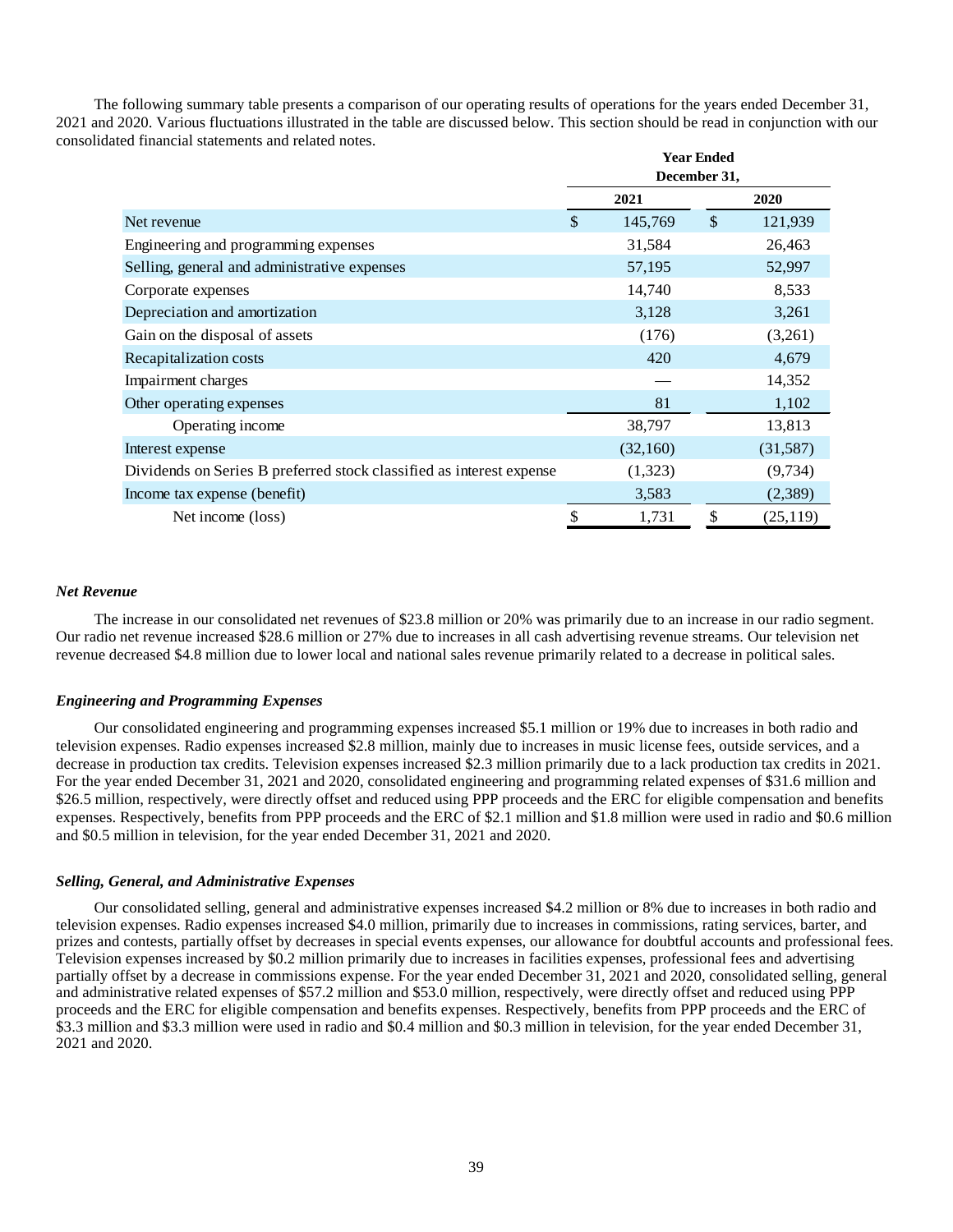The following summary table presents a comparison of our operating results of operations for the years ended December 31, 2021 and 2020. Various fluctuations illustrated in the table are discussed below. This section should be read in conjunction with our consolidated financial statements and related notes. **Year Ended**

|                                                                      | - Year-Ended<br>December 31, |          |               |           |  |
|----------------------------------------------------------------------|------------------------------|----------|---------------|-----------|--|
|                                                                      | 2021                         |          |               | 2020      |  |
| Net revenue                                                          | \$                           | 145,769  | $\mathcal{S}$ | 121,939   |  |
| Engineering and programming expenses                                 |                              | 31,584   |               | 26,463    |  |
| Selling, general and administrative expenses                         |                              | 57,195   |               | 52,997    |  |
| Corporate expenses                                                   |                              | 14,740   |               | 8,533     |  |
| Depreciation and amortization                                        |                              | 3,128    |               | 3,261     |  |
| Gain on the disposal of assets                                       |                              | (176)    |               | (3,261)   |  |
| Recapitalization costs                                               |                              | 420      |               | 4,679     |  |
| Impairment charges                                                   |                              |          |               | 14,352    |  |
| Other operating expenses                                             |                              | 81       |               | 1,102     |  |
| Operating income                                                     |                              | 38,797   |               | 13,813    |  |
| Interest expense                                                     |                              | (32,160) |               | (31,587)  |  |
| Dividends on Series B preferred stock classified as interest expense |                              | (1,323)  |               | (9, 734)  |  |
| Income tax expense (benefit)                                         |                              | 3,583    |               | (2,389)   |  |
| Net income (loss)                                                    | \$                           | 1,731    | \$            | (25, 119) |  |

# *Net Revenue*

The increase in our consolidated net revenues of \$23.8 million or 20% was primarily due to an increase in our radio segment. Our radio net revenue increased \$28.6 million or 27% due to increases in all cash advertising revenue streams. Our television net revenue decreased \$4.8 million due to lower local and national sales revenue primarily related to a decrease in political sales.

# *Engineering and Programming Expenses*

Our consolidated engineering and programming expenses increased \$5.1 million or 19% due to increases in both radio and television expenses. Radio expenses increased \$2.8 million, mainly due to increases in music license fees, outside services, and a decrease in production tax credits. Television expenses increased \$2.3 million primarily due to a lack production tax credits in 2021. For the year ended December 31, 2021 and 2020, consolidated engineering and programming related expenses of \$31.6 million and \$26.5 million, respectively, were directly offset and reduced using PPP proceeds and the ERC for eligible compensation and benefits expenses. Respectively, benefits from PPP proceeds and the ERC of \$2.1 million and \$1.8 million were used in radio and \$0.6 million and \$0.5 million in television, for the year ended December 31, 2021 and 2020.

# *Selling, General, and Administrative Expenses*

Our consolidated selling, general and administrative expenses increased \$4.2 million or 8% due to increases in both radio and television expenses. Radio expenses increased \$4.0 million, primarily due to increases in commissions, rating services, barter, and prizes and contests, partially offset by decreases in special events expenses, our allowance for doubtful accounts and professional fees. Television expenses increased by \$0.2 million primarily due to increases in facilities expenses, professional fees and advertising partially offset by a decrease in commissions expense. For the year ended December 31, 2021 and 2020, consolidated selling, general and administrative related expenses of \$57.2 million and \$53.0 million, respectively, were directly offset and reduced using PPP proceeds and the ERC for eligible compensation and benefits expenses. Respectively, benefits from PPP proceeds and the ERC of \$3.3 million and \$3.3 million were used in radio and \$0.4 million and \$0.3 million in television, for the year ended December 31, 2021 and 2020.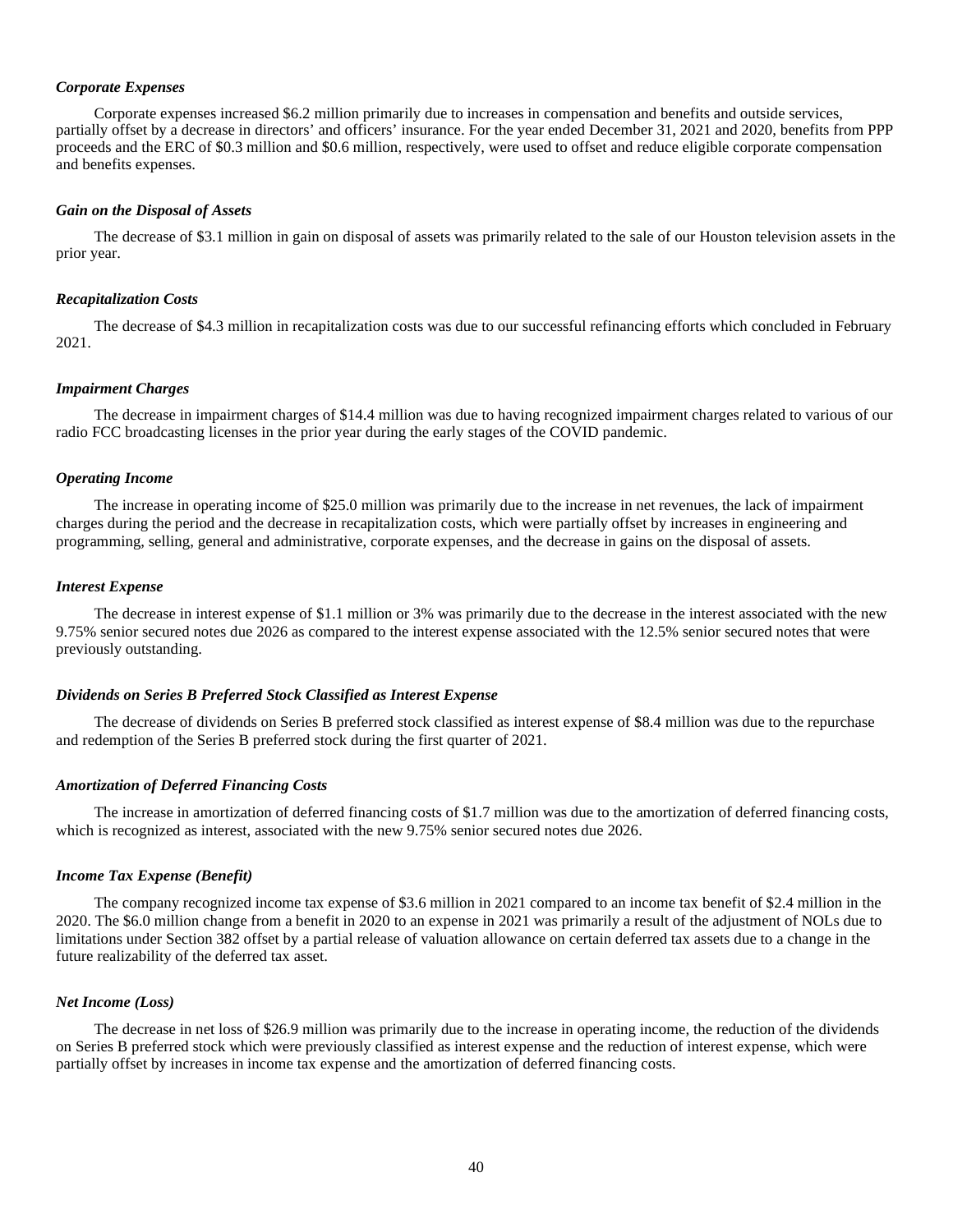## *Corporate Expenses*

Corporate expenses increased \$6.2 million primarily due to increases in compensation and benefits and outside services, partially offset by a decrease in directors' and officers' insurance. For the year ended December 31, 2021 and 2020, benefits from PPP proceeds and the ERC of \$0.3 million and \$0.6 million, respectively, were used to offset and reduce eligible corporate compensation and benefits expenses.

#### *Gain on the Disposal of Assets*

The decrease of \$3.1 million in gain on disposal of assets was primarily related to the sale of our Houston television assets in the prior year.

#### *Recapitalization Costs*

The decrease of \$4.3 million in recapitalization costs was due to our successful refinancing efforts which concluded in February 2021.

#### *Impairment Charges*

The decrease in impairment charges of \$14.4 million was due to having recognized impairment charges related to various of our radio FCC broadcasting licenses in the prior year during the early stages of the COVID pandemic.

# *Operating Income*

The increase in operating income of \$25.0 million was primarily due to the increase in net revenues, the lack of impairment charges during the period and the decrease in recapitalization costs, which were partially offset by increases in engineering and programming, selling, general and administrative, corporate expenses, and the decrease in gains on the disposal of assets.

#### *Interest Expense*

The decrease in interest expense of \$1.1 million or 3% was primarily due to the decrease in the interest associated with the new 9.75% senior secured notes due 2026 as compared to the interest expense associated with the 12.5% senior secured notes that were previously outstanding.

#### *Dividends on Series B Preferred Stock Classified as Interest Expense*

The decrease of dividends on Series B preferred stock classified as interest expense of \$8.4 million was due to the repurchase and redemption of the Series B preferred stock during the first quarter of 2021.

## *Amortization of Deferred Financing Costs*

The increase in amortization of deferred financing costs of \$1.7 million was due to the amortization of deferred financing costs, which is recognized as interest, associated with the new 9.75% senior secured notes due 2026.

#### *Income Tax Expense (Benefit)*

The company recognized income tax expense of \$3.6 million in 2021 compared to an income tax benefit of \$2.4 million in the 2020. The \$6.0 million change from a benefit in 2020 to an expense in 2021 was primarily a result of the adjustment of NOLs due to limitations under Section 382 offset by a partial release of valuation allowance on certain deferred tax assets due to a change in the future realizability of the deferred tax asset.

## *Net Income (Loss)*

The decrease in net loss of \$26.9 million was primarily due to the increase in operating income, the reduction of the dividends on Series B preferred stock which were previously classified as interest expense and the reduction of interest expense, which were partially offset by increases in income tax expense and the amortization of deferred financing costs.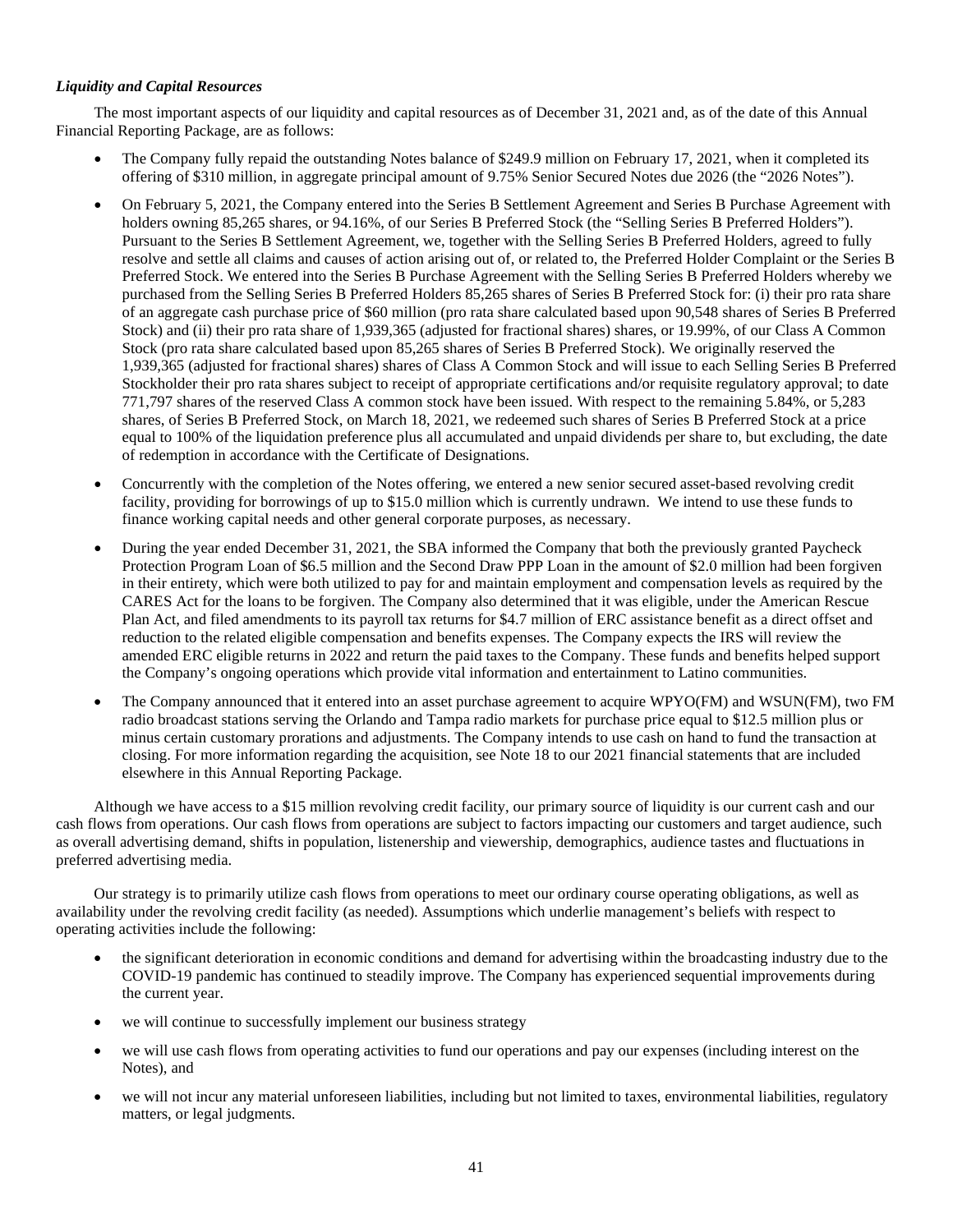# *Liquidity and Capital Resources*

The most important aspects of our liquidity and capital resources as of December 31, 2021 and, as of the date of this Annual Financial Reporting Package, are as follows:

- The Company fully repaid the outstanding Notes balance of \$249.9 million on February 17, 2021, when it completed its offering of \$310 million, in aggregate principal amount of 9.75% Senior Secured Notes due 2026 (the "2026 Notes").
- On February 5, 2021, the Company entered into the Series B Settlement Agreement and Series B Purchase Agreement with holders owning 85,265 shares, or 94.16%, of our Series B Preferred Stock (the "Selling Series B Preferred Holders"). Pursuant to the Series B Settlement Agreement, we, together with the Selling Series B Preferred Holders, agreed to fully resolve and settle all claims and causes of action arising out of, or related to, the Preferred Holder Complaint or the Series B Preferred Stock. We entered into the Series B Purchase Agreement with the Selling Series B Preferred Holders whereby we purchased from the Selling Series B Preferred Holders 85,265 shares of Series B Preferred Stock for: (i) their pro rata share of an aggregate cash purchase price of \$60 million (pro rata share calculated based upon 90,548 shares of Series B Preferred Stock) and (ii) their pro rata share of 1,939,365 (adjusted for fractional shares) shares, or 19.99%, of our Class A Common Stock (pro rata share calculated based upon 85,265 shares of Series B Preferred Stock). We originally reserved the 1,939,365 (adjusted for fractional shares) shares of Class A Common Stock and will issue to each Selling Series B Preferred Stockholder their pro rata shares subject to receipt of appropriate certifications and/or requisite regulatory approval; to date 771,797 shares of the reserved Class A common stock have been issued. With respect to the remaining 5.84%, or 5,283 shares, of Series B Preferred Stock, on March 18, 2021, we redeemed such shares of Series B Preferred Stock at a price equal to 100% of the liquidation preference plus all accumulated and unpaid dividends per share to, but excluding, the date of redemption in accordance with the Certificate of Designations.
- Concurrently with the completion of the Notes offering, we entered a new senior secured asset-based revolving credit facility, providing for borrowings of up to \$15.0 million which is currently undrawn. We intend to use these funds to finance working capital needs and other general corporate purposes, as necessary.
- During the year ended December 31, 2021, the SBA informed the Company that both the previously granted Paycheck Protection Program Loan of \$6.5 million and the Second Draw PPP Loan in the amount of \$2.0 million had been forgiven in their entirety, which were both utilized to pay for and maintain employment and compensation levels as required by the CARES Act for the loans to be forgiven. The Company also determined that it was eligible, under the American Rescue Plan Act, and filed amendments to its payroll tax returns for \$4.7 million of ERC assistance benefit as a direct offset and reduction to the related eligible compensation and benefits expenses. The Company expects the IRS will review the amended ERC eligible returns in 2022 and return the paid taxes to the Company. These funds and benefits helped support the Company's ongoing operations which provide vital information and entertainment to Latino communities.
- The Company announced that it entered into an asset purchase agreement to acquire WPYO(FM) and WSUN(FM), two FM radio broadcast stations serving the Orlando and Tampa radio markets for purchase price equal to \$12.5 million plus or minus certain customary prorations and adjustments. The Company intends to use cash on hand to fund the transaction at closing. For more information regarding the acquisition, see Note 18 to our 2021 financial statements that are included elsewhere in this Annual Reporting Package.

Although we have access to a \$15 million revolving credit facility, our primary source of liquidity is our current cash and our cash flows from operations. Our cash flows from operations are subject to factors impacting our customers and target audience, such as overall advertising demand, shifts in population, listenership and viewership, demographics, audience tastes and fluctuations in preferred advertising media.

Our strategy is to primarily utilize cash flows from operations to meet our ordinary course operating obligations, as well as availability under the revolving credit facility (as needed). Assumptions which underlie management's beliefs with respect to operating activities include the following:

- the significant deterioration in economic conditions and demand for advertising within the broadcasting industry due to the COVID-19 pandemic has continued to steadily improve. The Company has experienced sequential improvements during the current year.
- we will continue to successfully implement our business strategy
- we will use cash flows from operating activities to fund our operations and pay our expenses (including interest on the Notes), and
- we will not incur any material unforeseen liabilities, including but not limited to taxes, environmental liabilities, regulatory matters, or legal judgments.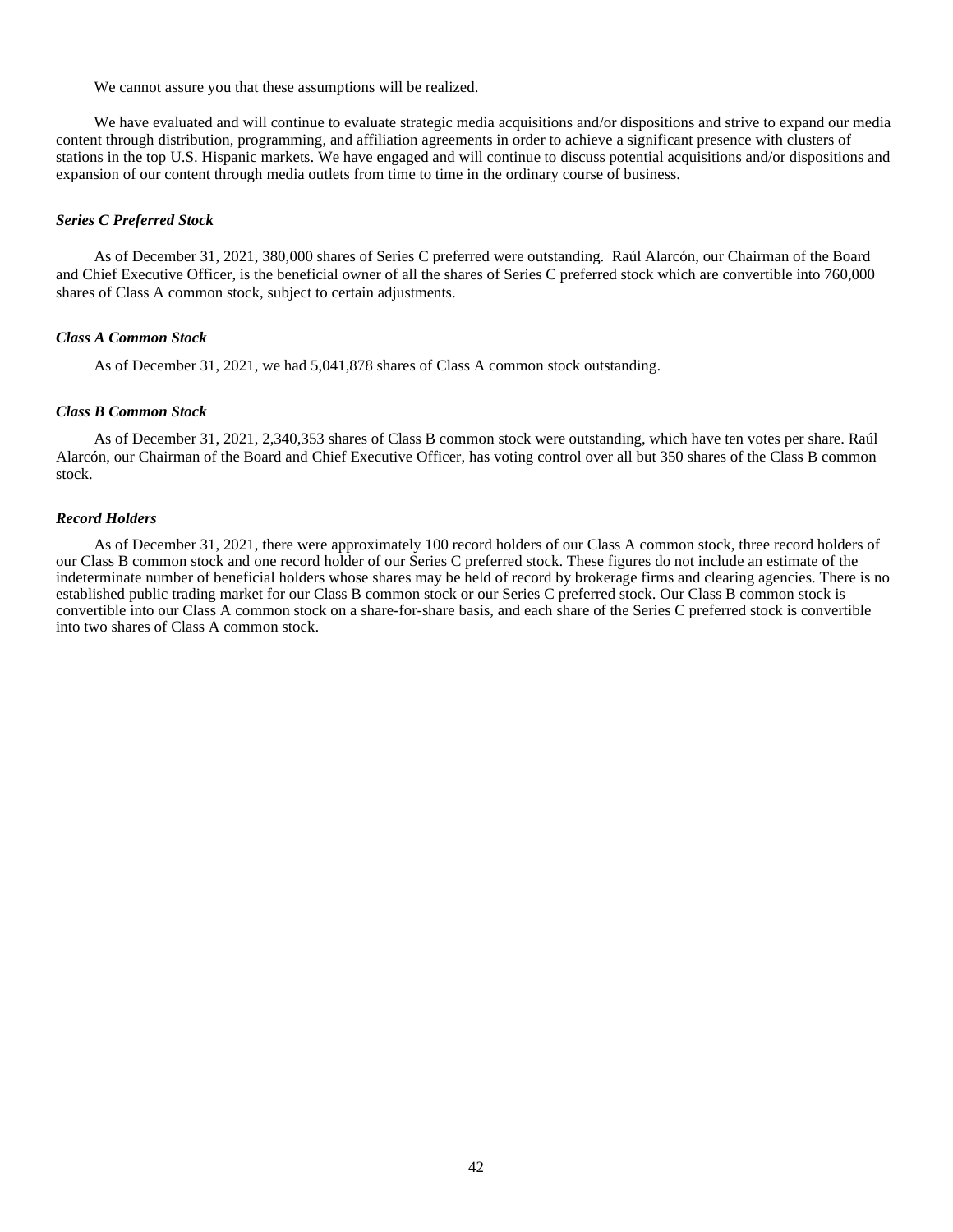We cannot assure you that these assumptions will be realized.

We have evaluated and will continue to evaluate strategic media acquisitions and/or dispositions and strive to expand our media content through distribution, programming, and affiliation agreements in order to achieve a significant presence with clusters of stations in the top U.S. Hispanic markets. We have engaged and will continue to discuss potential acquisitions and/or dispositions and expansion of our content through media outlets from time to time in the ordinary course of business.

#### *Series C Preferred Stock*

As of December 31, 2021, 380,000 shares of Series C preferred were outstanding. Raúl Alarcón, our Chairman of the Board and Chief Executive Officer, is the beneficial owner of all the shares of Series C preferred stock which are convertible into 760,000 shares of Class A common stock, subject to certain adjustments.

## *Class A Common Stock*

As of December 31, 2021, we had 5,041,878 shares of Class A common stock outstanding.

# *Class B Common Stock*

As of December 31, 2021, 2,340,353 shares of Class B common stock were outstanding, which have ten votes per share. Raúl Alarcón, our Chairman of the Board and Chief Executive Officer, has voting control over all but 350 shares of the Class B common stock.

#### *Record Holders*

As of December 31, 2021, there were approximately 100 record holders of our Class A common stock, three record holders of our Class B common stock and one record holder of our Series C preferred stock. These figures do not include an estimate of the indeterminate number of beneficial holders whose shares may be held of record by brokerage firms and clearing agencies. There is no established public trading market for our Class B common stock or our Series C preferred stock. Our Class B common stock is convertible into our Class A common stock on a share-for-share basis, and each share of the Series C preferred stock is convertible into two shares of Class A common stock.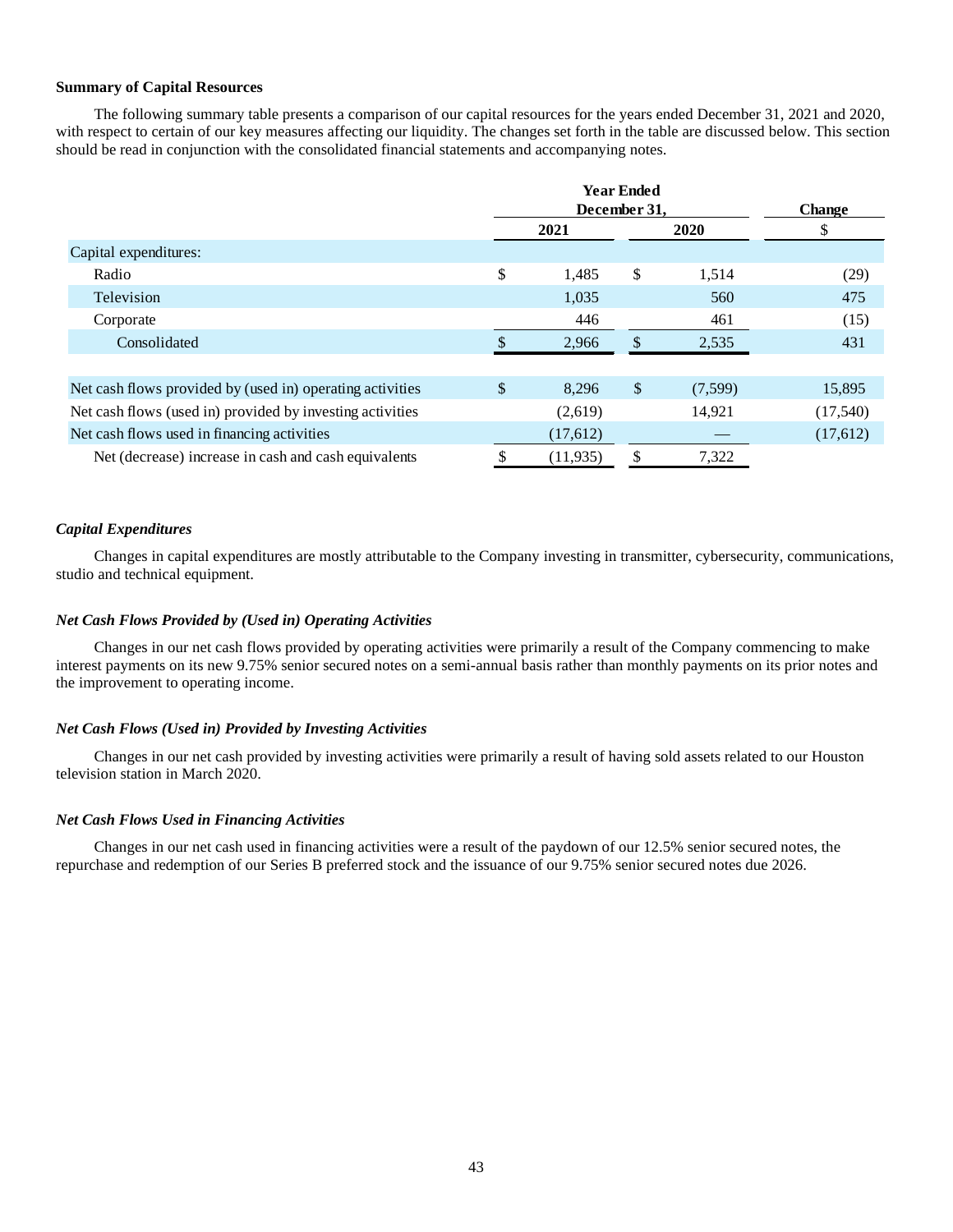# **Summary of Capital Resources**

The following summary table presents a comparison of our capital resources for the years ended December 31, 2021 and 2020, with respect to certain of our key measures affecting our liquidity. The changes set forth in the table are discussed below. This section should be read in conjunction with the consolidated financial statements and accompanying notes.

|                                                           | <b>Year Ended</b><br>December 31, |           |    |         | <b>Change</b> |  |
|-----------------------------------------------------------|-----------------------------------|-----------|----|---------|---------------|--|
|                                                           |                                   |           |    |         |               |  |
|                                                           |                                   | 2021      |    | 2020    | ◡             |  |
| Capital expenditures:                                     |                                   |           |    |         |               |  |
| Radio                                                     | \$                                | 1,485     | \$ | 1,514   | (29)          |  |
| Television                                                |                                   | 1,035     |    | 560     | 475           |  |
| Corporate                                                 |                                   | 446       |    | 461     | (15)          |  |
| Consolidated                                              |                                   | 2,966     | \$ | 2,535   | 431           |  |
|                                                           |                                   |           |    |         |               |  |
| Net cash flows provided by (used in) operating activities | \$                                | 8,296     | \$ | (7,599) | 15,895        |  |
| Net cash flows (used in) provided by investing activities |                                   | (2,619)   |    | 14,921  | (17,540)      |  |
| Net cash flows used in financing activities               |                                   | (17,612)  |    |         | (17,612)      |  |
| Net (decrease) increase in cash and cash equivalents      | \$                                | (11, 935) | \$ | 7,322   |               |  |

# *Capital Expenditures*

Changes in capital expenditures are mostly attributable to the Company investing in transmitter, cybersecurity, communications, studio and technical equipment.

# *Net Cash Flows Provided by (Used in) Operating Activities*

Changes in our net cash flows provided by operating activities were primarily a result of the Company commencing to make interest payments on its new 9.75% senior secured notes on a semi-annual basis rather than monthly payments on its prior notes and the improvement to operating income.

# *Net Cash Flows (Used in) Provided by Investing Activities*

Changes in our net cash provided by investing activities were primarily a result of having sold assets related to our Houston television station in March 2020.

# *Net Cash Flows Used in Financing Activities*

Changes in our net cash used in financing activities were a result of the paydown of our 12.5% senior secured notes, the repurchase and redemption of our Series B preferred stock and the issuance of our 9.75% senior secured notes due 2026.